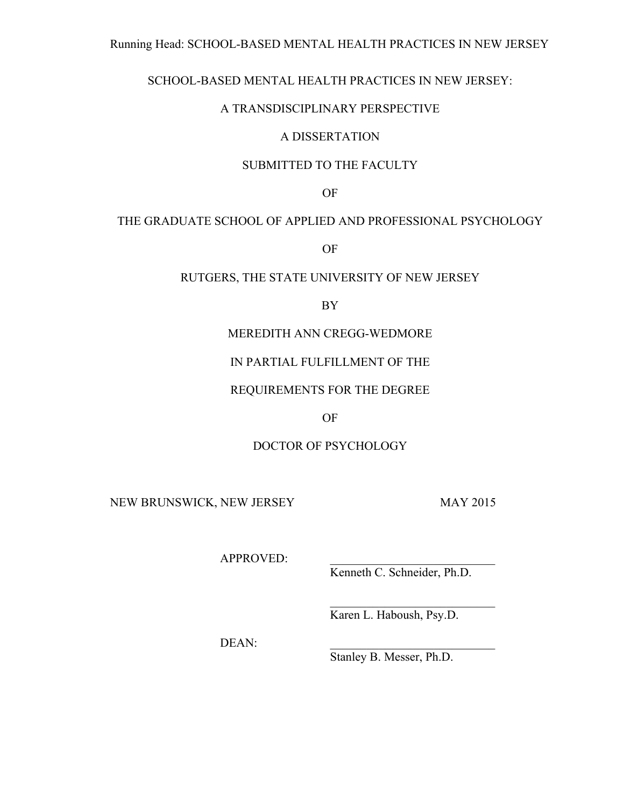## Running Head: SCHOOL-BASED MENTAL HEALTH PRACTICES IN NEW JERSEY

## SCHOOL-BASED MENTAL HEALTH PRACTICES IN NEW JERSEY:

## A TRANSDISCIPLINARY PERSPECTIVE

## A DISSERTATION

## SUBMITTED TO THE FACULTY

OF

## THE GRADUATE SCHOOL OF APPLIED AND PROFESSIONAL PSYCHOLOGY

OF

## RUTGERS, THE STATE UNIVERSITY OF NEW JERSEY

BY

## MEREDITH ANN CREGG-WEDMORE

## IN PARTIAL FULFILLMENT OF THE

## REQUIREMENTS FOR THE DEGREE

## OF

## DOCTOR OF PSYCHOLOGY

NEW BRUNSWICK, NEW JERSEY MAY 2015

APPROVED:

Kenneth C. Schneider, Ph.D.

 $\mathcal{L}_\text{max}$ 

Karen L. Haboush, Psy.D.

DEAN:

Stanley B. Messer, Ph.D.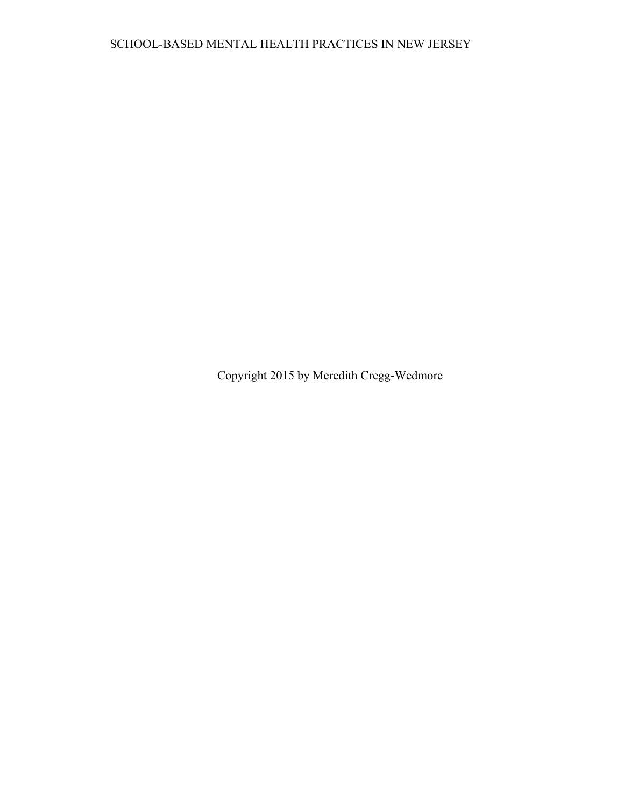Copyright 2015 by Meredith Cregg-Wedmore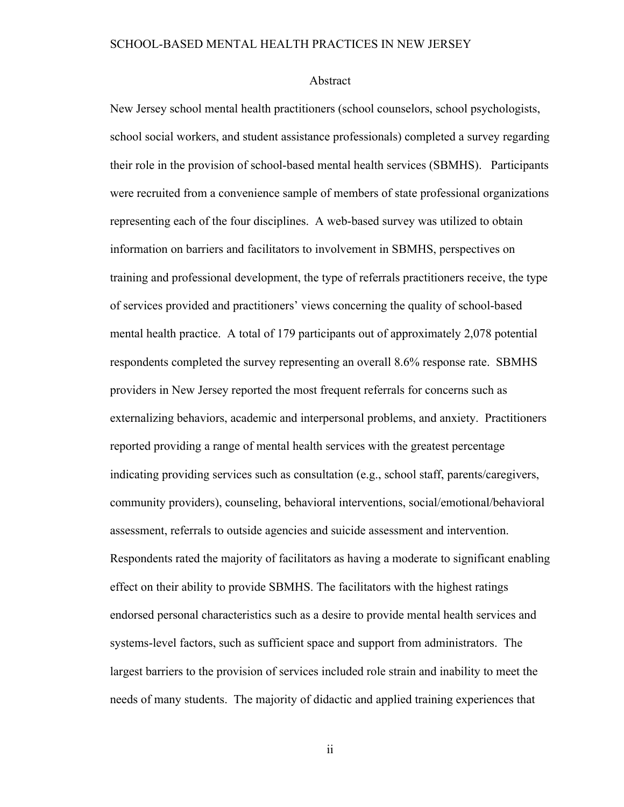### Abstract

New Jersey school mental health practitioners (school counselors, school psychologists, school social workers, and student assistance professionals) completed a survey regarding their role in the provision of school-based mental health services (SBMHS). Participants were recruited from a convenience sample of members of state professional organizations representing each of the four disciplines. A web-based survey was utilized to obtain information on barriers and facilitators to involvement in SBMHS, perspectives on training and professional development, the type of referrals practitioners receive, the type of services provided and practitioners' views concerning the quality of school-based mental health practice. A total of 179 participants out of approximately 2,078 potential respondents completed the survey representing an overall 8.6% response rate. SBMHS providers in New Jersey reported the most frequent referrals for concerns such as externalizing behaviors, academic and interpersonal problems, and anxiety. Practitioners reported providing a range of mental health services with the greatest percentage indicating providing services such as consultation (e.g., school staff, parents/caregivers, community providers), counseling, behavioral interventions, social/emotional/behavioral assessment, referrals to outside agencies and suicide assessment and intervention. Respondents rated the majority of facilitators as having a moderate to significant enabling effect on their ability to provide SBMHS. The facilitators with the highest ratings endorsed personal characteristics such as a desire to provide mental health services and systems-level factors, such as sufficient space and support from administrators. The largest barriers to the provision of services included role strain and inability to meet the needs of many students. The majority of didactic and applied training experiences that

ii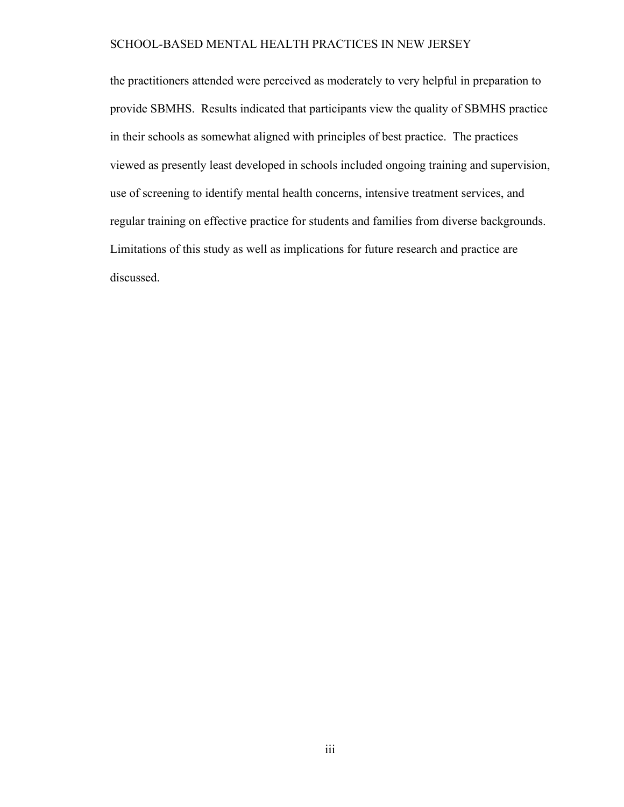the practitioners attended were perceived as moderately to very helpful in preparation to provide SBMHS. Results indicated that participants view the quality of SBMHS practice in their schools as somewhat aligned with principles of best practice. The practices viewed as presently least developed in schools included ongoing training and supervision, use of screening to identify mental health concerns, intensive treatment services, and regular training on effective practice for students and families from diverse backgrounds. Limitations of this study as well as implications for future research and practice are discussed.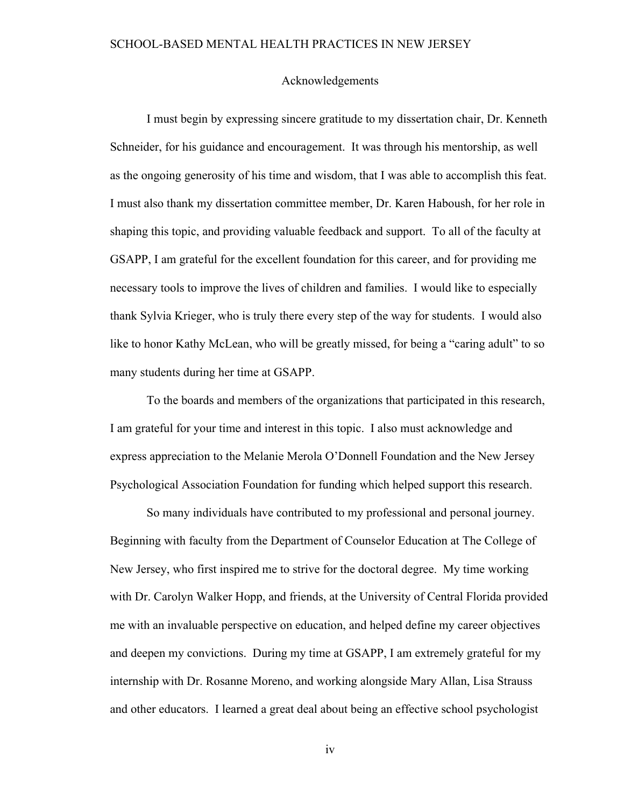### Acknowledgements

I must begin by expressing sincere gratitude to my dissertation chair, Dr. Kenneth Schneider, for his guidance and encouragement. It was through his mentorship, as well as the ongoing generosity of his time and wisdom, that I was able to accomplish this feat. I must also thank my dissertation committee member, Dr. Karen Haboush, for her role in shaping this topic, and providing valuable feedback and support. To all of the faculty at GSAPP, I am grateful for the excellent foundation for this career, and for providing me necessary tools to improve the lives of children and families. I would like to especially thank Sylvia Krieger, who is truly there every step of the way for students. I would also like to honor Kathy McLean, who will be greatly missed, for being a "caring adult" to so many students during her time at GSAPP.

To the boards and members of the organizations that participated in this research, I am grateful for your time and interest in this topic. I also must acknowledge and express appreciation to the Melanie Merola O'Donnell Foundation and the New Jersey Psychological Association Foundation for funding which helped support this research.

So many individuals have contributed to my professional and personal journey. Beginning with faculty from the Department of Counselor Education at The College of New Jersey, who first inspired me to strive for the doctoral degree. My time working with Dr. Carolyn Walker Hopp, and friends, at the University of Central Florida provided me with an invaluable perspective on education, and helped define my career objectives and deepen my convictions. During my time at GSAPP, I am extremely grateful for my internship with Dr. Rosanne Moreno, and working alongside Mary Allan, Lisa Strauss and other educators. I learned a great deal about being an effective school psychologist

iv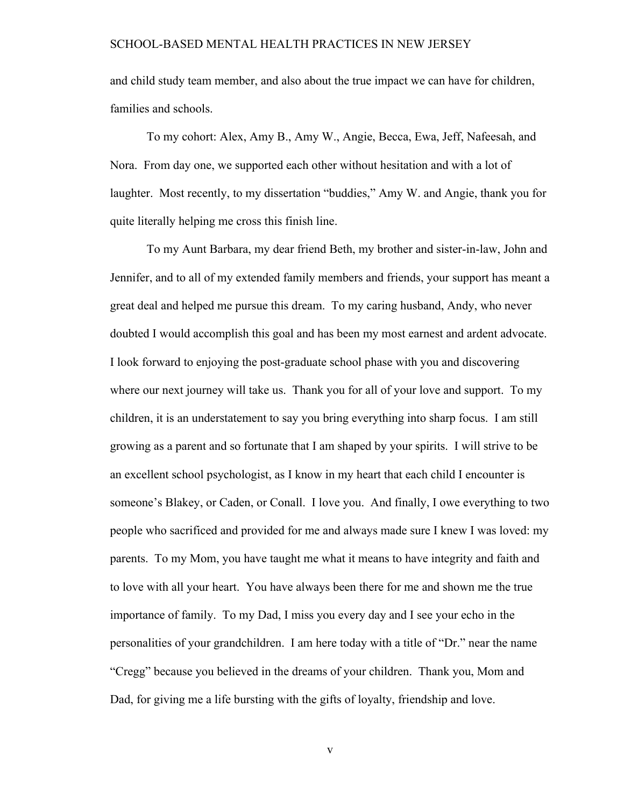and child study team member, and also about the true impact we can have for children, families and schools.

To my cohort: Alex, Amy B., Amy W., Angie, Becca, Ewa, Jeff, Nafeesah, and Nora. From day one, we supported each other without hesitation and with a lot of laughter. Most recently, to my dissertation "buddies," Amy W. and Angie, thank you for quite literally helping me cross this finish line.

To my Aunt Barbara, my dear friend Beth, my brother and sister-in-law, John and Jennifer, and to all of my extended family members and friends, your support has meant a great deal and helped me pursue this dream. To my caring husband, Andy, who never doubted I would accomplish this goal and has been my most earnest and ardent advocate. I look forward to enjoying the post-graduate school phase with you and discovering where our next journey will take us. Thank you for all of your love and support. To my children, it is an understatement to say you bring everything into sharp focus. I am still growing as a parent and so fortunate that I am shaped by your spirits. I will strive to be an excellent school psychologist, as I know in my heart that each child I encounter is someone's Blakey, or Caden, or Conall. I love you. And finally, I owe everything to two people who sacrificed and provided for me and always made sure I knew I was loved: my parents. To my Mom, you have taught me what it means to have integrity and faith and to love with all your heart. You have always been there for me and shown me the true importance of family. To my Dad, I miss you every day and I see your echo in the personalities of your grandchildren. I am here today with a title of "Dr." near the name "Cregg" because you believed in the dreams of your children. Thank you, Mom and Dad, for giving me a life bursting with the gifts of loyalty, friendship and love.

v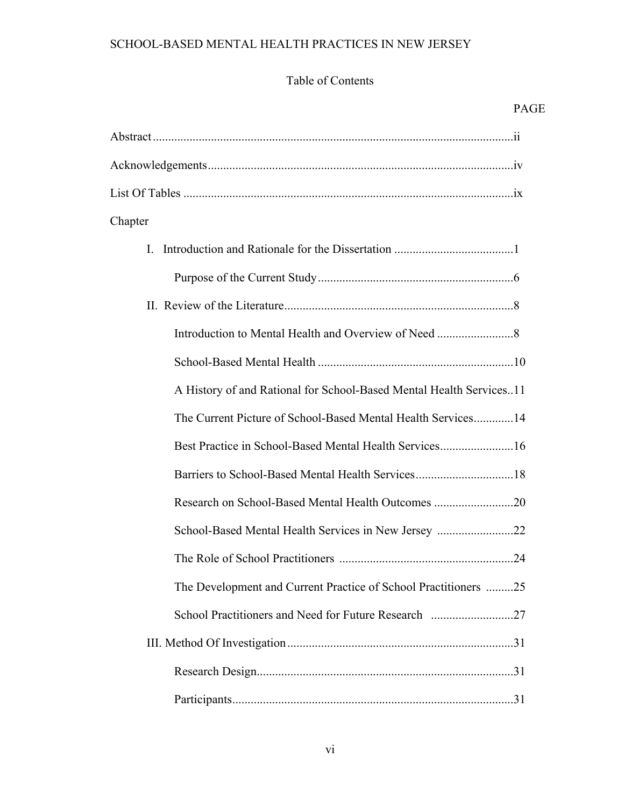# Table of Contents

|                                                                     | PAC |
|---------------------------------------------------------------------|-----|
|                                                                     |     |
|                                                                     |     |
|                                                                     |     |
| Chapter                                                             |     |
|                                                                     |     |
|                                                                     |     |
|                                                                     |     |
|                                                                     |     |
|                                                                     |     |
| A History of and Rational for School-Based Mental Health Services11 |     |
| The Current Picture of School-Based Mental Health Services14        |     |
| Best Practice in School-Based Mental Health Services16              |     |
|                                                                     |     |
| Research on School-Based Mental Health Outcomes 20                  |     |
| School-Based Mental Health Services in New Jersey 22                |     |
|                                                                     |     |
| The Development and Current Practice of School Practitioners 25     |     |
|                                                                     |     |
|                                                                     |     |
|                                                                     |     |
|                                                                     |     |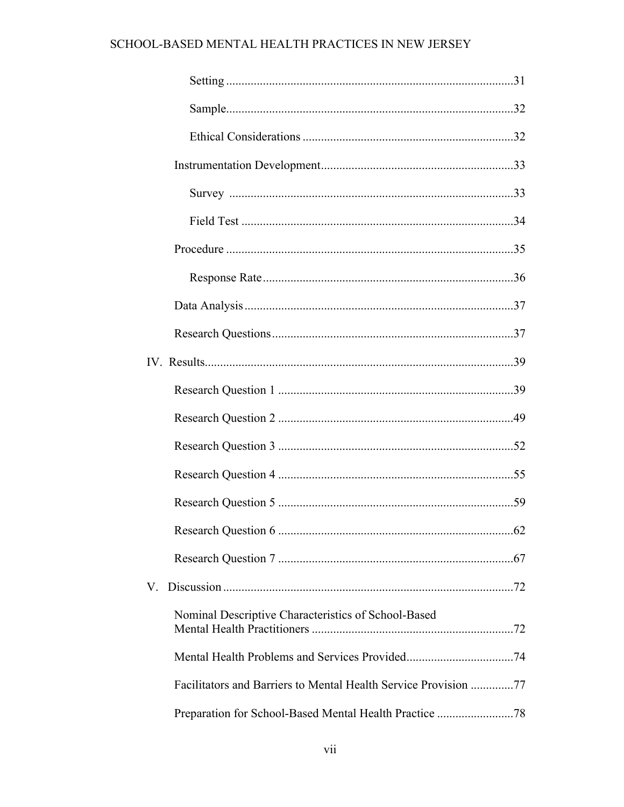| Nominal Descriptive Characteristics of School-Based |  |
|-----------------------------------------------------|--|
|                                                     |  |
|                                                     |  |
|                                                     |  |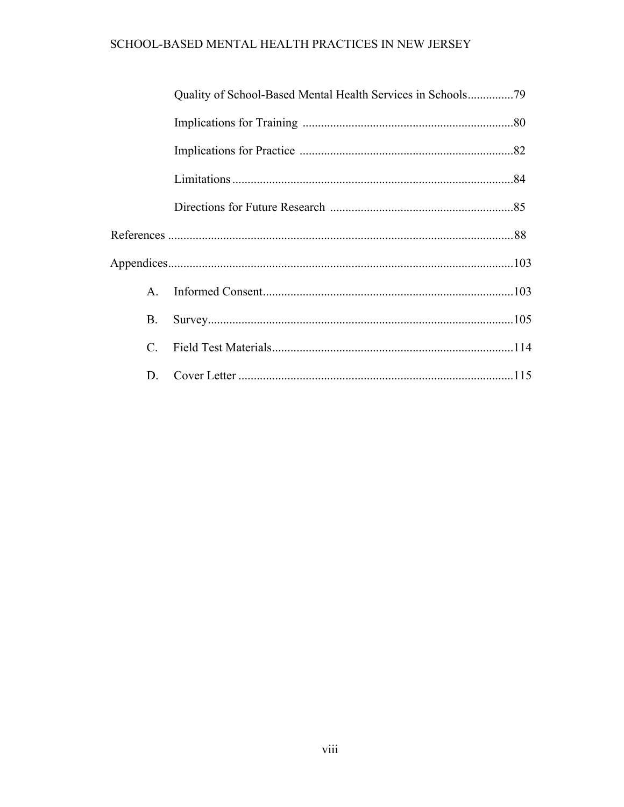| $A_{\cdot}$ |  |
|-------------|--|
| <b>B.</b>   |  |
| C.          |  |
| D.          |  |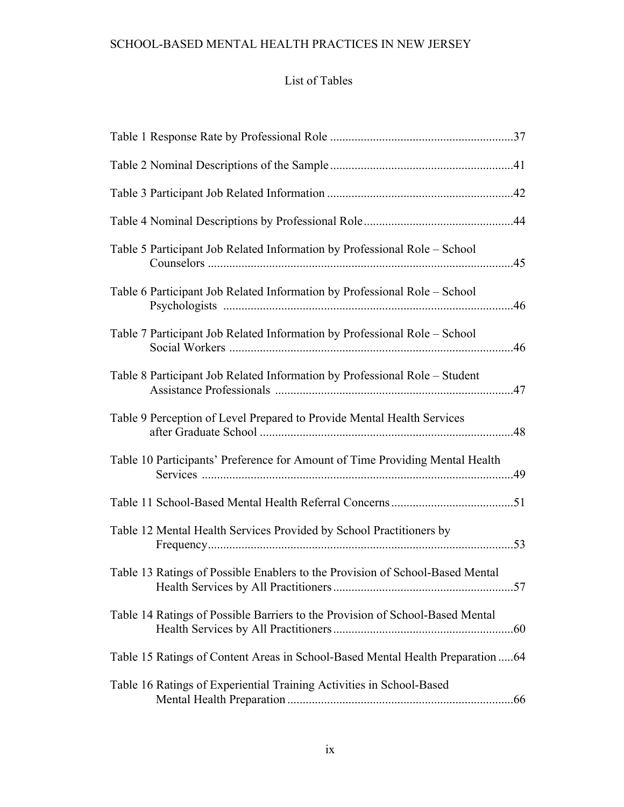## List of Tables

| Table 5 Participant Job Related Information by Professional Role - School       | .45 |
|---------------------------------------------------------------------------------|-----|
| Table 6 Participant Job Related Information by Professional Role – School       | .46 |
| Table 7 Participant Job Related Information by Professional Role - School       |     |
| Table 8 Participant Job Related Information by Professional Role - Student      |     |
| Table 9 Perception of Level Prepared to Provide Mental Health Services          |     |
| Table 10 Participants' Preference for Amount of Time Providing Mental Health    | 49  |
|                                                                                 |     |
| Table 12 Mental Health Services Provided by School Practitioners by             | .53 |
| Table 13 Ratings of Possible Enablers to the Provision of School-Based Mental   |     |
| Table 14 Ratings of Possible Barriers to the Provision of School-Based Mental   |     |
| Table 15 Ratings of Content Areas in School-Based Mental Health Preparation  64 |     |
| Table 16 Ratings of Experiential Training Activities in School-Based            |     |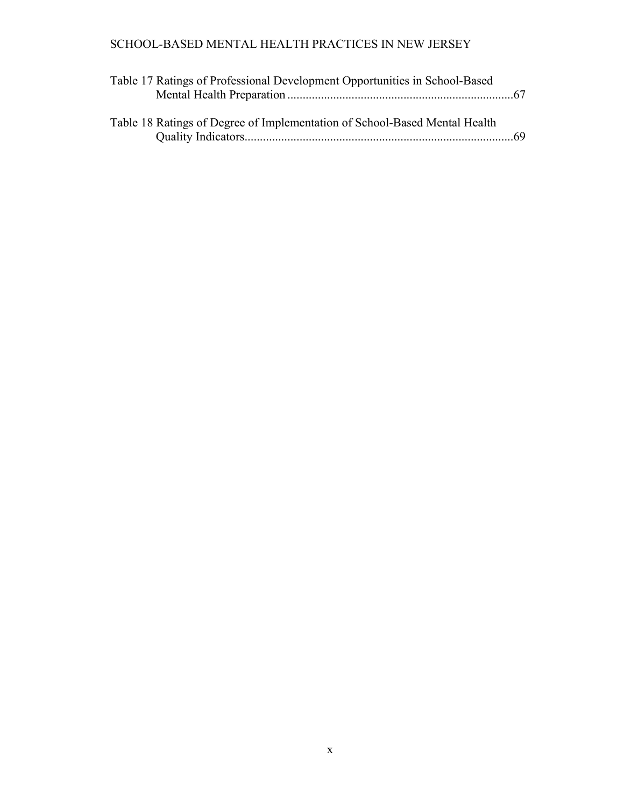| Table 17 Ratings of Professional Development Opportunities in School-Based |  |  |
|----------------------------------------------------------------------------|--|--|
|                                                                            |  |  |
|                                                                            |  |  |
| Table 18 Ratings of Degree of Implementation of School-Based Mental Health |  |  |

Quality Indicators........................................................................................69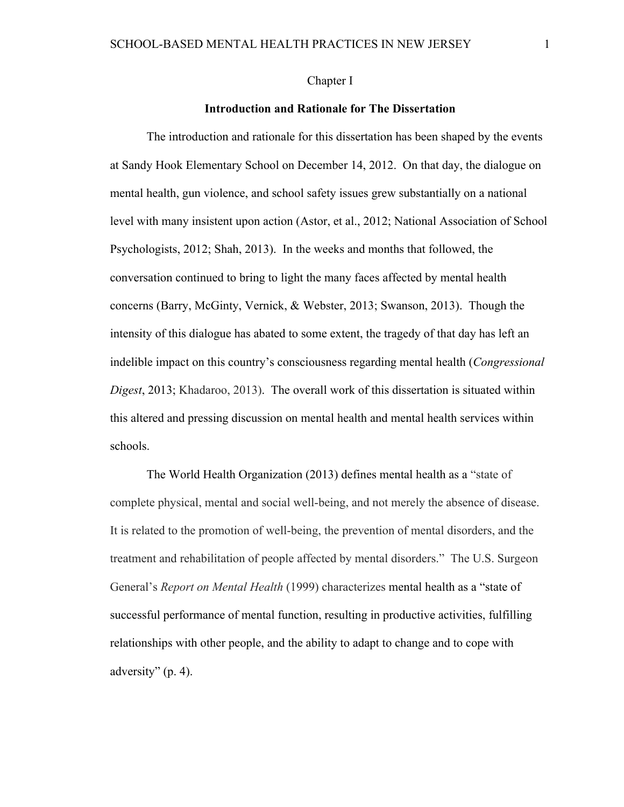### Chapter I

### **Introduction and Rationale for The Dissertation**

The introduction and rationale for this dissertation has been shaped by the events at Sandy Hook Elementary School on December 14, 2012. On that day, the dialogue on mental health, gun violence, and school safety issues grew substantially on a national level with many insistent upon action (Astor, et al., 2012; National Association of School Psychologists, 2012; Shah, 2013). In the weeks and months that followed, the conversation continued to bring to light the many faces affected by mental health concerns (Barry, McGinty, Vernick, & Webster, 2013; Swanson, 2013). Though the intensity of this dialogue has abated to some extent, the tragedy of that day has left an indelible impact on this country's consciousness regarding mental health (*Congressional Digest*, 2013; Khadaroo, 2013). The overall work of this dissertation is situated within this altered and pressing discussion on mental health and mental health services within schools.

The World Health Organization (2013) defines mental health as a "state of complete physical, mental and social well-being, and not merely the absence of disease. It is related to the promotion of well-being, the prevention of mental disorders, and the treatment and rehabilitation of people affected by mental disorders." The U.S. Surgeon General's *Report on Mental Health* (1999) characterizes mental health as a "state of successful performance of mental function, resulting in productive activities, fulfilling relationships with other people, and the ability to adapt to change and to cope with adversity" (p. 4).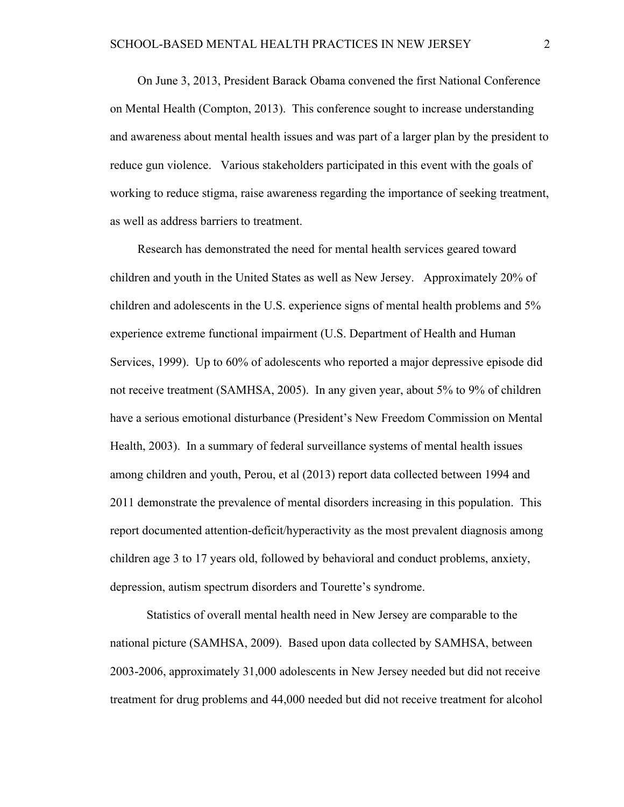On June 3, 2013, President Barack Obama convened the first National Conference on Mental Health (Compton, 2013). This conference sought to increase understanding and awareness about mental health issues and was part of a larger plan by the president to reduce gun violence. Various stakeholders participated in this event with the goals of working to reduce stigma, raise awareness regarding the importance of seeking treatment, as well as address barriers to treatment.

Research has demonstrated the need for mental health services geared toward children and youth in the United States as well as New Jersey. Approximately 20% of children and adolescents in the U.S. experience signs of mental health problems and 5% experience extreme functional impairment (U.S. Department of Health and Human Services, 1999). Up to 60% of adolescents who reported a major depressive episode did not receive treatment (SAMHSA, 2005). In any given year, about 5% to 9% of children have a serious emotional disturbance (President's New Freedom Commission on Mental Health, 2003). In a summary of federal surveillance systems of mental health issues among children and youth, Perou, et al (2013) report data collected between 1994 and 2011 demonstrate the prevalence of mental disorders increasing in this population. This report documented attention-deficit/hyperactivity as the most prevalent diagnosis among children age 3 to 17 years old, followed by behavioral and conduct problems, anxiety, depression, autism spectrum disorders and Tourette's syndrome.

Statistics of overall mental health need in New Jersey are comparable to the national picture (SAMHSA, 2009). Based upon data collected by SAMHSA, between 2003-2006, approximately 31,000 adolescents in New Jersey needed but did not receive treatment for drug problems and 44,000 needed but did not receive treatment for alcohol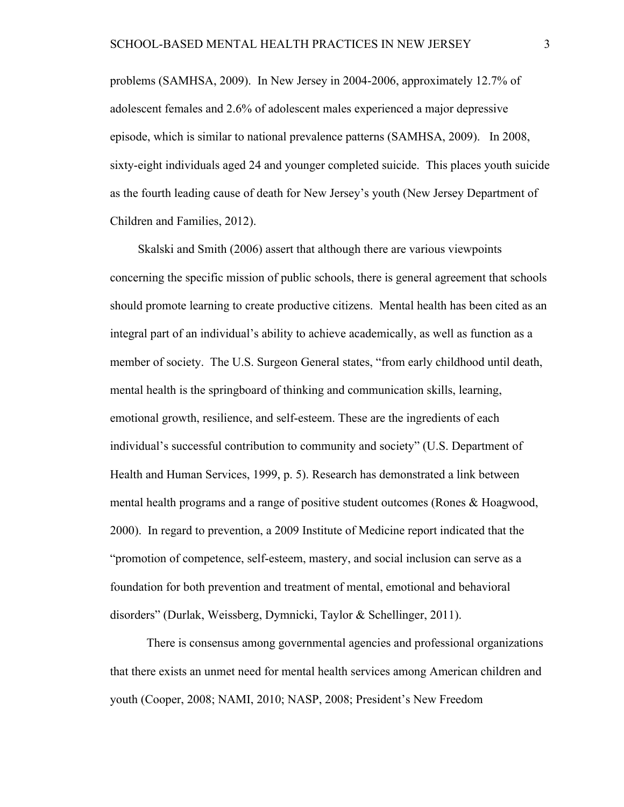problems (SAMHSA, 2009). In New Jersey in 2004-2006, approximately 12.7% of adolescent females and 2.6% of adolescent males experienced a major depressive episode, which is similar to national prevalence patterns (SAMHSA, 2009). In 2008, sixty-eight individuals aged 24 and younger completed suicide. This places youth suicide as the fourth leading cause of death for New Jersey's youth (New Jersey Department of Children and Families, 2012).

Skalski and Smith (2006) assert that although there are various viewpoints concerning the specific mission of public schools, there is general agreement that schools should promote learning to create productive citizens. Mental health has been cited as an integral part of an individual's ability to achieve academically, as well as function as a member of society. The U.S. Surgeon General states, "from early childhood until death, mental health is the springboard of thinking and communication skills, learning, emotional growth, resilience, and self-esteem. These are the ingredients of each individual's successful contribution to community and society" (U.S. Department of Health and Human Services, 1999, p. 5). Research has demonstrated a link between mental health programs and a range of positive student outcomes (Rones & Hoagwood, 2000). In regard to prevention, a 2009 Institute of Medicine report indicated that the "promotion of competence, self-esteem, mastery, and social inclusion can serve as a foundation for both prevention and treatment of mental, emotional and behavioral disorders" (Durlak, Weissberg, Dymnicki, Taylor & Schellinger, 2011).

There is consensus among governmental agencies and professional organizations that there exists an unmet need for mental health services among American children and youth (Cooper, 2008; NAMI, 2010; NASP, 2008; President's New Freedom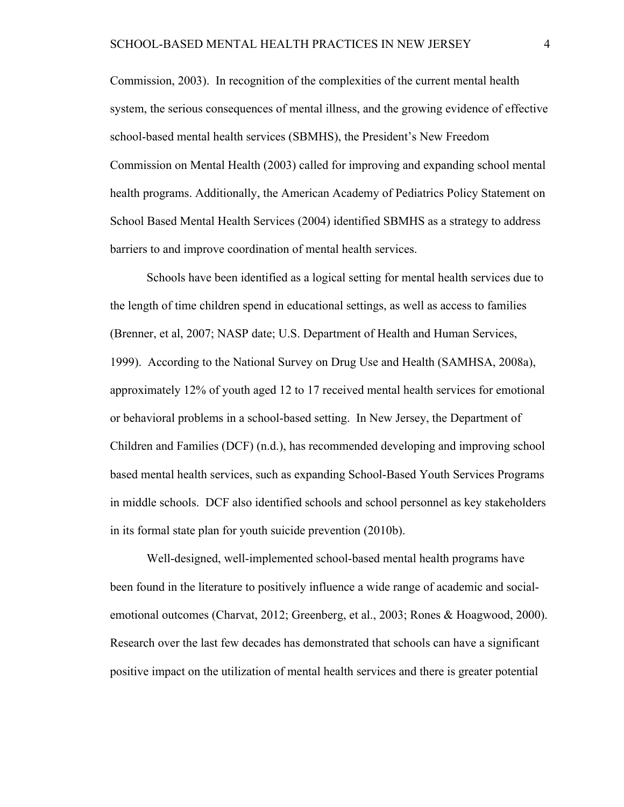Commission, 2003). In recognition of the complexities of the current mental health system, the serious consequences of mental illness, and the growing evidence of effective school-based mental health services (SBMHS), the President's New Freedom Commission on Mental Health (2003) called for improving and expanding school mental health programs. Additionally, the American Academy of Pediatrics Policy Statement on School Based Mental Health Services (2004) identified SBMHS as a strategy to address barriers to and improve coordination of mental health services.

Schools have been identified as a logical setting for mental health services due to the length of time children spend in educational settings, as well as access to families (Brenner, et al, 2007; NASP date; U.S. Department of Health and Human Services, 1999). According to the National Survey on Drug Use and Health (SAMHSA, 2008a), approximately 12% of youth aged 12 to 17 received mental health services for emotional or behavioral problems in a school-based setting. In New Jersey, the Department of Children and Families (DCF) (n.d.), has recommended developing and improving school based mental health services, such as expanding School-Based Youth Services Programs in middle schools. DCF also identified schools and school personnel as key stakeholders in its formal state plan for youth suicide prevention (2010b).

Well-designed, well-implemented school-based mental health programs have been found in the literature to positively influence a wide range of academic and socialemotional outcomes (Charvat, 2012; Greenberg, et al., 2003; Rones & Hoagwood, 2000). Research over the last few decades has demonstrated that schools can have a significant positive impact on the utilization of mental health services and there is greater potential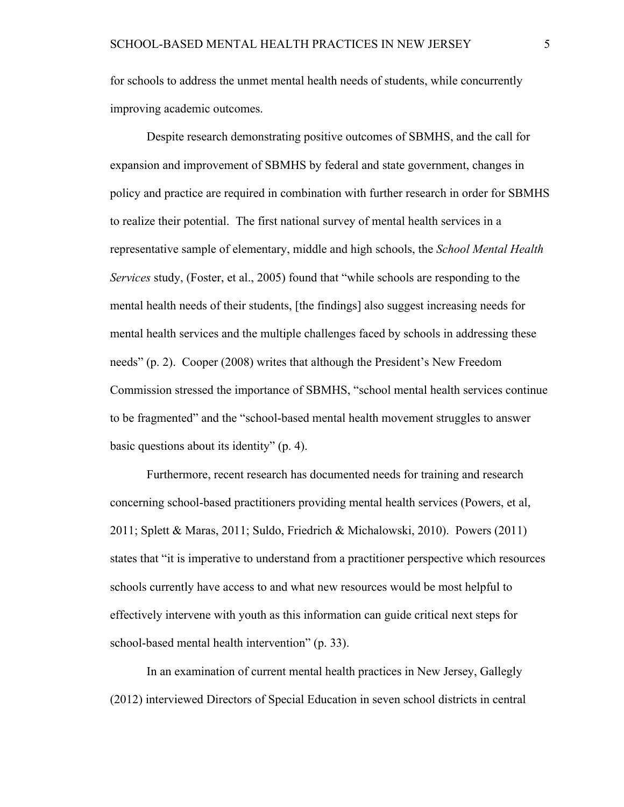for schools to address the unmet mental health needs of students, while concurrently improving academic outcomes.

Despite research demonstrating positive outcomes of SBMHS, and the call for expansion and improvement of SBMHS by federal and state government, changes in policy and practice are required in combination with further research in order for SBMHS to realize their potential. The first national survey of mental health services in a representative sample of elementary, middle and high schools, the *School Mental Health Services* study, (Foster, et al., 2005) found that "while schools are responding to the mental health needs of their students, [the findings] also suggest increasing needs for mental health services and the multiple challenges faced by schools in addressing these needs" (p. 2). Cooper (2008) writes that although the President's New Freedom Commission stressed the importance of SBMHS, "school mental health services continue to be fragmented" and the "school-based mental health movement struggles to answer basic questions about its identity" (p. 4).

Furthermore, recent research has documented needs for training and research concerning school-based practitioners providing mental health services (Powers, et al, 2011; Splett & Maras, 2011; Suldo, Friedrich & Michalowski, 2010). Powers (2011) states that "it is imperative to understand from a practitioner perspective which resources schools currently have access to and what new resources would be most helpful to effectively intervene with youth as this information can guide critical next steps for school-based mental health intervention" (p. 33).

In an examination of current mental health practices in New Jersey, Gallegly (2012) interviewed Directors of Special Education in seven school districts in central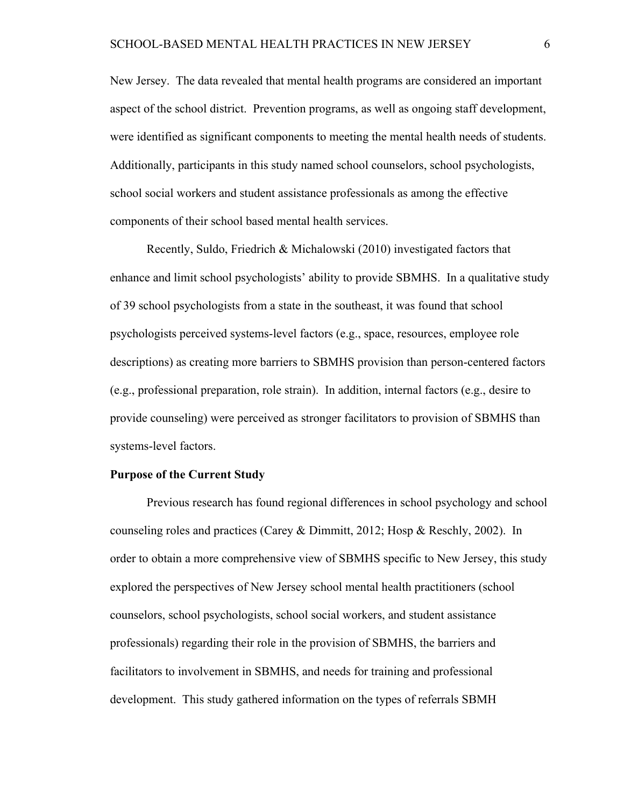New Jersey. The data revealed that mental health programs are considered an important aspect of the school district. Prevention programs, as well as ongoing staff development, were identified as significant components to meeting the mental health needs of students. Additionally, participants in this study named school counselors, school psychologists, school social workers and student assistance professionals as among the effective components of their school based mental health services.

Recently, Suldo, Friedrich & Michalowski (2010) investigated factors that enhance and limit school psychologists' ability to provide SBMHS. In a qualitative study of 39 school psychologists from a state in the southeast, it was found that school psychologists perceived systems-level factors (e.g., space, resources, employee role descriptions) as creating more barriers to SBMHS provision than person-centered factors (e.g., professional preparation, role strain). In addition, internal factors (e.g., desire to provide counseling) were perceived as stronger facilitators to provision of SBMHS than systems-level factors.

### **Purpose of the Current Study**

Previous research has found regional differences in school psychology and school counseling roles and practices (Carey & Dimmitt, 2012; Hosp & Reschly, 2002). In order to obtain a more comprehensive view of SBMHS specific to New Jersey, this study explored the perspectives of New Jersey school mental health practitioners (school counselors, school psychologists, school social workers, and student assistance professionals) regarding their role in the provision of SBMHS, the barriers and facilitators to involvement in SBMHS, and needs for training and professional development. This study gathered information on the types of referrals SBMH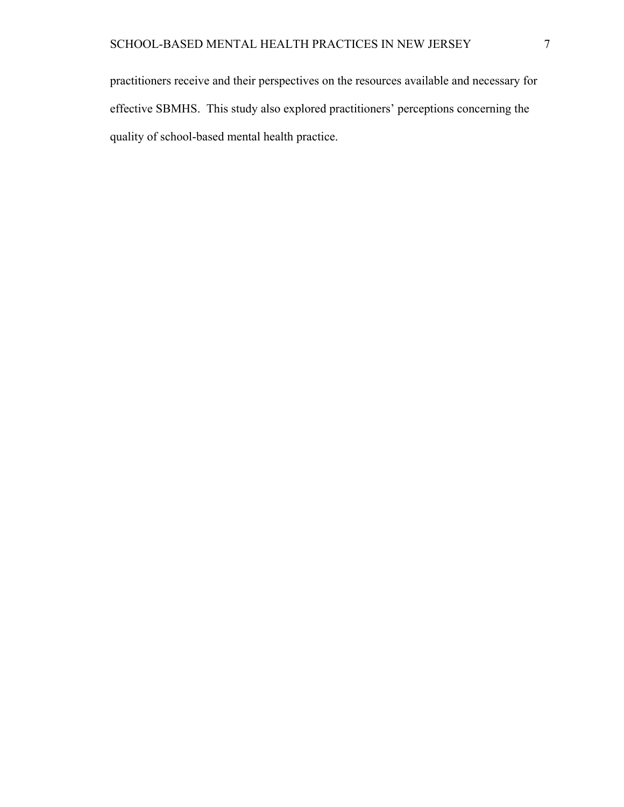practitioners receive and their perspectives on the resources available and necessary for effective SBMHS. This study also explored practitioners' perceptions concerning the quality of school-based mental health practice.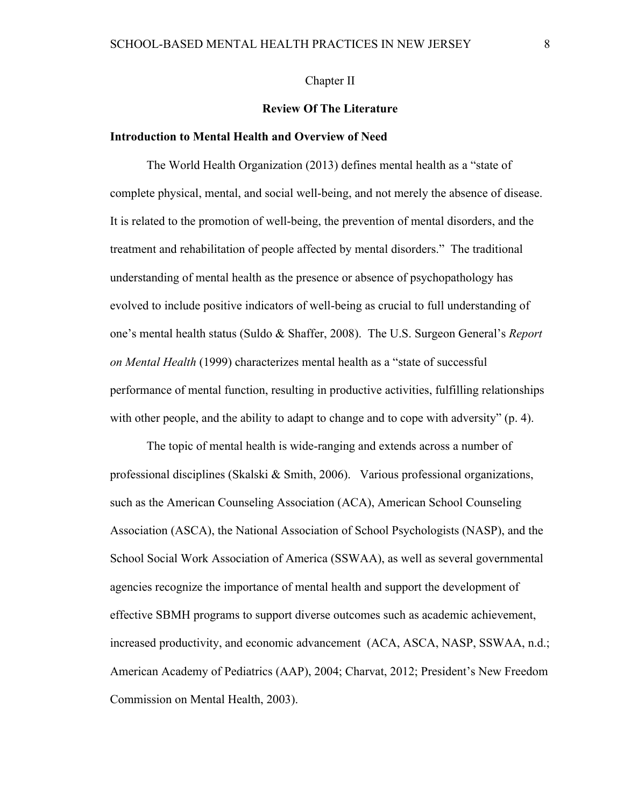### Chapter II

### **Review Of The Literature**

### **Introduction to Mental Health and Overview of Need**

The World Health Organization (2013) defines mental health as a "state of complete physical, mental, and social well-being, and not merely the absence of disease. It is related to the promotion of well-being, the prevention of mental disorders, and the treatment and rehabilitation of people affected by mental disorders." The traditional understanding of mental health as the presence or absence of psychopathology has evolved to include positive indicators of well-being as crucial to full understanding of one's mental health status (Suldo & Shaffer, 2008). The U.S. Surgeon General's *Report on Mental Health* (1999) characterizes mental health as a "state of successful performance of mental function, resulting in productive activities, fulfilling relationships with other people, and the ability to adapt to change and to cope with adversity" (p. 4).

The topic of mental health is wide-ranging and extends across a number of professional disciplines (Skalski & Smith, 2006). Various professional organizations, such as the American Counseling Association (ACA), American School Counseling Association (ASCA), the National Association of School Psychologists (NASP), and the School Social Work Association of America (SSWAA), as well as several governmental agencies recognize the importance of mental health and support the development of effective SBMH programs to support diverse outcomes such as academic achievement, increased productivity, and economic advancement (ACA, ASCA, NASP, SSWAA, n.d.; American Academy of Pediatrics (AAP), 2004; Charvat, 2012; President's New Freedom Commission on Mental Health, 2003).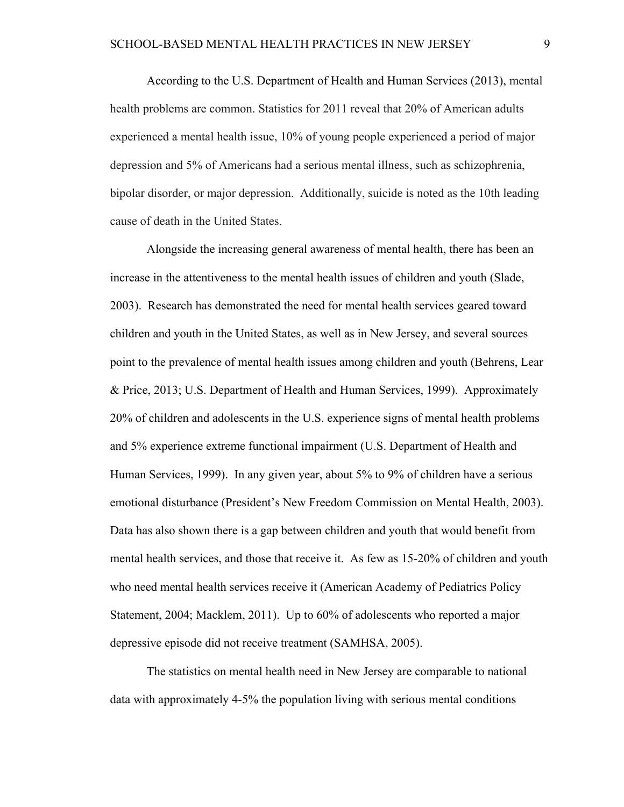According to the U.S. Department of Health and Human Services (2013), mental health problems are common. Statistics for 2011 reveal that 20% of American adults experienced a mental health issue, 10% of young people experienced a period of major depression and 5% of Americans had a serious mental illness, such as schizophrenia, bipolar disorder, or major depression. Additionally, suicide is noted as the 10th leading cause of death in the United States.

Alongside the increasing general awareness of mental health, there has been an increase in the attentiveness to the mental health issues of children and youth (Slade, 2003). Research has demonstrated the need for mental health services geared toward children and youth in the United States, as well as in New Jersey, and several sources point to the prevalence of mental health issues among children and youth (Behrens, Lear & Price, 2013; U.S. Department of Health and Human Services, 1999). Approximately 20% of children and adolescents in the U.S. experience signs of mental health problems and 5% experience extreme functional impairment (U.S. Department of Health and Human Services, 1999). In any given year, about 5% to 9% of children have a serious emotional disturbance (President's New Freedom Commission on Mental Health, 2003). Data has also shown there is a gap between children and youth that would benefit from mental health services, and those that receive it. As few as 15-20% of children and youth who need mental health services receive it (American Academy of Pediatrics Policy Statement, 2004; Macklem, 2011). Up to 60% of adolescents who reported a major depressive episode did not receive treatment (SAMHSA, 2005).

The statistics on mental health need in New Jersey are comparable to national data with approximately 4-5% the population living with serious mental conditions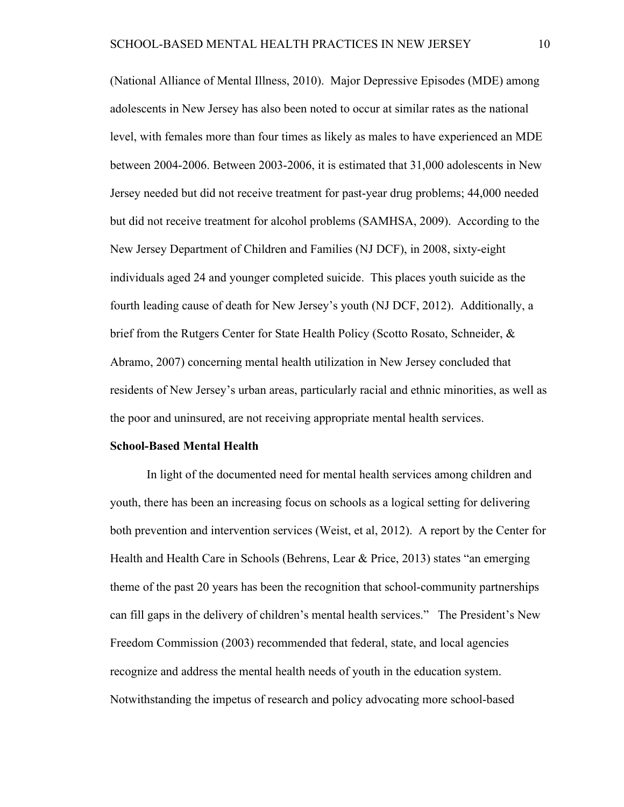(National Alliance of Mental Illness, 2010). Major Depressive Episodes (MDE) among adolescents in New Jersey has also been noted to occur at similar rates as the national level, with females more than four times as likely as males to have experienced an MDE between 2004-2006. Between 2003-2006, it is estimated that 31,000 adolescents in New Jersey needed but did not receive treatment for past-year drug problems; 44,000 needed but did not receive treatment for alcohol problems (SAMHSA, 2009). According to the New Jersey Department of Children and Families (NJ DCF), in 2008, sixty-eight individuals aged 24 and younger completed suicide. This places youth suicide as the fourth leading cause of death for New Jersey's youth (NJ DCF, 2012). Additionally, a brief from the Rutgers Center for State Health Policy (Scotto Rosato, Schneider, & Abramo, 2007) concerning mental health utilization in New Jersey concluded that residents of New Jersey's urban areas, particularly racial and ethnic minorities, as well as the poor and uninsured, are not receiving appropriate mental health services.

#### **School-Based Mental Health**

In light of the documented need for mental health services among children and youth, there has been an increasing focus on schools as a logical setting for delivering both prevention and intervention services (Weist, et al, 2012). A report by the Center for Health and Health Care in Schools (Behrens, Lear & Price, 2013) states "an emerging theme of the past 20 years has been the recognition that school-community partnerships can fill gaps in the delivery of children's mental health services." The President's New Freedom Commission (2003) recommended that federal, state, and local agencies recognize and address the mental health needs of youth in the education system. Notwithstanding the impetus of research and policy advocating more school-based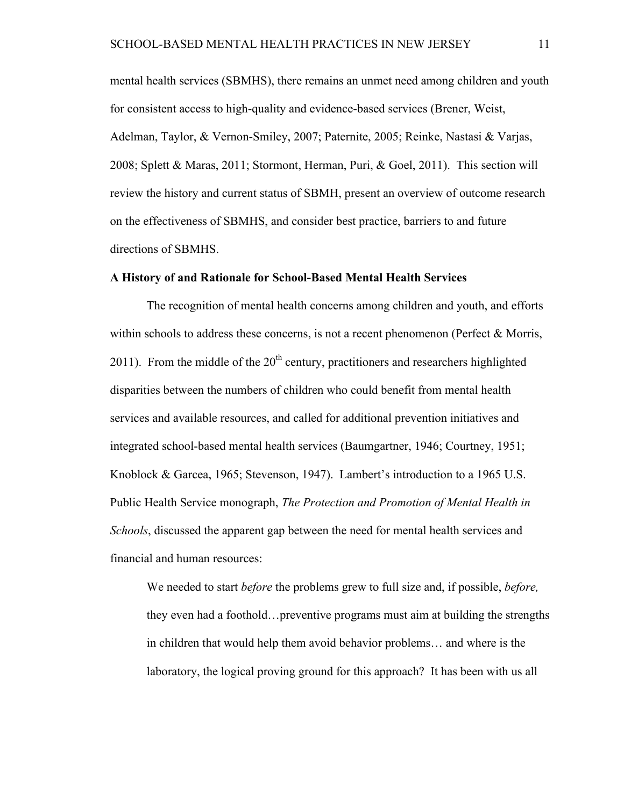mental health services (SBMHS), there remains an unmet need among children and youth for consistent access to high-quality and evidence-based services (Brener, Weist, Adelman, Taylor, & Vernon-Smiley, 2007; Paternite, 2005; Reinke, Nastasi & Varjas, 2008; Splett & Maras, 2011; Stormont, Herman, Puri, & Goel, 2011). This section will review the history and current status of SBMH, present an overview of outcome research on the effectiveness of SBMHS, and consider best practice, barriers to and future directions of SBMHS.

### **A History of and Rationale for School-Based Mental Health Services**

The recognition of mental health concerns among children and youth, and efforts within schools to address these concerns, is not a recent phenomenon (Perfect  $\&$  Morris,  $2011$ ). From the middle of the  $20<sup>th</sup>$  century, practitioners and researchers highlighted disparities between the numbers of children who could benefit from mental health services and available resources, and called for additional prevention initiatives and integrated school-based mental health services (Baumgartner, 1946; Courtney, 1951; Knoblock & Garcea, 1965; Stevenson, 1947). Lambert's introduction to a 1965 U.S. Public Health Service monograph, *The Protection and Promotion of Mental Health in Schools*, discussed the apparent gap between the need for mental health services and financial and human resources:

We needed to start *before* the problems grew to full size and, if possible, *before,* they even had a foothold…preventive programs must aim at building the strengths in children that would help them avoid behavior problems… and where is the laboratory, the logical proving ground for this approach? It has been with us all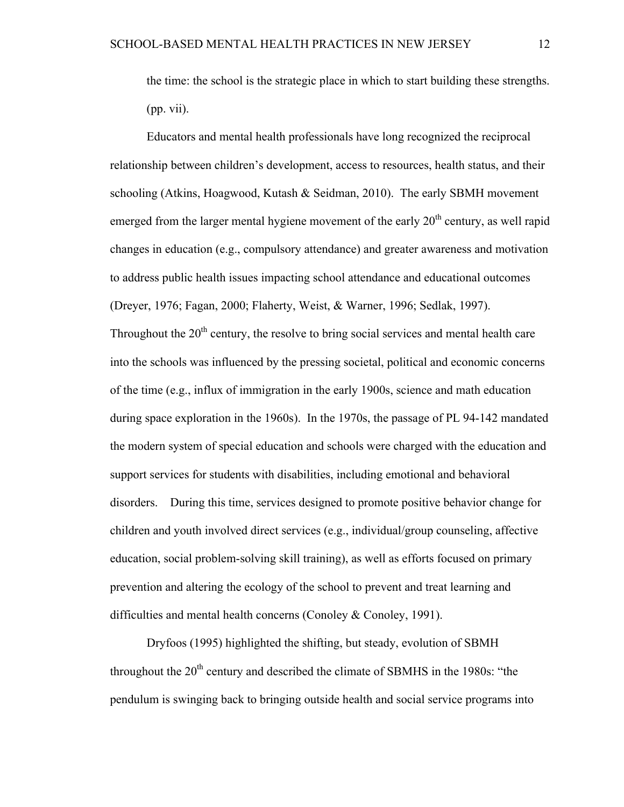the time: the school is the strategic place in which to start building these strengths. (pp. vii).

Educators and mental health professionals have long recognized the reciprocal relationship between children's development, access to resources, health status, and their schooling (Atkins, Hoagwood, Kutash & Seidman, 2010). The early SBMH movement emerged from the larger mental hygiene movement of the early  $20<sup>th</sup>$  century, as well rapid changes in education (e.g., compulsory attendance) and greater awareness and motivation to address public health issues impacting school attendance and educational outcomes (Dreyer, 1976; Fagan, 2000; Flaherty, Weist, & Warner, 1996; Sedlak, 1997). Throughout the  $20<sup>th</sup>$  century, the resolve to bring social services and mental health care into the schools was influenced by the pressing societal, political and economic concerns of the time (e.g., influx of immigration in the early 1900s, science and math education during space exploration in the 1960s). In the 1970s, the passage of PL 94-142 mandated the modern system of special education and schools were charged with the education and support services for students with disabilities, including emotional and behavioral disorders. During this time, services designed to promote positive behavior change for children and youth involved direct services (e.g., individual/group counseling, affective education, social problem-solving skill training), as well as efforts focused on primary prevention and altering the ecology of the school to prevent and treat learning and difficulties and mental health concerns (Conoley & Conoley, 1991).

Dryfoos (1995) highlighted the shifting, but steady, evolution of SBMH throughout the  $20<sup>th</sup>$  century and described the climate of SBMHS in the 1980s: "the pendulum is swinging back to bringing outside health and social service programs into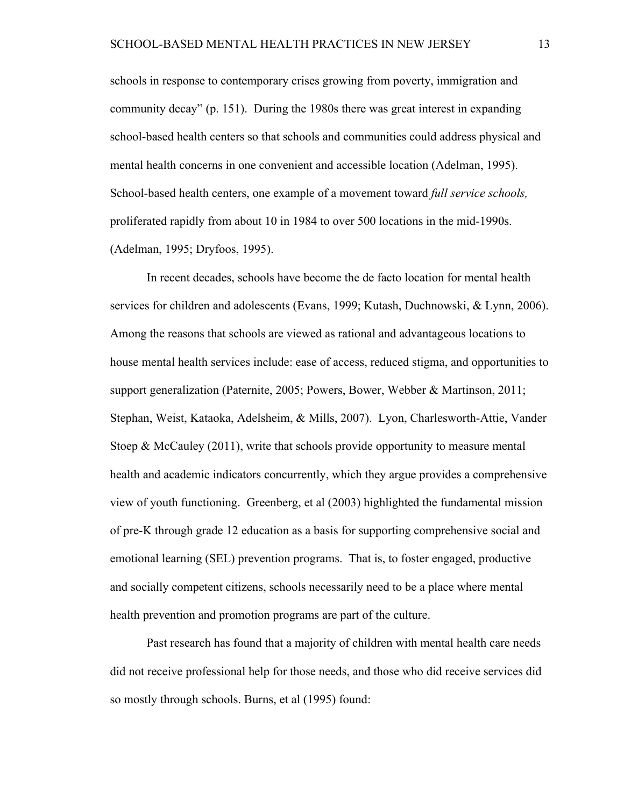schools in response to contemporary crises growing from poverty, immigration and community decay" (p. 151). During the 1980s there was great interest in expanding school-based health centers so that schools and communities could address physical and mental health concerns in one convenient and accessible location (Adelman, 1995). School-based health centers, one example of a movement toward *full service schools,*  proliferated rapidly from about 10 in 1984 to over 500 locations in the mid-1990s. (Adelman, 1995; Dryfoos, 1995).

In recent decades, schools have become the de facto location for mental health services for children and adolescents (Evans, 1999; Kutash, Duchnowski, & Lynn, 2006). Among the reasons that schools are viewed as rational and advantageous locations to house mental health services include: ease of access, reduced stigma, and opportunities to support generalization (Paternite, 2005; Powers, Bower, Webber & Martinson, 2011; Stephan, Weist, Kataoka, Adelsheim, & Mills, 2007). Lyon, Charlesworth-Attie, Vander Stoep & McCauley  $(2011)$ , write that schools provide opportunity to measure mental health and academic indicators concurrently, which they argue provides a comprehensive view of youth functioning. Greenberg, et al (2003) highlighted the fundamental mission of pre-K through grade 12 education as a basis for supporting comprehensive social and emotional learning (SEL) prevention programs. That is, to foster engaged, productive and socially competent citizens, schools necessarily need to be a place where mental health prevention and promotion programs are part of the culture.

Past research has found that a majority of children with mental health care needs did not receive professional help for those needs, and those who did receive services did so mostly through schools. Burns, et al (1995) found: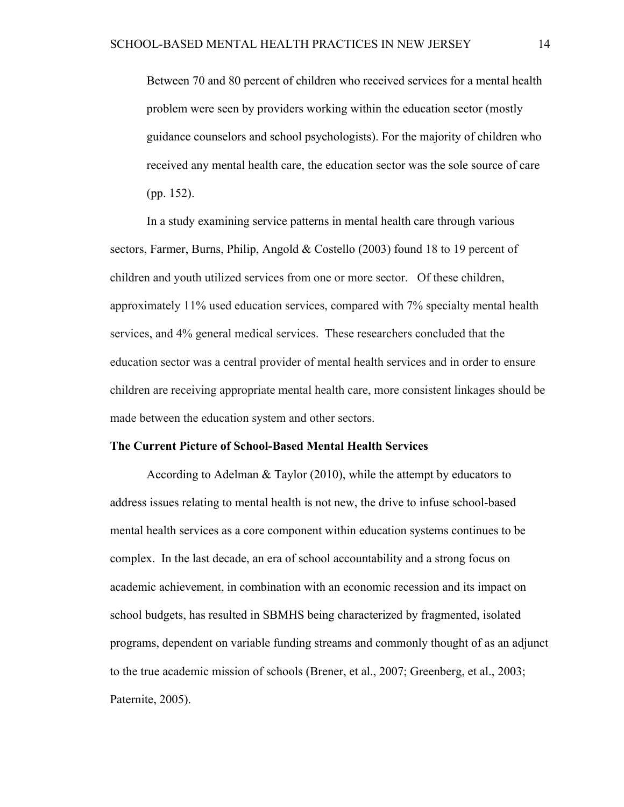Between 70 and 80 percent of children who received services for a mental health problem were seen by providers working within the education sector (mostly guidance counselors and school psychologists). For the majority of children who received any mental health care, the education sector was the sole source of care (pp. 152).

In a study examining service patterns in mental health care through various sectors, Farmer, Burns, Philip, Angold & Costello (2003) found 18 to 19 percent of children and youth utilized services from one or more sector. Of these children, approximately 11% used education services, compared with 7% specialty mental health services, and 4% general medical services. These researchers concluded that the education sector was a central provider of mental health services and in order to ensure children are receiving appropriate mental health care, more consistent linkages should be made between the education system and other sectors.

#### **The Current Picture of School-Based Mental Health Services**

According to Adelman & Taylor (2010), while the attempt by educators to address issues relating to mental health is not new, the drive to infuse school-based mental health services as a core component within education systems continues to be complex. In the last decade, an era of school accountability and a strong focus on academic achievement, in combination with an economic recession and its impact on school budgets, has resulted in SBMHS being characterized by fragmented, isolated programs, dependent on variable funding streams and commonly thought of as an adjunct to the true academic mission of schools (Brener, et al., 2007; Greenberg, et al., 2003; Paternite, 2005).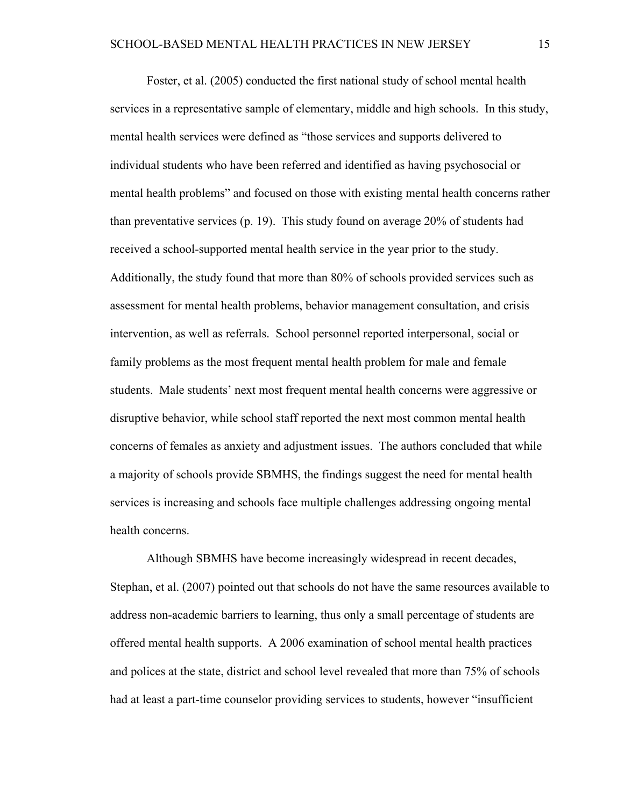Foster, et al. (2005) conducted the first national study of school mental health services in a representative sample of elementary, middle and high schools. In this study, mental health services were defined as "those services and supports delivered to individual students who have been referred and identified as having psychosocial or mental health problems" and focused on those with existing mental health concerns rather than preventative services (p. 19). This study found on average 20% of students had received a school-supported mental health service in the year prior to the study. Additionally, the study found that more than 80% of schools provided services such as assessment for mental health problems, behavior management consultation, and crisis intervention, as well as referrals. School personnel reported interpersonal, social or family problems as the most frequent mental health problem for male and female students. Male students' next most frequent mental health concerns were aggressive or disruptive behavior, while school staff reported the next most common mental health concerns of females as anxiety and adjustment issues. The authors concluded that while a majority of schools provide SBMHS, the findings suggest the need for mental health services is increasing and schools face multiple challenges addressing ongoing mental health concerns.

Although SBMHS have become increasingly widespread in recent decades, Stephan, et al. (2007) pointed out that schools do not have the same resources available to address non-academic barriers to learning, thus only a small percentage of students are offered mental health supports. A 2006 examination of school mental health practices and polices at the state, district and school level revealed that more than 75% of schools had at least a part-time counselor providing services to students, however "insufficient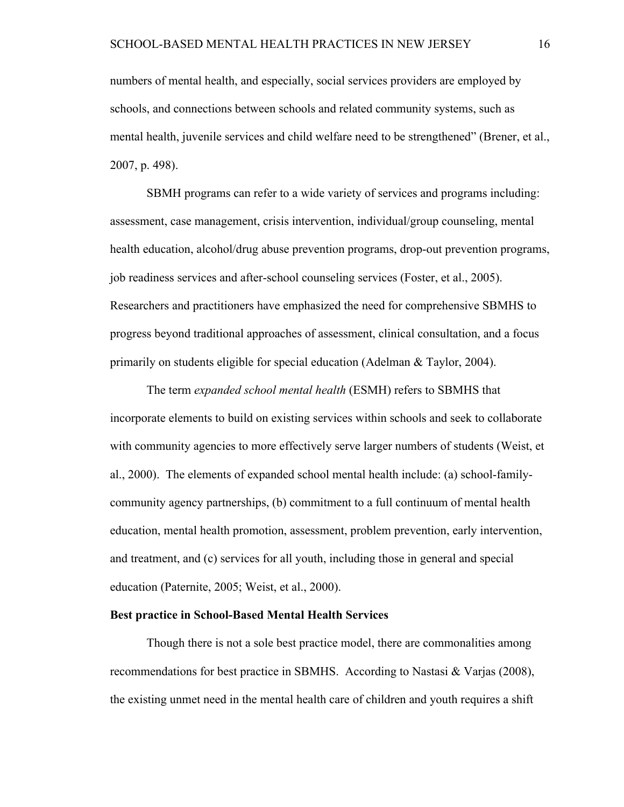numbers of mental health, and especially, social services providers are employed by schools, and connections between schools and related community systems, such as mental health, juvenile services and child welfare need to be strengthened" (Brener, et al., 2007, p. 498).

SBMH programs can refer to a wide variety of services and programs including: assessment, case management, crisis intervention, individual/group counseling, mental health education, alcohol/drug abuse prevention programs, drop-out prevention programs, job readiness services and after-school counseling services (Foster, et al., 2005). Researchers and practitioners have emphasized the need for comprehensive SBMHS to progress beyond traditional approaches of assessment, clinical consultation, and a focus primarily on students eligible for special education (Adelman & Taylor, 2004).

The term *expanded school mental health* (ESMH) refers to SBMHS that incorporate elements to build on existing services within schools and seek to collaborate with community agencies to more effectively serve larger numbers of students (Weist, et al., 2000). The elements of expanded school mental health include: (a) school-familycommunity agency partnerships, (b) commitment to a full continuum of mental health education, mental health promotion, assessment, problem prevention, early intervention, and treatment, and (c) services for all youth, including those in general and special education (Paternite, 2005; Weist, et al., 2000).

### **Best practice in School-Based Mental Health Services**

Though there is not a sole best practice model, there are commonalities among recommendations for best practice in SBMHS. According to Nastasi & Varjas (2008), the existing unmet need in the mental health care of children and youth requires a shift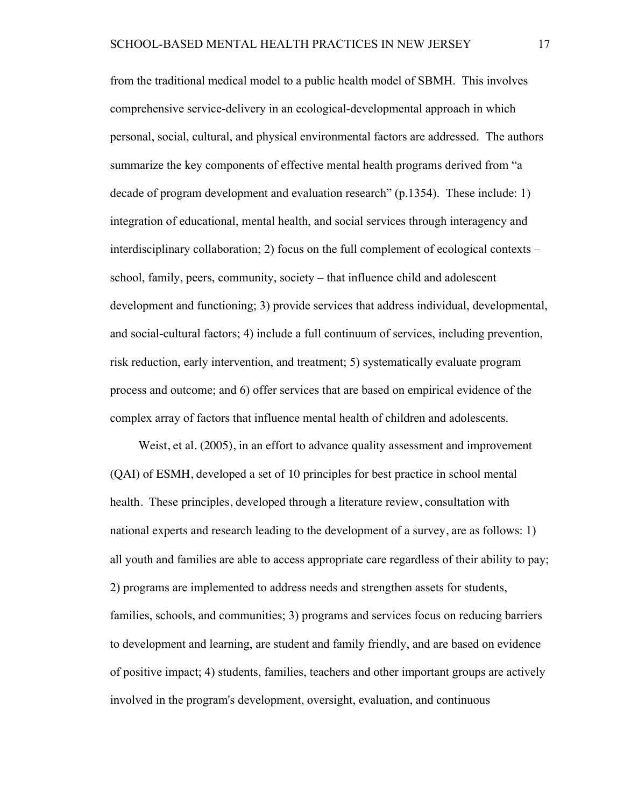from the traditional medical model to a public health model of SBMH. This involves comprehensive service-delivery in an ecological-developmental approach in which personal, social, cultural, and physical environmental factors are addressed. The authors summarize the key components of effective mental health programs derived from "a decade of program development and evaluation research" (p.1354). These include: 1) integration of educational, mental health, and social services through interagency and interdisciplinary collaboration; 2) focus on the full complement of ecological contexts – school, family, peers, community, society – that influence child and adolescent development and functioning; 3) provide services that address individual, developmental, and social-cultural factors; 4) include a full continuum of services, including prevention, risk reduction, early intervention, and treatment; 5) systematically evaluate program process and outcome; and 6) offer services that are based on empirical evidence of the complex array of factors that influence mental health of children and adolescents.

Weist, et al. (2005), in an effort to advance quality assessment and improvement (QAI) of ESMH, developed a set of 10 principles for best practice in school mental health. These principles, developed through a literature review, consultation with national experts and research leading to the development of a survey, are as follows: 1) all youth and families are able to access appropriate care regardless of their ability to pay; 2) programs are implemented to address needs and strengthen assets for students, families, schools, and communities; 3) programs and services focus on reducing barriers to development and learning, are student and family friendly, and are based on evidence of positive impact; 4) students, families, teachers and other important groups are actively involved in the program's development, oversight, evaluation, and continuous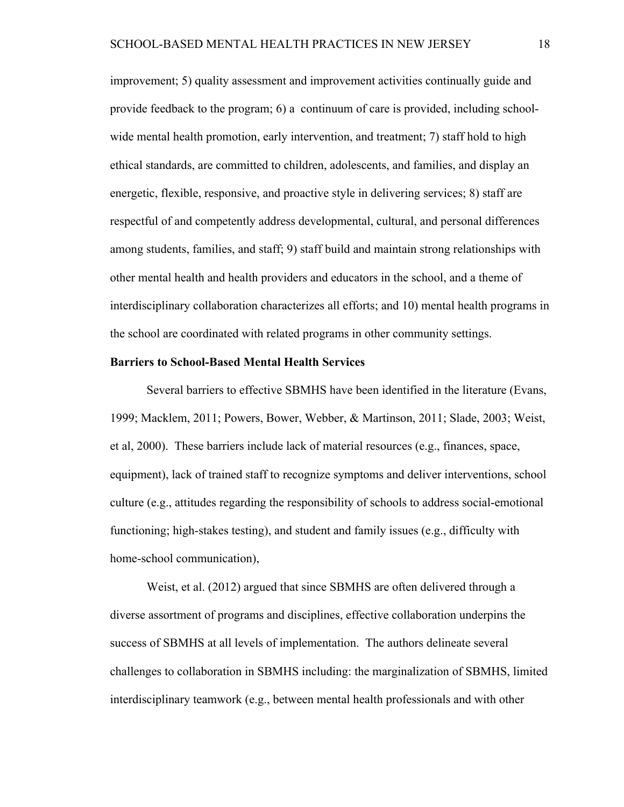improvement; 5) quality assessment and improvement activities continually guide and provide feedback to the program; 6) a continuum of care is provided, including schoolwide mental health promotion, early intervention, and treatment; 7) staff hold to high ethical standards, are committed to children, adolescents, and families, and display an energetic, flexible, responsive, and proactive style in delivering services; 8) staff are respectful of and competently address developmental, cultural, and personal differences among students, families, and staff; 9) staff build and maintain strong relationships with other mental health and health providers and educators in the school, and a theme of interdisciplinary collaboration characterizes all efforts; and 10) mental health programs in the school are coordinated with related programs in other community settings.

#### **Barriers to School-Based Mental Health Services**

Several barriers to effective SBMHS have been identified in the literature (Evans, 1999; Macklem, 2011; Powers, Bower, Webber, & Martinson, 2011; Slade, 2003; Weist, et al, 2000). These barriers include lack of material resources (e.g., finances, space, equipment), lack of trained staff to recognize symptoms and deliver interventions, school culture (e.g., attitudes regarding the responsibility of schools to address social-emotional functioning; high-stakes testing), and student and family issues (e.g., difficulty with home-school communication),

Weist, et al. (2012) argued that since SBMHS are often delivered through a diverse assortment of programs and disciplines, effective collaboration underpins the success of SBMHS at all levels of implementation. The authors delineate several challenges to collaboration in SBMHS including: the marginalization of SBMHS, limited interdisciplinary teamwork (e.g., between mental health professionals and with other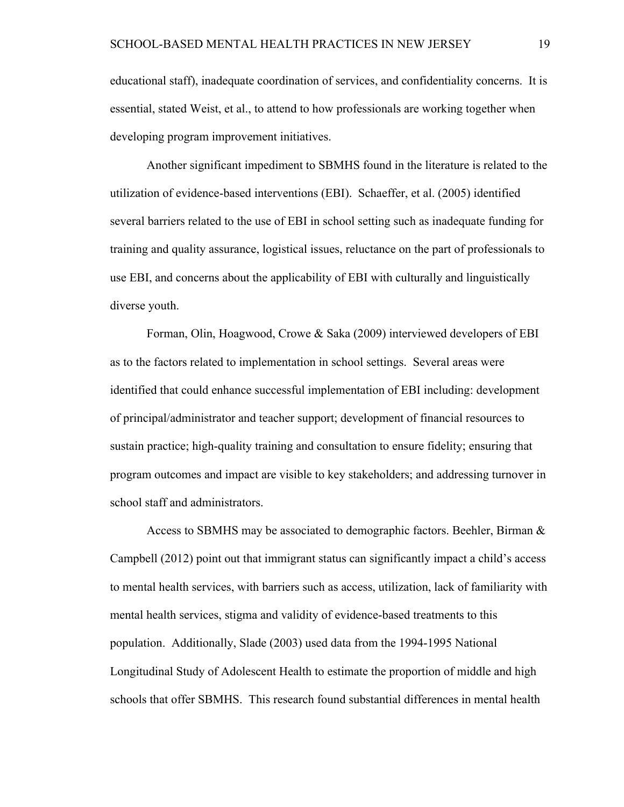educational staff), inadequate coordination of services, and confidentiality concerns. It is essential, stated Weist, et al., to attend to how professionals are working together when developing program improvement initiatives.

Another significant impediment to SBMHS found in the literature is related to the utilization of evidence-based interventions (EBI). Schaeffer, et al. (2005) identified several barriers related to the use of EBI in school setting such as inadequate funding for training and quality assurance, logistical issues, reluctance on the part of professionals to use EBI, and concerns about the applicability of EBI with culturally and linguistically diverse youth.

Forman, Olin, Hoagwood, Crowe & Saka (2009) interviewed developers of EBI as to the factors related to implementation in school settings. Several areas were identified that could enhance successful implementation of EBI including: development of principal/administrator and teacher support; development of financial resources to sustain practice; high-quality training and consultation to ensure fidelity; ensuring that program outcomes and impact are visible to key stakeholders; and addressing turnover in school staff and administrators.

Access to SBMHS may be associated to demographic factors. Beehler, Birman  $\&$ Campbell (2012) point out that immigrant status can significantly impact a child's access to mental health services, with barriers such as access, utilization, lack of familiarity with mental health services, stigma and validity of evidence-based treatments to this population. Additionally, Slade (2003) used data from the 1994-1995 National Longitudinal Study of Adolescent Health to estimate the proportion of middle and high schools that offer SBMHS. This research found substantial differences in mental health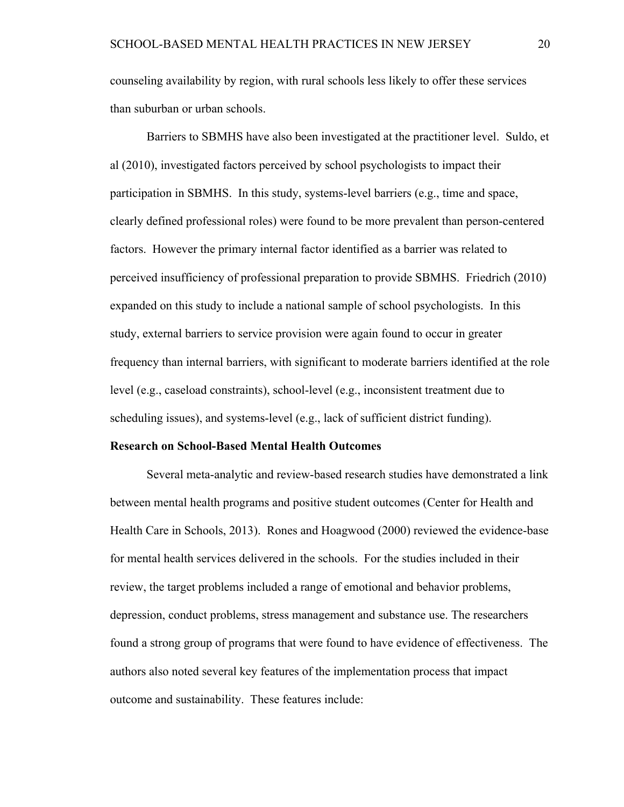counseling availability by region, with rural schools less likely to offer these services than suburban or urban schools.

Barriers to SBMHS have also been investigated at the practitioner level. Suldo, et al (2010), investigated factors perceived by school psychologists to impact their participation in SBMHS. In this study, systems-level barriers (e.g., time and space, clearly defined professional roles) were found to be more prevalent than person-centered factors. However the primary internal factor identified as a barrier was related to perceived insufficiency of professional preparation to provide SBMHS. Friedrich (2010) expanded on this study to include a national sample of school psychologists. In this study, external barriers to service provision were again found to occur in greater frequency than internal barriers, with significant to moderate barriers identified at the role level (e.g., caseload constraints), school-level (e.g., inconsistent treatment due to scheduling issues), and systems-level (e.g., lack of sufficient district funding).

#### **Research on School-Based Mental Health Outcomes**

Several meta-analytic and review-based research studies have demonstrated a link between mental health programs and positive student outcomes (Center for Health and Health Care in Schools, 2013). Rones and Hoagwood (2000) reviewed the evidence-base for mental health services delivered in the schools. For the studies included in their review, the target problems included a range of emotional and behavior problems, depression, conduct problems, stress management and substance use. The researchers found a strong group of programs that were found to have evidence of effectiveness. The authors also noted several key features of the implementation process that impact outcome and sustainability. These features include: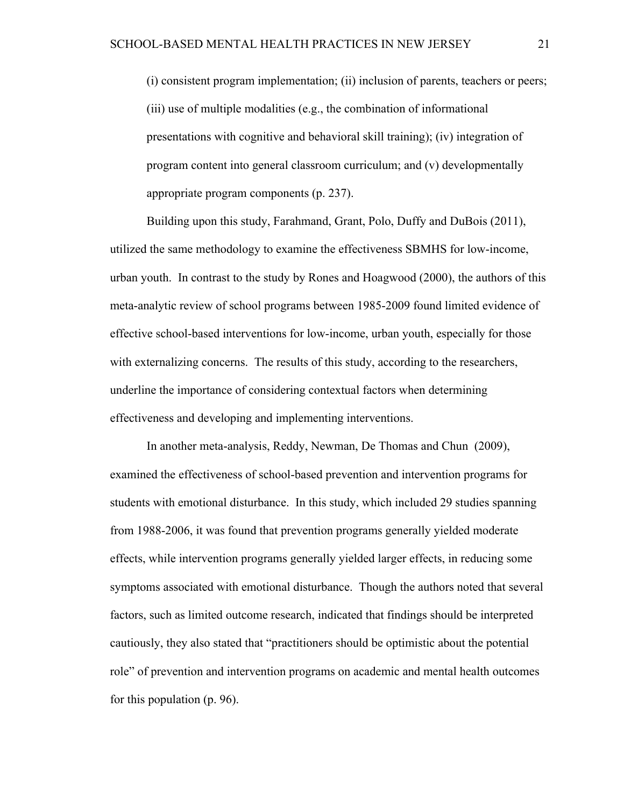(i) consistent program implementation; (ii) inclusion of parents, teachers or peers; (iii) use of multiple modalities (e.g., the combination of informational presentations with cognitive and behavioral skill training); (iv) integration of program content into general classroom curriculum; and (v) developmentally appropriate program components (p. 237).

Building upon this study, Farahmand, Grant, Polo, Duffy and DuBois (2011), utilized the same methodology to examine the effectiveness SBMHS for low-income, urban youth. In contrast to the study by Rones and Hoagwood (2000), the authors of this meta-analytic review of school programs between 1985-2009 found limited evidence of effective school-based interventions for low-income, urban youth, especially for those with externalizing concerns. The results of this study, according to the researchers, underline the importance of considering contextual factors when determining effectiveness and developing and implementing interventions.

In another meta-analysis, Reddy, Newman, De Thomas and Chun (2009), examined the effectiveness of school-based prevention and intervention programs for students with emotional disturbance. In this study, which included 29 studies spanning from 1988-2006, it was found that prevention programs generally yielded moderate effects, while intervention programs generally yielded larger effects, in reducing some symptoms associated with emotional disturbance. Though the authors noted that several factors, such as limited outcome research, indicated that findings should be interpreted cautiously, they also stated that "practitioners should be optimistic about the potential role" of prevention and intervention programs on academic and mental health outcomes for this population (p. 96).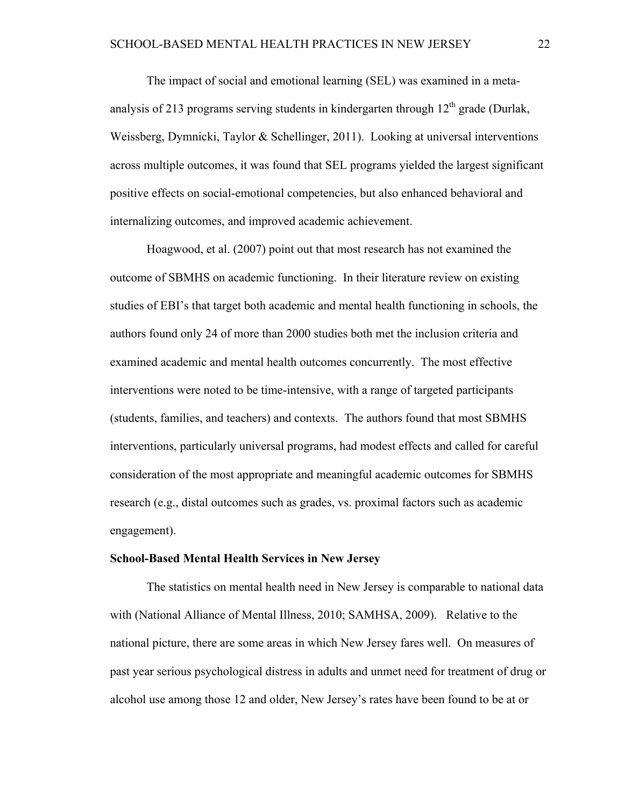The impact of social and emotional learning (SEL) was examined in a metaanalysis of 213 programs serving students in kindergarten through  $12<sup>th</sup>$  grade (Durlak, Weissberg, Dymnicki, Taylor & Schellinger, 2011). Looking at universal interventions across multiple outcomes, it was found that SEL programs yielded the largest significant positive effects on social-emotional competencies, but also enhanced behavioral and internalizing outcomes, and improved academic achievement.

Hoagwood, et al. (2007) point out that most research has not examined the outcome of SBMHS on academic functioning. In their literature review on existing studies of EBI's that target both academic and mental health functioning in schools, the authors found only 24 of more than 2000 studies both met the inclusion criteria and examined academic and mental health outcomes concurrently. The most effective interventions were noted to be time-intensive, with a range of targeted participants (students, families, and teachers) and contexts. The authors found that most SBMHS interventions, particularly universal programs, had modest effects and called for careful consideration of the most appropriate and meaningful academic outcomes for SBMHS research (e.g., distal outcomes such as grades, vs. proximal factors such as academic engagement).

### **School-Based Mental Health Services in New Jersey**

The statistics on mental health need in New Jersey is comparable to national data with (National Alliance of Mental Illness, 2010; SAMHSA, 2009). Relative to the national picture, there are some areas in which New Jersey fares well. On measures of past year serious psychological distress in adults and unmet need for treatment of drug or alcohol use among those 12 and older, New Jersey's rates have been found to be at or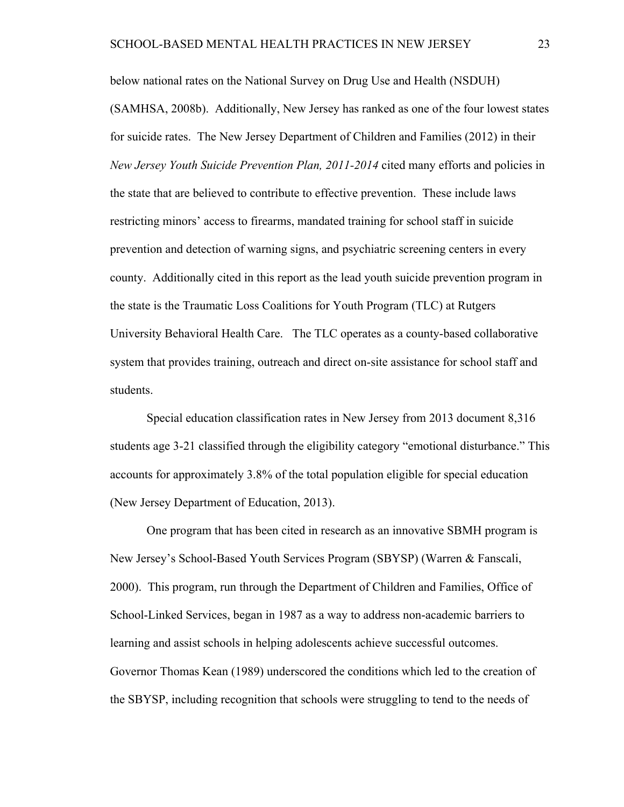below national rates on the National Survey on Drug Use and Health (NSDUH) (SAMHSA, 2008b). Additionally, New Jersey has ranked as one of the four lowest states for suicide rates. The New Jersey Department of Children and Families (2012) in their *New Jersey Youth Suicide Prevention Plan, 2011-2014* cited many efforts and policies in the state that are believed to contribute to effective prevention. These include laws restricting minors' access to firearms, mandated training for school staff in suicide prevention and detection of warning signs, and psychiatric screening centers in every county. Additionally cited in this report as the lead youth suicide prevention program in the state is the Traumatic Loss Coalitions for Youth Program (TLC) at Rutgers University Behavioral Health Care. The TLC operates as a county-based collaborative system that provides training, outreach and direct on-site assistance for school staff and students.

Special education classification rates in New Jersey from 2013 document 8,316 students age 3-21 classified through the eligibility category "emotional disturbance." This accounts for approximately 3.8% of the total population eligible for special education (New Jersey Department of Education, 2013).

One program that has been cited in research as an innovative SBMH program is New Jersey's School-Based Youth Services Program (SBYSP) (Warren & Fanscali, 2000). This program, run through the Department of Children and Families, Office of School-Linked Services, began in 1987 as a way to address non-academic barriers to learning and assist schools in helping adolescents achieve successful outcomes. Governor Thomas Kean (1989) underscored the conditions which led to the creation of the SBYSP, including recognition that schools were struggling to tend to the needs of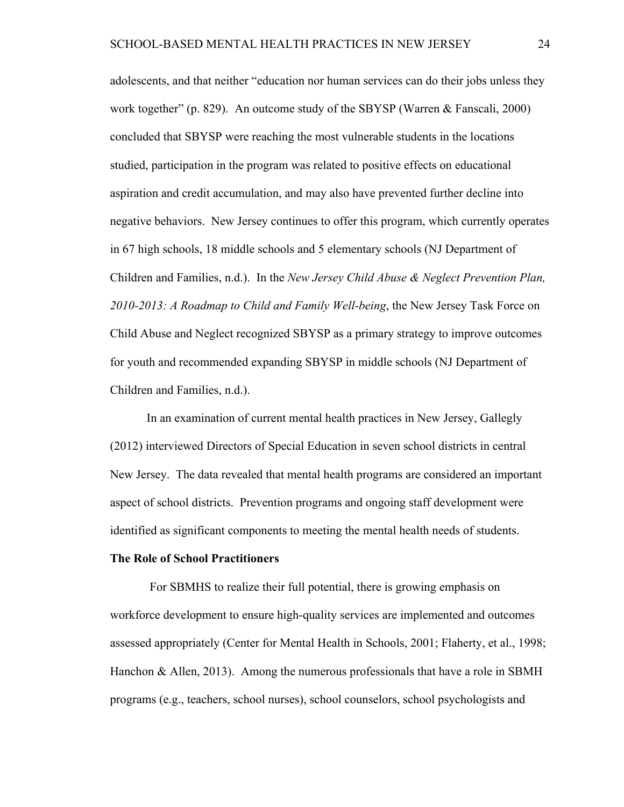adolescents, and that neither "education nor human services can do their jobs unless they work together" (p. 829). An outcome study of the SBYSP (Warren & Fanscali, 2000) concluded that SBYSP were reaching the most vulnerable students in the locations studied, participation in the program was related to positive effects on educational aspiration and credit accumulation, and may also have prevented further decline into negative behaviors. New Jersey continues to offer this program, which currently operates in 67 high schools, 18 middle schools and 5 elementary schools (NJ Department of Children and Families, n.d.). In the *New Jersey Child Abuse & Neglect Prevention Plan, 2010-2013: A Roadmap to Child and Family Well-being*, the New Jersey Task Force on Child Abuse and Neglect recognized SBYSP as a primary strategy to improve outcomes for youth and recommended expanding SBYSP in middle schools (NJ Department of Children and Families, n.d.).

In an examination of current mental health practices in New Jersey, Gallegly (2012) interviewed Directors of Special Education in seven school districts in central New Jersey. The data revealed that mental health programs are considered an important aspect of school districts. Prevention programs and ongoing staff development were identified as significant components to meeting the mental health needs of students.

## **The Role of School Practitioners**

For SBMHS to realize their full potential, there is growing emphasis on workforce development to ensure high-quality services are implemented and outcomes assessed appropriately (Center for Mental Health in Schools, 2001; Flaherty, et al., 1998; Hanchon & Allen, 2013). Among the numerous professionals that have a role in SBMH programs (e.g., teachers, school nurses), school counselors, school psychologists and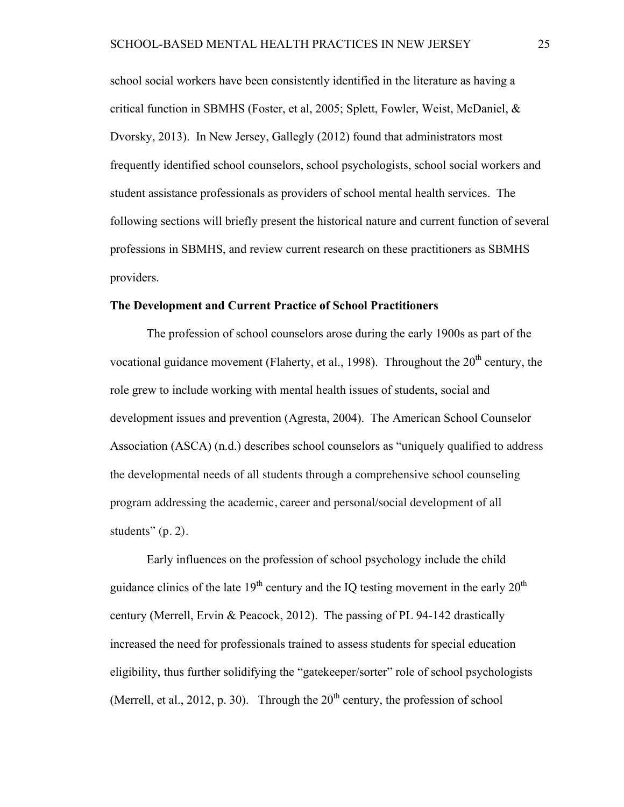school social workers have been consistently identified in the literature as having a critical function in SBMHS (Foster, et al, 2005; Splett, Fowler, Weist, McDaniel, & Dvorsky, 2013). In New Jersey, Gallegly (2012) found that administrators most frequently identified school counselors, school psychologists, school social workers and student assistance professionals as providers of school mental health services. The following sections will briefly present the historical nature and current function of several professions in SBMHS, and review current research on these practitioners as SBMHS providers.

#### **The Development and Current Practice of School Practitioners**

The profession of school counselors arose during the early 1900s as part of the vocational guidance movement (Flaherty, et al., 1998). Throughout the 20<sup>th</sup> century, the role grew to include working with mental health issues of students, social and development issues and prevention (Agresta, 2004). The American School Counselor Association (ASCA) (n.d.) describes school counselors as "uniquely qualified to address the developmental needs of all students through a comprehensive school counseling program addressing the academic, career and personal/social development of all students" (p. 2).

Early influences on the profession of school psychology include the child guidance clinics of the late  $19<sup>th</sup>$  century and the IQ testing movement in the early  $20<sup>th</sup>$ century (Merrell, Ervin & Peacock, 2012). The passing of PL 94-142 drastically increased the need for professionals trained to assess students for special education eligibility, thus further solidifying the "gatekeeper/sorter" role of school psychologists (Merrell, et al., 2012, p. 30). Through the  $20<sup>th</sup>$  century, the profession of school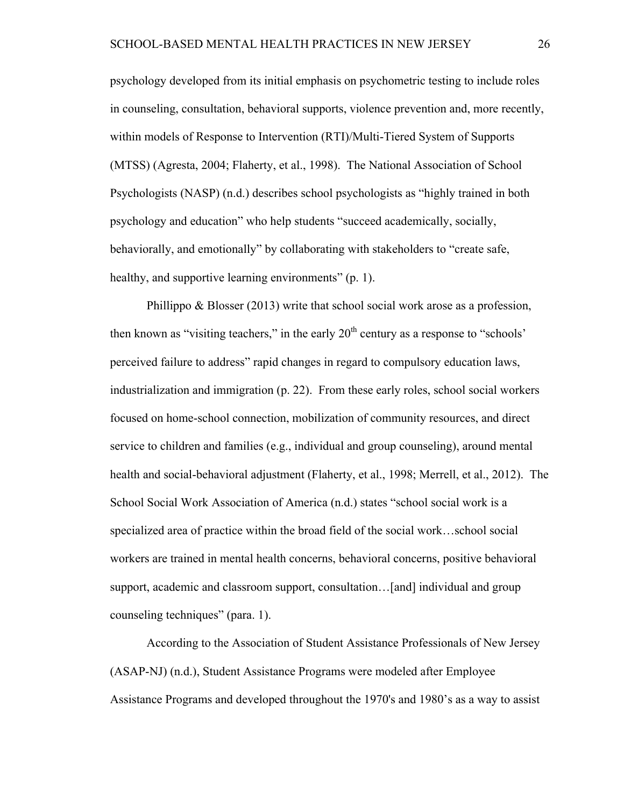psychology developed from its initial emphasis on psychometric testing to include roles in counseling, consultation, behavioral supports, violence prevention and, more recently, within models of Response to Intervention (RTI)/Multi-Tiered System of Supports (MTSS) (Agresta, 2004; Flaherty, et al., 1998). The National Association of School Psychologists (NASP) (n.d.) describes school psychologists as "highly trained in both psychology and education" who help students "succeed academically, socially, behaviorally, and emotionally" by collaborating with stakeholders to "create safe, healthy, and supportive learning environments" (p. 1).

Phillippo & Blosser (2013) write that school social work arose as a profession, then known as "visiting teachers," in the early  $20<sup>th</sup>$  century as a response to "schools" perceived failure to address" rapid changes in regard to compulsory education laws, industrialization and immigration (p. 22). From these early roles, school social workers focused on home-school connection, mobilization of community resources, and direct service to children and families (e.g., individual and group counseling), around mental health and social-behavioral adjustment (Flaherty, et al., 1998; Merrell, et al., 2012). The School Social Work Association of America (n.d.) states "school social work is a specialized area of practice within the broad field of the social work…school social workers are trained in mental health concerns, behavioral concerns, positive behavioral support, academic and classroom support, consultation...[and] individual and group counseling techniques" (para. 1).

According to the Association of Student Assistance Professionals of New Jersey (ASAP-NJ) (n.d.), Student Assistance Programs were modeled after Employee Assistance Programs and developed throughout the 1970's and 1980's as a way to assist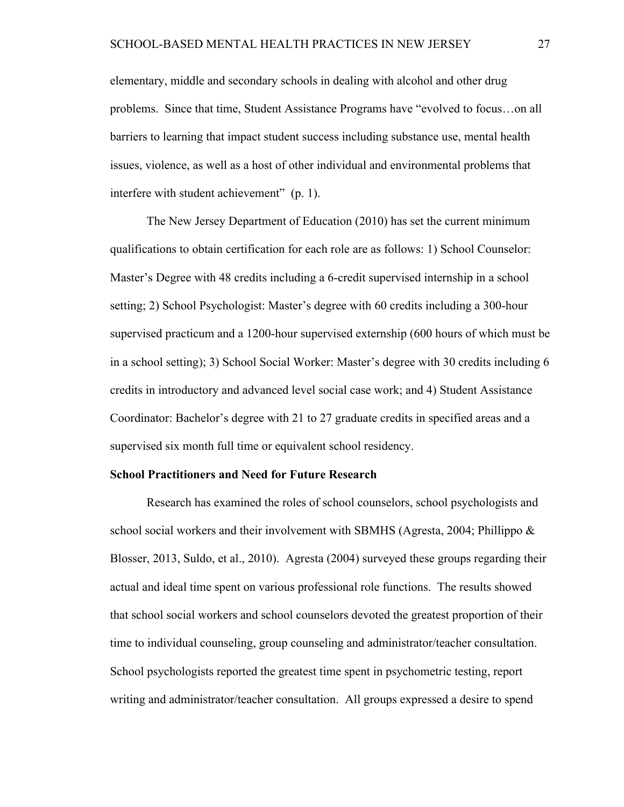elementary, middle and secondary schools in dealing with alcohol and other drug problems. Since that time, Student Assistance Programs have "evolved to focus…on all barriers to learning that impact student success including substance use, mental health issues, violence, as well as a host of other individual and environmental problems that interfere with student achievement" (p. 1).

The New Jersey Department of Education (2010) has set the current minimum qualifications to obtain certification for each role are as follows: 1) School Counselor: Master's Degree with 48 credits including a 6-credit supervised internship in a school setting; 2) School Psychologist: Master's degree with 60 credits including a 300-hour supervised practicum and a 1200-hour supervised externship (600 hours of which must be in a school setting); 3) School Social Worker: Master's degree with 30 credits including 6 credits in introductory and advanced level social case work; and 4) Student Assistance Coordinator: Bachelor's degree with 21 to 27 graduate credits in specified areas and a supervised six month full time or equivalent school residency.

#### **School Practitioners and Need for Future Research**

Research has examined the roles of school counselors, school psychologists and school social workers and their involvement with SBMHS (Agresta, 2004; Phillippo & Blosser, 2013, Suldo, et al., 2010). Agresta (2004) surveyed these groups regarding their actual and ideal time spent on various professional role functions. The results showed that school social workers and school counselors devoted the greatest proportion of their time to individual counseling, group counseling and administrator/teacher consultation. School psychologists reported the greatest time spent in psychometric testing, report writing and administrator/teacher consultation. All groups expressed a desire to spend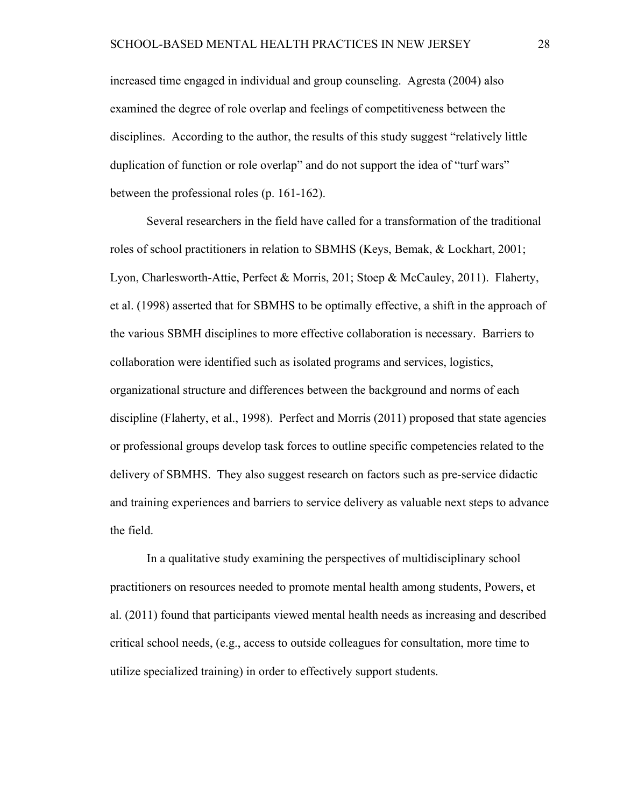increased time engaged in individual and group counseling. Agresta (2004) also examined the degree of role overlap and feelings of competitiveness between the disciplines. According to the author, the results of this study suggest "relatively little duplication of function or role overlap" and do not support the idea of "turf wars" between the professional roles (p. 161-162).

Several researchers in the field have called for a transformation of the traditional roles of school practitioners in relation to SBMHS (Keys, Bemak, & Lockhart, 2001; Lyon, Charlesworth-Attie, Perfect & Morris, 201; Stoep & McCauley, 2011). Flaherty, et al. (1998) asserted that for SBMHS to be optimally effective, a shift in the approach of the various SBMH disciplines to more effective collaboration is necessary. Barriers to collaboration were identified such as isolated programs and services, logistics, organizational structure and differences between the background and norms of each discipline (Flaherty, et al., 1998). Perfect and Morris (2011) proposed that state agencies or professional groups develop task forces to outline specific competencies related to the delivery of SBMHS. They also suggest research on factors such as pre-service didactic and training experiences and barriers to service delivery as valuable next steps to advance the field.

In a qualitative study examining the perspectives of multidisciplinary school practitioners on resources needed to promote mental health among students, Powers, et al. (2011) found that participants viewed mental health needs as increasing and described critical school needs, (e.g., access to outside colleagues for consultation, more time to utilize specialized training) in order to effectively support students.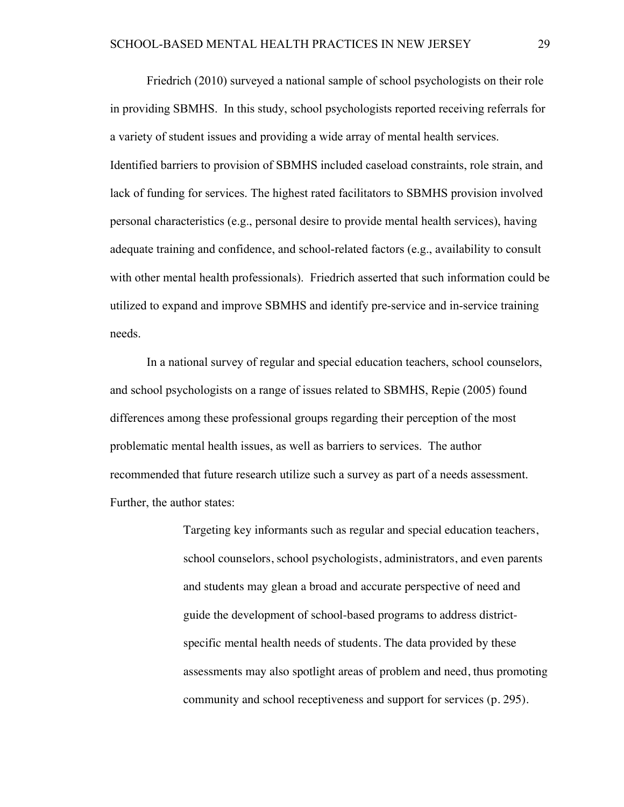Friedrich (2010) surveyed a national sample of school psychologists on their role in providing SBMHS. In this study, school psychologists reported receiving referrals for a variety of student issues and providing a wide array of mental health services. Identified barriers to provision of SBMHS included caseload constraints, role strain, and lack of funding for services. The highest rated facilitators to SBMHS provision involved personal characteristics (e.g., personal desire to provide mental health services), having adequate training and confidence, and school-related factors (e.g., availability to consult with other mental health professionals). Friedrich asserted that such information could be utilized to expand and improve SBMHS and identify pre-service and in-service training needs.

In a national survey of regular and special education teachers, school counselors, and school psychologists on a range of issues related to SBMHS, Repie (2005) found differences among these professional groups regarding their perception of the most problematic mental health issues, as well as barriers to services. The author recommended that future research utilize such a survey as part of a needs assessment. Further, the author states:

> Targeting key informants such as regular and special education teachers, school counselors, school psychologists, administrators, and even parents and students may glean a broad and accurate perspective of need and guide the development of school-based programs to address districtspecific mental health needs of students. The data provided by these assessments may also spotlight areas of problem and need, thus promoting community and school receptiveness and support for services (p. 295).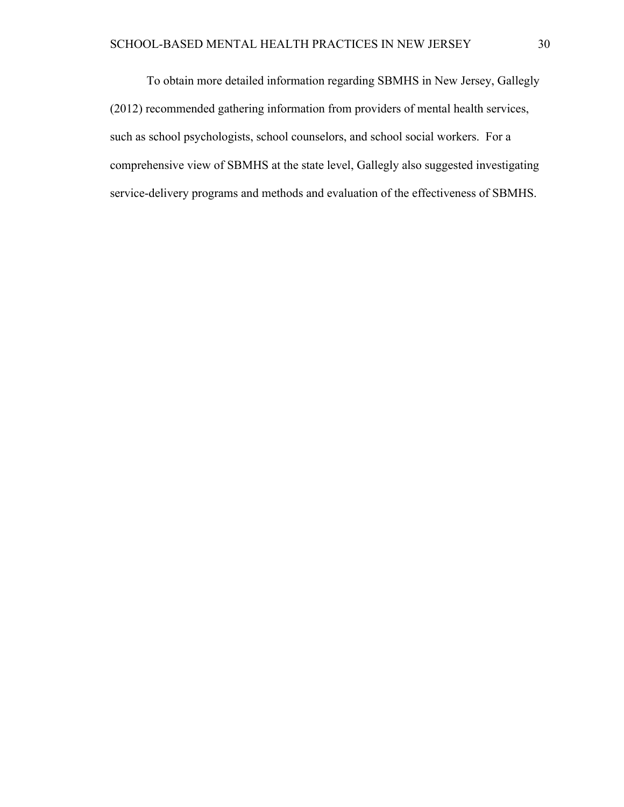To obtain more detailed information regarding SBMHS in New Jersey, Gallegly (2012) recommended gathering information from providers of mental health services, such as school psychologists, school counselors, and school social workers. For a comprehensive view of SBMHS at the state level, Gallegly also suggested investigating service-delivery programs and methods and evaluation of the effectiveness of SBMHS.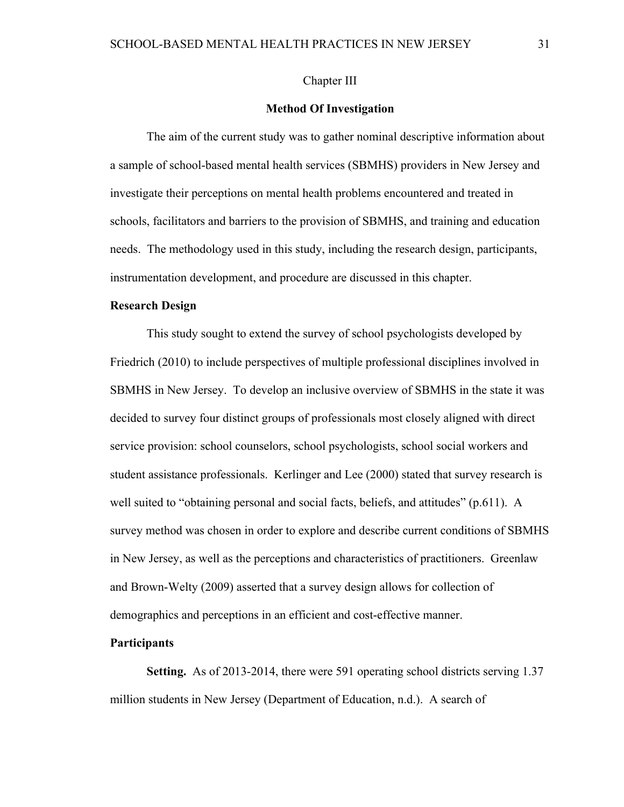### Chapter III

### **Method Of Investigation**

The aim of the current study was to gather nominal descriptive information about a sample of school-based mental health services (SBMHS) providers in New Jersey and investigate their perceptions on mental health problems encountered and treated in schools, facilitators and barriers to the provision of SBMHS, and training and education needs. The methodology used in this study, including the research design, participants, instrumentation development, and procedure are discussed in this chapter.

### **Research Design**

This study sought to extend the survey of school psychologists developed by Friedrich (2010) to include perspectives of multiple professional disciplines involved in SBMHS in New Jersey. To develop an inclusive overview of SBMHS in the state it was decided to survey four distinct groups of professionals most closely aligned with direct service provision: school counselors, school psychologists, school social workers and student assistance professionals. Kerlinger and Lee (2000) stated that survey research is well suited to "obtaining personal and social facts, beliefs, and attitudes" (p.611). A survey method was chosen in order to explore and describe current conditions of SBMHS in New Jersey, as well as the perceptions and characteristics of practitioners. Greenlaw and Brown-Welty (2009) asserted that a survey design allows for collection of demographics and perceptions in an efficient and cost-effective manner.

### **Participants**

**Setting.** As of 2013-2014, there were 591 operating school districts serving 1.37 million students in New Jersey (Department of Education, n.d.). A search of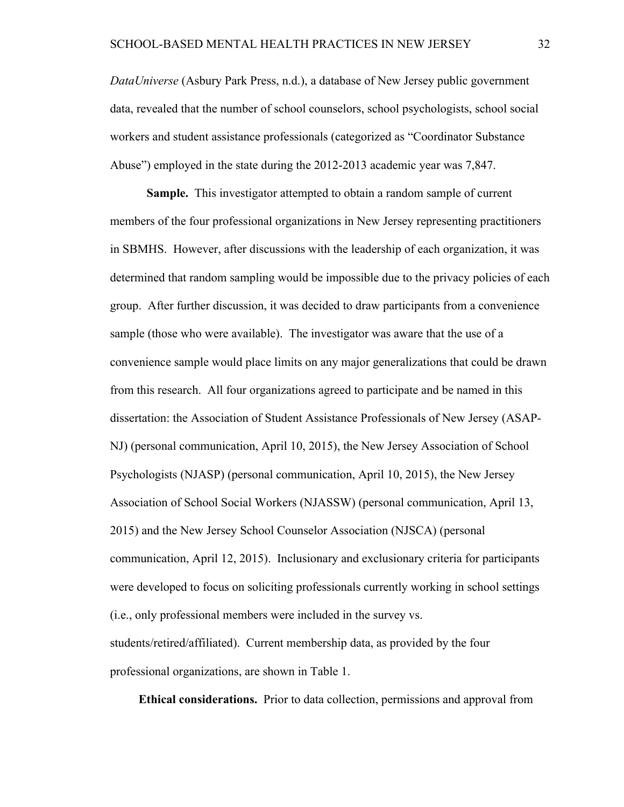*DataUniverse* (Asbury Park Press, n.d.), a database of New Jersey public government data, revealed that the number of school counselors, school psychologists, school social workers and student assistance professionals (categorized as "Coordinator Substance Abuse") employed in the state during the 2012-2013 academic year was 7,847.

**Sample.** This investigator attempted to obtain a random sample of current members of the four professional organizations in New Jersey representing practitioners in SBMHS. However, after discussions with the leadership of each organization, it was determined that random sampling would be impossible due to the privacy policies of each group. After further discussion, it was decided to draw participants from a convenience sample (those who were available). The investigator was aware that the use of a convenience sample would place limits on any major generalizations that could be drawn from this research. All four organizations agreed to participate and be named in this dissertation: the Association of Student Assistance Professionals of New Jersey (ASAP-NJ) (personal communication, April 10, 2015), the New Jersey Association of School Psychologists (NJASP) (personal communication, April 10, 2015), the New Jersey Association of School Social Workers (NJASSW) (personal communication, April 13, 2015) and the New Jersey School Counselor Association (NJSCA) (personal communication, April 12, 2015). Inclusionary and exclusionary criteria for participants were developed to focus on soliciting professionals currently working in school settings (i.e., only professional members were included in the survey vs. students/retired/affiliated). Current membership data, as provided by the four

professional organizations, are shown in Table 1.

**Ethical considerations.**Prior to data collection, permissions and approval from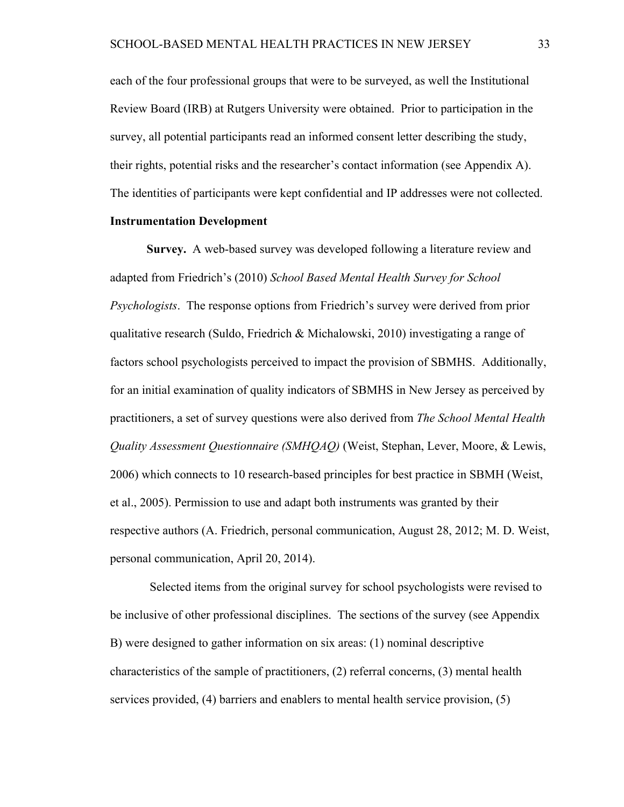each of the four professional groups that were to be surveyed, as well the Institutional Review Board (IRB) at Rutgers University were obtained. Prior to participation in the survey, all potential participants read an informed consent letter describing the study, their rights, potential risks and the researcher's contact information (see Appendix A). The identities of participants were kept confidential and IP addresses were not collected.

### **Instrumentation Development**

**Survey.** A web-based survey was developed following a literature review and adapted from Friedrich's (2010) *School Based Mental Health Survey for School Psychologists*. The response options from Friedrich's survey were derived from prior qualitative research (Suldo, Friedrich & Michalowski, 2010) investigating a range of factors school psychologists perceived to impact the provision of SBMHS. Additionally, for an initial examination of quality indicators of SBMHS in New Jersey as perceived by practitioners, a set of survey questions were also derived from *The School Mental Health Quality Assessment Questionnaire (SMHQAQ)* (Weist, Stephan, Lever, Moore, & Lewis, 2006) which connects to 10 research-based principles for best practice in SBMH (Weist, et al., 2005). Permission to use and adapt both instruments was granted by their respective authors (A. Friedrich, personal communication, August 28, 2012; M. D. Weist, personal communication, April 20, 2014).

 Selected items from the original survey for school psychologists were revised to be inclusive of other professional disciplines. The sections of the survey (see Appendix B) were designed to gather information on six areas: (1) nominal descriptive characteristics of the sample of practitioners, (2) referral concerns, (3) mental health services provided, (4) barriers and enablers to mental health service provision, (5)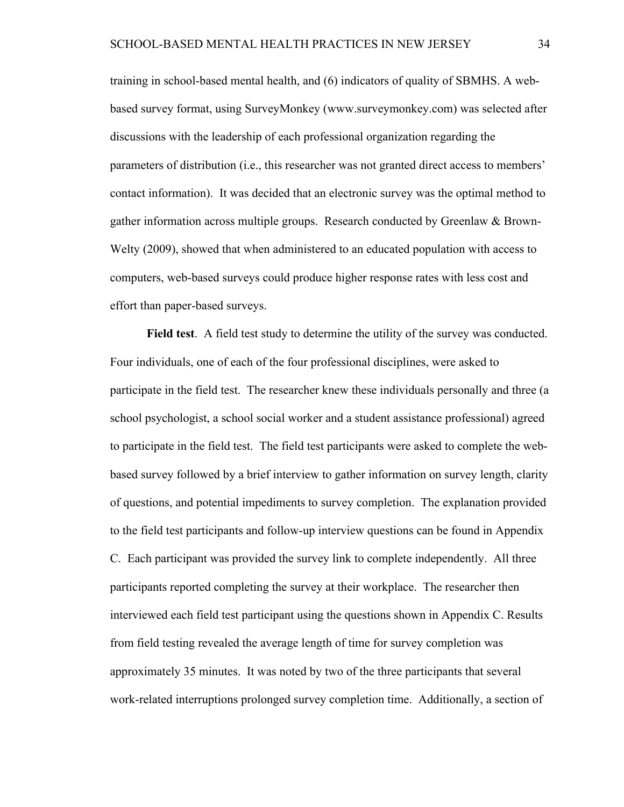training in school-based mental health, and (6) indicators of quality of SBMHS. A webbased survey format, using SurveyMonkey (www.surveymonkey.com) was selected after discussions with the leadership of each professional organization regarding the parameters of distribution (i.e., this researcher was not granted direct access to members' contact information). It was decided that an electronic survey was the optimal method to gather information across multiple groups. Research conducted by Greenlaw & Brown-Welty (2009), showed that when administered to an educated population with access to computers, web-based surveys could produce higher response rates with less cost and effort than paper-based surveys.

**Field test**. A field test study to determine the utility of the survey was conducted. Four individuals, one of each of the four professional disciplines, were asked to participate in the field test. The researcher knew these individuals personally and three (a school psychologist, a school social worker and a student assistance professional) agreed to participate in the field test. The field test participants were asked to complete the webbased survey followed by a brief interview to gather information on survey length, clarity of questions, and potential impediments to survey completion. The explanation provided to the field test participants and follow-up interview questions can be found in Appendix C. Each participant was provided the survey link to complete independently. All three participants reported completing the survey at their workplace. The researcher then interviewed each field test participant using the questions shown in Appendix C. Results from field testing revealed the average length of time for survey completion was approximately 35 minutes. It was noted by two of the three participants that several work-related interruptions prolonged survey completion time. Additionally, a section of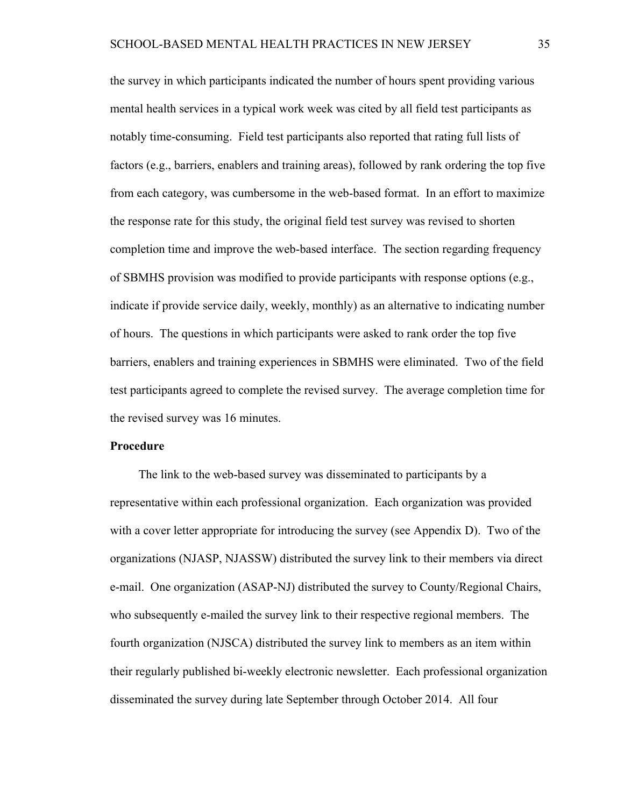the survey in which participants indicated the number of hours spent providing various mental health services in a typical work week was cited by all field test participants as notably time-consuming. Field test participants also reported that rating full lists of factors (e.g., barriers, enablers and training areas), followed by rank ordering the top five from each category, was cumbersome in the web-based format. In an effort to maximize the response rate for this study, the original field test survey was revised to shorten completion time and improve the web-based interface. The section regarding frequency of SBMHS provision was modified to provide participants with response options (e.g., indicate if provide service daily, weekly, monthly) as an alternative to indicating number of hours. The questions in which participants were asked to rank order the top five barriers, enablers and training experiences in SBMHS were eliminated. Two of the field test participants agreed to complete the revised survey. The average completion time for the revised survey was 16 minutes.

### **Procedure**

The link to the web-based survey was disseminated to participants by a representative within each professional organization. Each organization was provided with a cover letter appropriate for introducing the survey (see Appendix D). Two of the organizations (NJASP, NJASSW) distributed the survey link to their members via direct e-mail. One organization (ASAP-NJ) distributed the survey to County/Regional Chairs, who subsequently e-mailed the survey link to their respective regional members. The fourth organization (NJSCA) distributed the survey link to members as an item within their regularly published bi-weekly electronic newsletter. Each professional organization disseminated the survey during late September through October 2014. All four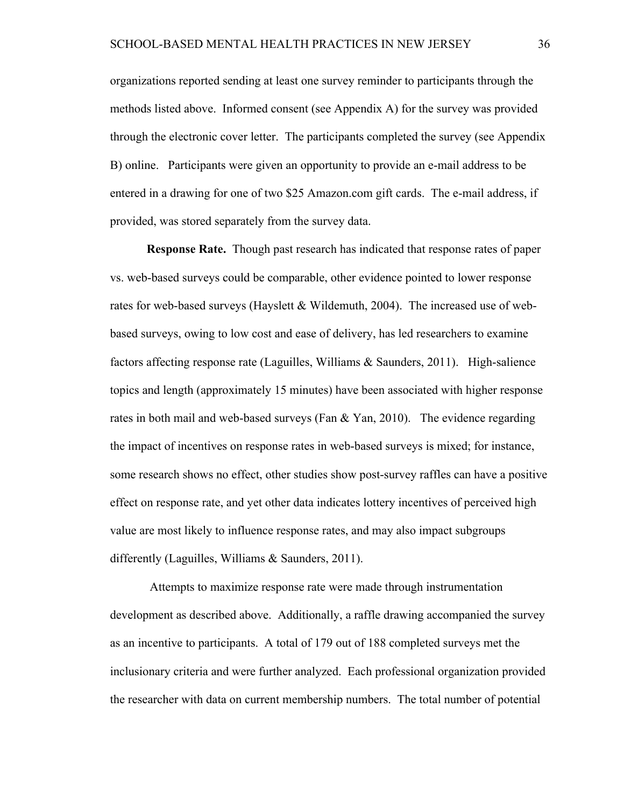organizations reported sending at least one survey reminder to participants through the methods listed above. Informed consent (see Appendix A) for the survey was provided through the electronic cover letter. The participants completed the survey (see Appendix B) online. Participants were given an opportunity to provide an e-mail address to be entered in a drawing for one of two \$25 Amazon.com gift cards. The e-mail address, if provided, was stored separately from the survey data.

**Response Rate.** Though past research has indicated that response rates of paper vs. web-based surveys could be comparable, other evidence pointed to lower response rates for web-based surveys (Hayslett & Wildemuth, 2004). The increased use of webbased surveys, owing to low cost and ease of delivery, has led researchers to examine factors affecting response rate (Laguilles, Williams & Saunders, 2011). High-salience topics and length (approximately 15 minutes) have been associated with higher response rates in both mail and web-based surveys (Fan & Yan, 2010). The evidence regarding the impact of incentives on response rates in web-based surveys is mixed; for instance, some research shows no effect, other studies show post-survey raffles can have a positive effect on response rate, and yet other data indicates lottery incentives of perceived high value are most likely to influence response rates, and may also impact subgroups differently (Laguilles, Williams & Saunders, 2011).

 Attempts to maximize response rate were made through instrumentation development as described above. Additionally, a raffle drawing accompanied the survey as an incentive to participants. A total of 179 out of 188 completed surveys met the inclusionary criteria and were further analyzed. Each professional organization provided the researcher with data on current membership numbers. The total number of potential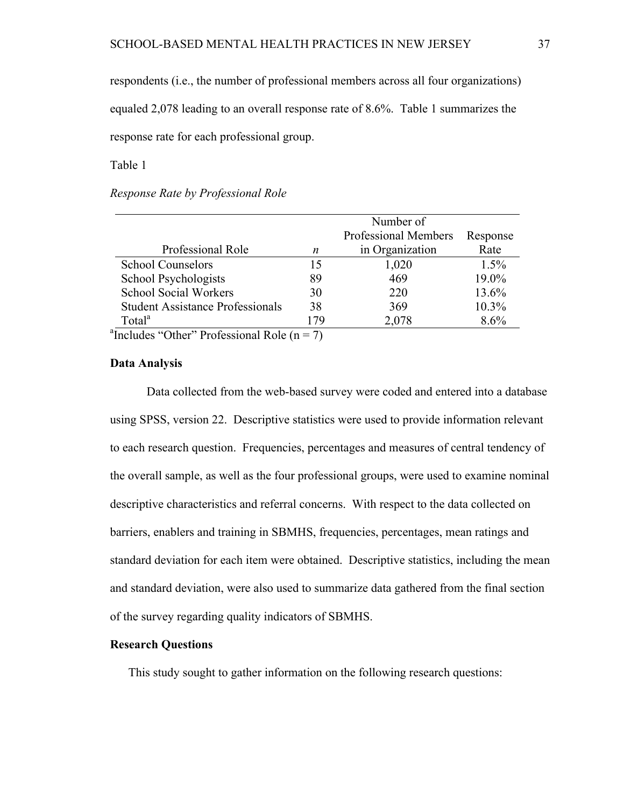respondents (i.e., the number of professional members across all four organizations)

equaled 2,078 leading to an overall response rate of 8.6%. Table 1 summarizes the response rate for each professional group.

Table 1

# *Response Rate by Professional Role*

|                                                         | Number of |                      |          |  |  |  |  |
|---------------------------------------------------------|-----------|----------------------|----------|--|--|--|--|
|                                                         |           | Professional Members | Response |  |  |  |  |
| Professional Role                                       | n         | in Organization      | Rate     |  |  |  |  |
| <b>School Counselors</b>                                | 15        | 1,020                | $1.5\%$  |  |  |  |  |
| School Psychologists                                    | 89        | 469                  | 19.0%    |  |  |  |  |
| <b>School Social Workers</b>                            | 30        | 220                  | 13.6%    |  |  |  |  |
| <b>Student Assistance Professionals</b>                 | 38        | 369                  | $10.3\%$ |  |  |  |  |
| Total <sup>a</sup>                                      | 179       | 2,078                | 8.6%     |  |  |  |  |
| <sup>a</sup> Includes "Other" Professional Role (n = 7) |           |                      |          |  |  |  |  |

### **Data Analysis**

Data collected from the web-based survey were coded and entered into a database using SPSS, version 22. Descriptive statistics were used to provide information relevant to each research question. Frequencies, percentages and measures of central tendency of the overall sample, as well as the four professional groups, were used to examine nominal descriptive characteristics and referral concerns. With respect to the data collected on barriers, enablers and training in SBMHS, frequencies, percentages, mean ratings and standard deviation for each item were obtained. Descriptive statistics, including the mean and standard deviation, were also used to summarize data gathered from the final section of the survey regarding quality indicators of SBMHS.

### **Research Questions**

This study sought to gather information on the following research questions: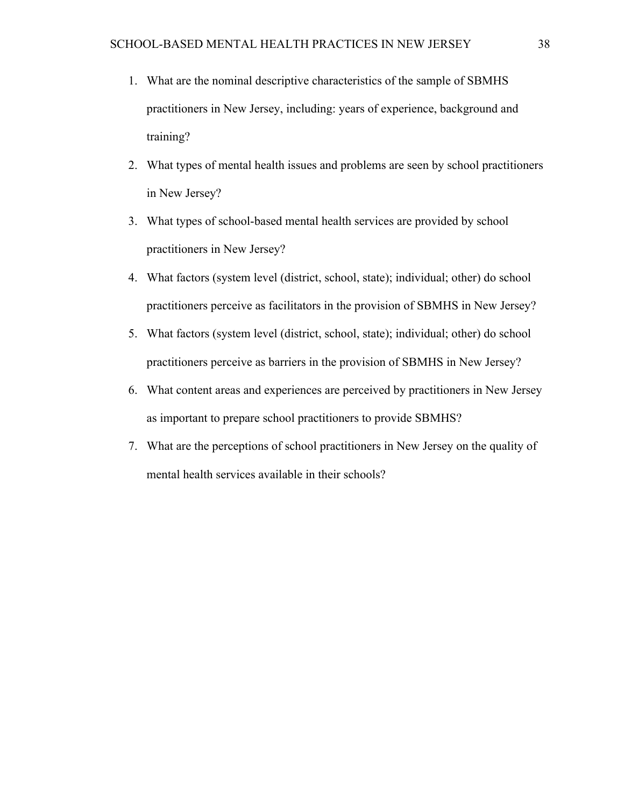- 1. What are the nominal descriptive characteristics of the sample of SBMHS practitioners in New Jersey, including: years of experience, background and training?
- 2. What types of mental health issues and problems are seen by school practitioners in New Jersey?
- 3. What types of school-based mental health services are provided by school practitioners in New Jersey?
- 4. What factors (system level (district, school, state); individual; other) do school practitioners perceive as facilitators in the provision of SBMHS in New Jersey?
- 5. What factors (system level (district, school, state); individual; other) do school practitioners perceive as barriers in the provision of SBMHS in New Jersey?
- 6. What content areas and experiences are perceived by practitioners in New Jersey as important to prepare school practitioners to provide SBMHS?
- 7. What are the perceptions of school practitioners in New Jersey on the quality of mental health services available in their schools?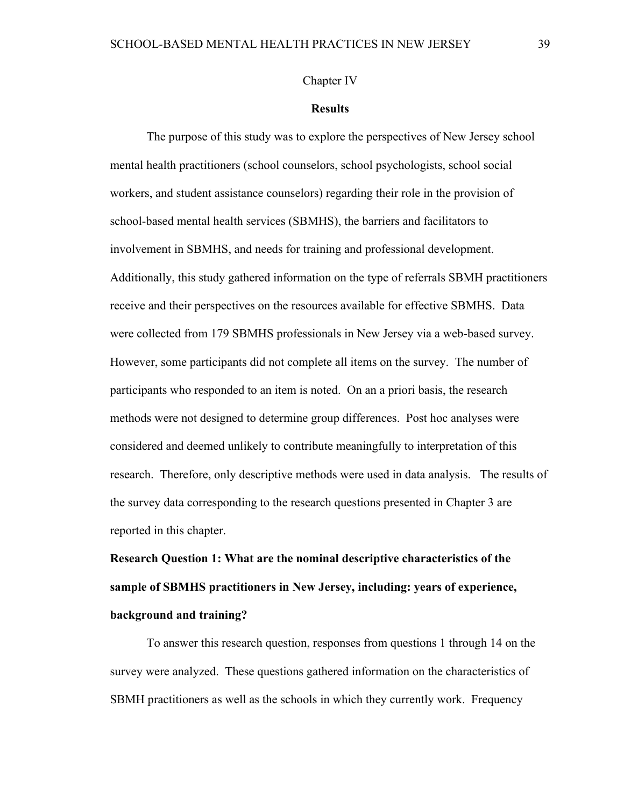### Chapter IV

### **Results**

The purpose of this study was to explore the perspectives of New Jersey school mental health practitioners (school counselors, school psychologists, school social workers, and student assistance counselors) regarding their role in the provision of school-based mental health services (SBMHS), the barriers and facilitators to involvement in SBMHS, and needs for training and professional development. Additionally, this study gathered information on the type of referrals SBMH practitioners receive and their perspectives on the resources available for effective SBMHS. Data were collected from 179 SBMHS professionals in New Jersey via a web-based survey. However, some participants did not complete all items on the survey. The number of participants who responded to an item is noted. On an a priori basis, the research methods were not designed to determine group differences. Post hoc analyses were considered and deemed unlikely to contribute meaningfully to interpretation of this research. Therefore, only descriptive methods were used in data analysis. The results of the survey data corresponding to the research questions presented in Chapter 3 are reported in this chapter.

**Research Question 1: What are the nominal descriptive characteristics of the sample of SBMHS practitioners in New Jersey, including: years of experience, background and training?**

To answer this research question, responses from questions 1 through 14 on the survey were analyzed. These questions gathered information on the characteristics of SBMH practitioners as well as the schools in which they currently work. Frequency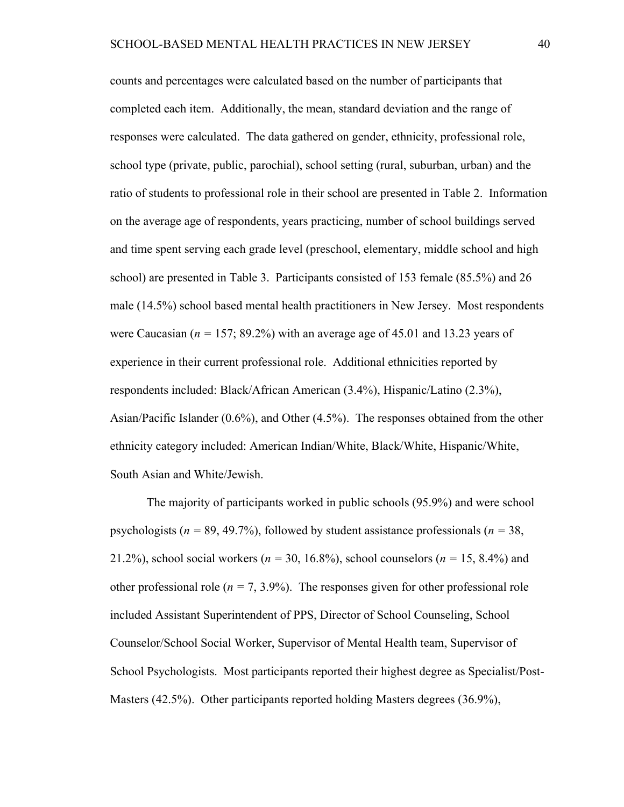counts and percentages were calculated based on the number of participants that completed each item. Additionally, the mean, standard deviation and the range of responses were calculated. The data gathered on gender, ethnicity, professional role, school type (private, public, parochial), school setting (rural, suburban, urban) and the ratio of students to professional role in their school are presented in Table 2. Information on the average age of respondents, years practicing, number of school buildings served and time spent serving each grade level (preschool, elementary, middle school and high school) are presented in Table 3. Participants consisted of 153 female (85.5%) and 26 male (14.5%) school based mental health practitioners in New Jersey. Most respondents were Caucasian ( $n = 157$ ; 89.2%) with an average age of 45.01 and 13.23 years of experience in their current professional role. Additional ethnicities reported by respondents included: Black/African American (3.4%), Hispanic/Latino (2.3%), Asian/Pacific Islander (0.6%), and Other (4.5%). The responses obtained from the other ethnicity category included: American Indian/White, Black/White, Hispanic/White, South Asian and White/Jewish.

The majority of participants worked in public schools (95.9%) and were school psychologists (*n =* 89, 49.7%), followed by student assistance professionals (*n =* 38, 21.2%), school social workers (*n =* 30, 16.8%), school counselors (*n =* 15, 8.4%) and other professional role ( $n = 7, 3.9\%$ ). The responses given for other professional role included Assistant Superintendent of PPS, Director of School Counseling, School Counselor/School Social Worker, Supervisor of Mental Health team, Supervisor of School Psychologists. Most participants reported their highest degree as Specialist/Post-Masters (42.5%). Other participants reported holding Masters degrees (36.9%),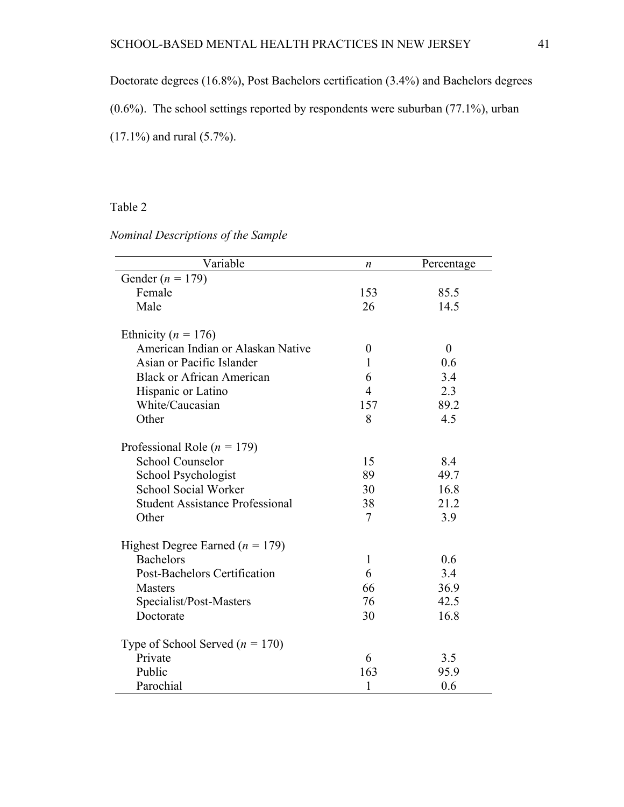Doctorate degrees (16.8%), Post Bachelors certification (3.4%) and Bachelors degrees

(0.6%). The school settings reported by respondents were suburban (77.1%), urban

(17.1%) and rural (5.7%).

### Table 2

*Nominal Descriptions of the Sample* 

| Variable                               | n                | Percentage     |
|----------------------------------------|------------------|----------------|
| Gender ( $n = 179$ )                   |                  |                |
| Female                                 | 153              | 85.5           |
| Male                                   | 26               | 14.5           |
|                                        |                  |                |
| Ethnicity ( $n = 176$ )                |                  |                |
| American Indian or Alaskan Native      | $\boldsymbol{0}$ | $\overline{0}$ |
| Asian or Pacific Islander              | $\mathbf{1}$     | 0.6            |
| <b>Black or African American</b>       | 6                | 3.4            |
| Hispanic or Latino                     | 4                | 2.3            |
| White/Caucasian                        | 157              | 89.2           |
| Other                                  | 8                | 4.5            |
|                                        |                  |                |
| Professional Role ( $n = 179$ )        |                  |                |
| <b>School Counselor</b>                | 15               | 8.4            |
| School Psychologist                    | 89               | 49.7           |
| <b>School Social Worker</b>            | 30               | 16.8           |
| <b>Student Assistance Professional</b> | 38               | 21.2           |
| Other                                  | $\tau$           | 3.9            |
|                                        |                  |                |
| Highest Degree Earned ( $n = 179$ )    |                  |                |
| <b>Bachelors</b>                       | $\mathbf{1}$     | 0.6            |
| Post-Bachelors Certification           | 6                | 3.4            |
| <b>Masters</b>                         | 66               | 36.9           |
| Specialist/Post-Masters                | 76               | 42.5           |
| Doctorate                              | 30               | 16.8           |
|                                        |                  |                |
| Type of School Served ( $n = 170$ )    |                  |                |
| Private                                | 6                | 3.5            |
| Public                                 | 163              | 95.9           |
| Parochial                              | 1                | 0.6            |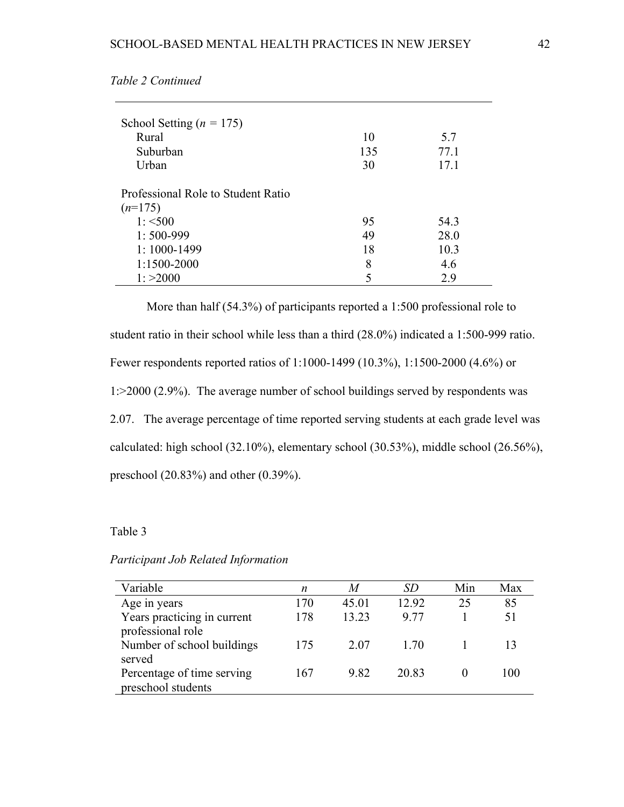| School Setting ( $n = 175$ )<br>Rural<br>Suburban<br>Urban | 10<br>135<br>30 | 5.7<br>77.1<br>17.1 |
|------------------------------------------------------------|-----------------|---------------------|
| Professional Role to Student Ratio                         |                 |                     |
| $(n=175)$                                                  |                 |                     |
| $1: \leq 500$                                              | 95              | 54.3                |
| $1:500-999$                                                | 49              | 28.0                |
| $1:1000 - 1499$                                            | 18              | 10.3                |
| 1:1500-2000                                                | 8               | 4.6                 |
| 1: >2000                                                   | 5               | 2.9                 |

*Table 2 Continued* 

More than half (54.3%) of participants reported a 1:500 professional role to student ratio in their school while less than a third (28.0%) indicated a 1:500-999 ratio. Fewer respondents reported ratios of 1:1000-1499 (10.3%), 1:1500-2000 (4.6%) or 1:>2000 (2.9%). The average number of school buildings served by respondents was 2.07. The average percentage of time reported serving students at each grade level was calculated: high school (32.10%), elementary school (30.53%), middle school (26.56%), preschool (20.83%) and other (0.39%).

### Table 3

### *Participant Job Related Information*

| Variable                                         | n   | M     | SD    | Min | Max |
|--------------------------------------------------|-----|-------|-------|-----|-----|
| Age in years                                     | 170 | 45.01 | 12.92 | 25  | 85  |
| Years practicing in current<br>professional role | 178 | 13.23 | 9 77  |     | 51  |
| Number of school buildings<br>served             | 175 | 2.07  | 1 70  |     |     |
| Percentage of time serving<br>preschool students | 167 | 9.82  | 20.83 |     | 100 |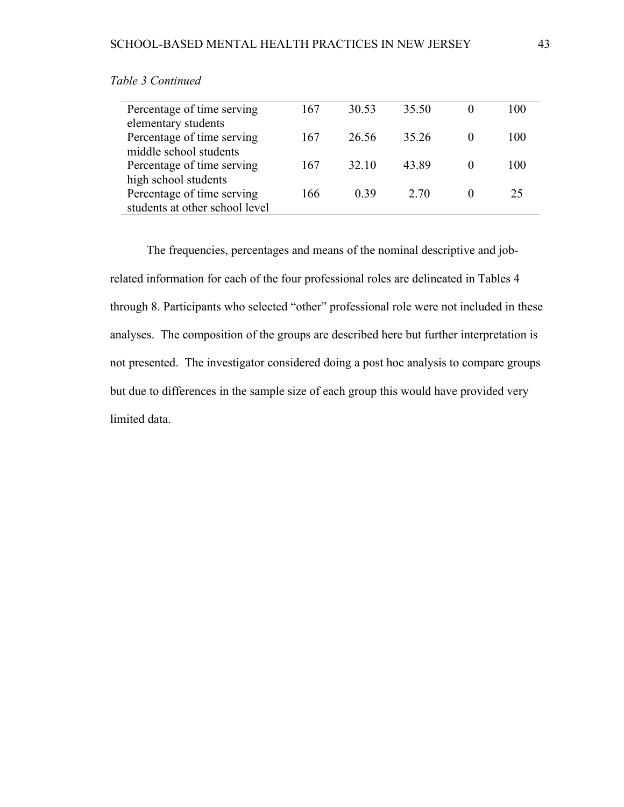| Percentage of time serving     | 167 | 30.53 | 35.50 | 100 |
|--------------------------------|-----|-------|-------|-----|
| elementary students            |     |       |       |     |
| Percentage of time serving     | 167 | 26.56 | 35.26 | 100 |
| middle school students         |     |       |       |     |
| Percentage of time serving     | 167 | 32.10 | 43.89 | 100 |
| high school students           |     |       |       |     |
| Percentage of time serving     | 166 | 0.39  | 2.70  | 25  |
| students at other school level |     |       |       |     |

### *Table 3 Continued*

The frequencies, percentages and means of the nominal descriptive and jobrelated information for each of the four professional roles are delineated in Tables 4 through 8. Participants who selected "other" professional role were not included in these analyses. The composition of the groups are described here but further interpretation is not presented. The investigator considered doing a post hoc analysis to compare groups but due to differences in the sample size of each group this would have provided very limited data.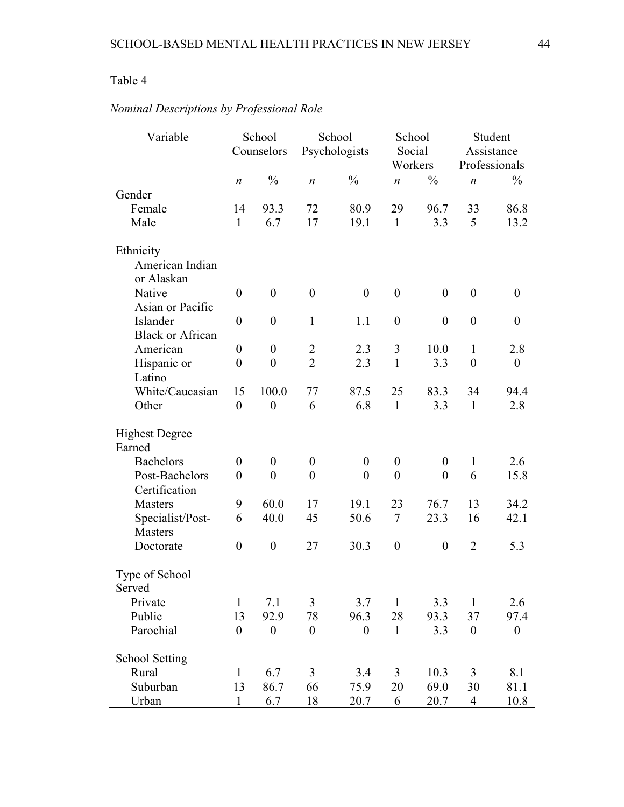| Variable                            |                    | School<br>Counselors |                  | School<br>Psychologists | School<br>Social<br>Workers |                  |                  | Student<br>Assistance<br>Professionals |
|-------------------------------------|--------------------|----------------------|------------------|-------------------------|-----------------------------|------------------|------------------|----------------------------------------|
|                                     | n                  | $\frac{0}{0}$        | $\boldsymbol{n}$ | $\frac{0}{0}$           | $\boldsymbol{n}$            | $\frac{0}{0}$    | $\boldsymbol{n}$ | $\frac{0}{0}$                          |
| Gender                              |                    |                      |                  |                         |                             |                  |                  |                                        |
| Female<br>Male                      | 14<br>$\mathbf{1}$ | 93.3<br>6.7          | 72<br>17         | 80.9<br>19.1            | 29<br>$\mathbf{1}$          | 96.7<br>3.3      | 33<br>5          | 86.8<br>13.2                           |
| Ethnicity                           |                    |                      |                  |                         |                             |                  |                  |                                        |
| American Indian<br>or Alaskan       |                    |                      |                  |                         |                             |                  |                  |                                        |
| Native                              | $\boldsymbol{0}$   | $\boldsymbol{0}$     | $\boldsymbol{0}$ | $\boldsymbol{0}$        | $\boldsymbol{0}$            | $\boldsymbol{0}$ | $\boldsymbol{0}$ | $\boldsymbol{0}$                       |
| Asian or Pacific                    |                    |                      |                  |                         |                             |                  |                  |                                        |
| Islander                            | $\boldsymbol{0}$   | $\boldsymbol{0}$     | $\mathbf{1}$     | 1.1                     | $\boldsymbol{0}$            | $\boldsymbol{0}$ | $\boldsymbol{0}$ | $\boldsymbol{0}$                       |
| <b>Black or African</b><br>American | $\boldsymbol{0}$   | $\boldsymbol{0}$     | $\overline{2}$   | 2.3                     | 3                           | 10.0             | $\mathbf{1}$     | 2.8                                    |
| Hispanic or                         | $\overline{0}$     | $\overline{0}$       | $\overline{2}$   | 2.3                     | $\mathbf{1}$                | 3.3              | $\boldsymbol{0}$ | $\boldsymbol{0}$                       |
| Latino                              |                    |                      |                  |                         |                             |                  |                  |                                        |
| White/Caucasian                     | 15                 | 100.0                | 77               | 87.5                    | 25                          | 83.3             | 34               | 94.4                                   |
| Other                               | $\boldsymbol{0}$   | $\boldsymbol{0}$     | 6                | 6.8                     | $\mathbf{1}$                | 3.3              | $\mathbf{1}$     | 2.8                                    |
|                                     |                    |                      |                  |                         |                             |                  |                  |                                        |
| <b>Highest Degree</b><br>Earned     |                    |                      |                  |                         |                             |                  |                  |                                        |
| <b>Bachelors</b>                    | $\boldsymbol{0}$   | $\boldsymbol{0}$     | $\boldsymbol{0}$ | $\boldsymbol{0}$        | $\boldsymbol{0}$            | $\theta$         | $\mathbf{1}$     | 2.6                                    |
| Post-Bachelors                      | $\boldsymbol{0}$   | $\boldsymbol{0}$     | $\boldsymbol{0}$ | $\boldsymbol{0}$        | $\boldsymbol{0}$            | $\overline{0}$   | 6                | 15.8                                   |
| Certification                       |                    |                      |                  |                         |                             |                  |                  |                                        |
| <b>Masters</b>                      | 9                  | 60.0                 | 17               | 19.1                    | 23                          | 76.7             | 13               | 34.2                                   |
| Specialist/Post-<br><b>Masters</b>  | 6                  | 40.0                 | 45               | 50.6                    | $\tau$                      | 23.3             | 16               | 42.1                                   |
| Doctorate                           | $\boldsymbol{0}$   | $\boldsymbol{0}$     | 27               | 30.3                    | $\boldsymbol{0}$            | $\boldsymbol{0}$ | $\overline{2}$   | 5.3                                    |
| Type of School<br>Served            |                    |                      |                  |                         |                             |                  |                  |                                        |
| Private                             | $\mathbf{1}$       | 7.1                  | 3                | 3.7                     | 1                           | 3.3              | $\mathbf{1}$     | 2.6                                    |
| Public                              | 13                 | 92.9                 | 78               | 96.3                    | 28                          | 93.3             | 37               | 97.4                                   |
| Parochial                           | $\boldsymbol{0}$   | $\boldsymbol{0}$     | $\boldsymbol{0}$ | $\boldsymbol{0}$        | $\mathbf{1}$                | 3.3              | $\boldsymbol{0}$ | $\boldsymbol{0}$                       |
| <b>School Setting</b>               |                    |                      |                  |                         |                             |                  |                  |                                        |
| Rural                               | $\mathbf{1}$       | 6.7                  | 3                | 3.4                     | 3                           | 10.3             | 3                | 8.1                                    |
| Suburban                            | 13                 | 86.7                 | 66               | 75.9                    | 20                          | 69.0             | 30               | 81.1                                   |
| Urban                               | $\mathbf{1}$       | 6.7                  | 18               | 20.7                    | 6                           | 20.7             | $\overline{4}$   | 10.8                                   |

# *Nominal Descriptions by Professional Role*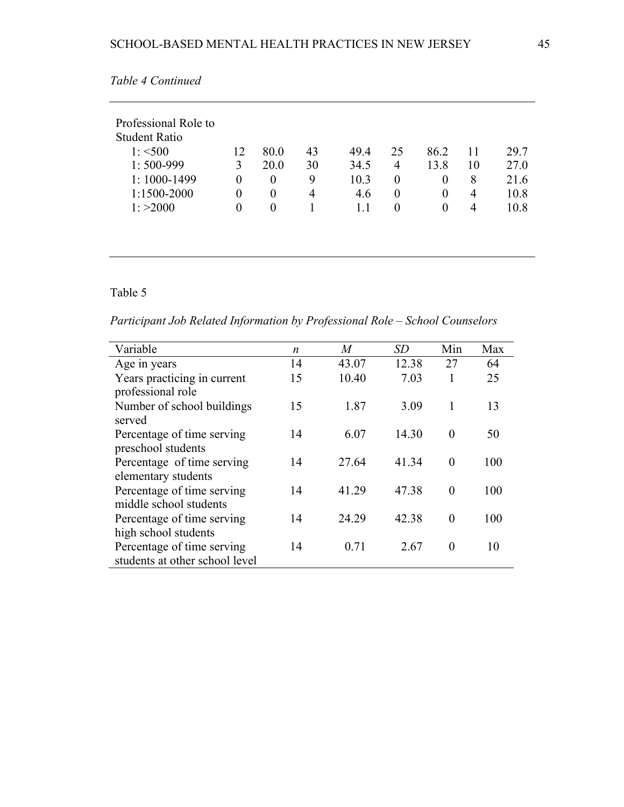|  |  | н. | l |
|--|--|----|---|
|  |  |    |   |

| Professional Role to |          |          |    |      |          |          |    |      |
|----------------------|----------|----------|----|------|----------|----------|----|------|
| <b>Student Ratio</b> |          |          |    |      |          |          |    |      |
| $1: \leq 500$        | 12       | 80.0     | 43 | 49.4 | 25       | 86.2     | 11 | 29.7 |
| $1:500-999$          | 3        | 20.0     | 30 | 34.5 | 4        | 13.8     | 10 | 27.0 |
| $1:1000-1499$        | $\Omega$ | $\Omega$ | 9  | 10.3 | $\Omega$ | 0        | 8  | 21.6 |
| 1:1500-2000          | $\Omega$ | $\theta$ | 4  | 4.6  | $\theta$ | $\theta$ | 4  | 10.8 |
| 1: >2000             | $\theta$ | $\theta$ |    | 1.1  | $\theta$ | 0        | 4  | 10.8 |

*Table 4 Continued* 

*Participant Job Related Information by Professional Role – School Counselors*

| Variable                       | n  | M     | SD    | Min      | Max |
|--------------------------------|----|-------|-------|----------|-----|
| Age in years                   | 14 | 43.07 | 12.38 | 27       | 64  |
| Years practicing in current    | 15 | 10.40 | 7.03  |          | 25  |
| professional role              |    |       |       |          |     |
| Number of school buildings     | 15 | 1.87  | 3.09  | 1        | 13  |
| served                         |    |       |       |          |     |
| Percentage of time serving     | 14 | 6.07  | 14.30 | $\Omega$ | 50  |
| preschool students             |    |       |       |          |     |
| Percentage of time serving     | 14 | 27.64 | 41 34 | $\theta$ | 100 |
| elementary students            |    |       |       |          |     |
| Percentage of time serving     | 14 | 41.29 | 47.38 | $\theta$ | 100 |
| middle school students         |    |       |       |          |     |
| Percentage of time serving     | 14 | 24.29 | 42.38 | $\theta$ | 100 |
| high school students           |    |       |       |          |     |
| Percentage of time serving     | 14 | 0.71  | 2.67  | $\Omega$ | 10  |
| students at other school level |    |       |       |          |     |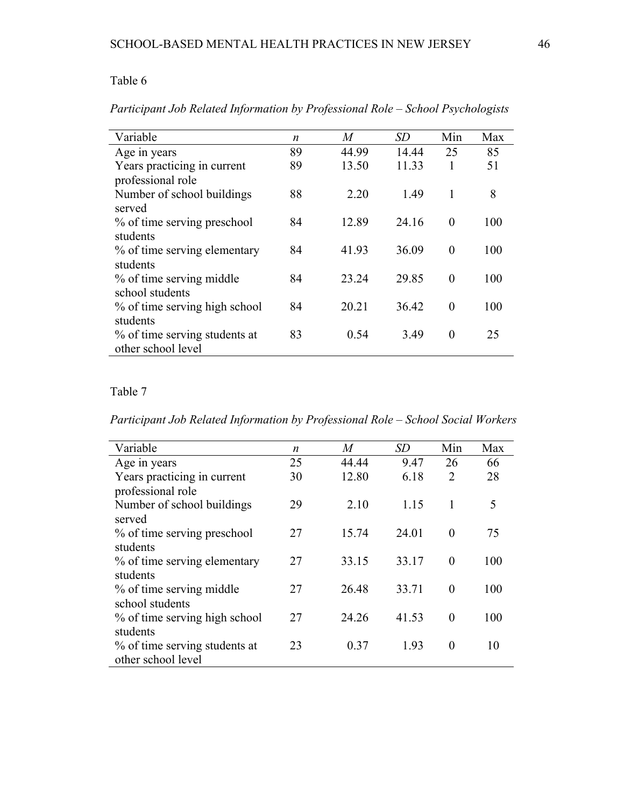| Variable                      | $\boldsymbol{n}$ | M     | <i>SD</i> | Min      | Max |
|-------------------------------|------------------|-------|-----------|----------|-----|
| Age in years                  | 89               | 44.99 | 14.44     | 25       | 85  |
| Years practicing in current   | 89               | 13.50 | 11.33     |          | 51  |
| professional role             |                  |       |           |          |     |
| Number of school buildings    | 88               | 2.20  | 1.49      | 1        | 8   |
| served                        |                  |       |           |          |     |
| % of time serving preschool   | 84               | 12.89 | 24.16     | $\theta$ | 100 |
| students                      |                  |       |           |          |     |
| % of time serving elementary  | 84               | 41.93 | 36.09     | $\theta$ | 100 |
| students                      |                  |       |           |          |     |
| % of time serving middle      | 84               | 23.24 | 29.85     | $\theta$ | 100 |
| school students               |                  |       |           |          |     |
| % of time serving high school | 84               | 20.21 | 36.42     | $\theta$ | 100 |
| students                      |                  |       |           |          |     |
| % of time serving students at | 83               | 0.54  | 3.49      | $\theta$ | 25  |
| other school level            |                  |       |           |          |     |

*Participant Job Related Information by Professional Role – School Psychologists*

## Table 7

*Participant Job Related Information by Professional Role – School Social Workers*

| Variable                      | n  | M     | SD    | Min            | Max |
|-------------------------------|----|-------|-------|----------------|-----|
| Age in years                  | 25 | 44.44 | 9.47  | 26             | 66  |
| Years practicing in current   | 30 | 12.80 | 6.18  | $\overline{2}$ | 28  |
| professional role             |    |       |       |                |     |
| Number of school buildings    | 29 | 2.10  | 1.15  | 1              | 5   |
| served                        |    |       |       |                |     |
| % of time serving preschool   | 27 | 15.74 | 24.01 | $\theta$       | 75  |
| students                      |    |       |       |                |     |
| % of time serving elementary  | 27 | 33.15 | 33.17 | $\theta$       | 100 |
| students                      |    |       |       |                |     |
| % of time serving middle      | 27 | 26.48 | 33.71 | $\theta$       | 100 |
| school students               |    |       |       |                |     |
| % of time serving high school | 27 | 24.26 | 41.53 | $\theta$       | 100 |
| students                      |    |       |       |                |     |
| % of time serving students at | 23 | 0.37  | 1.93  | $\theta$       | 10  |
| other school level            |    |       |       |                |     |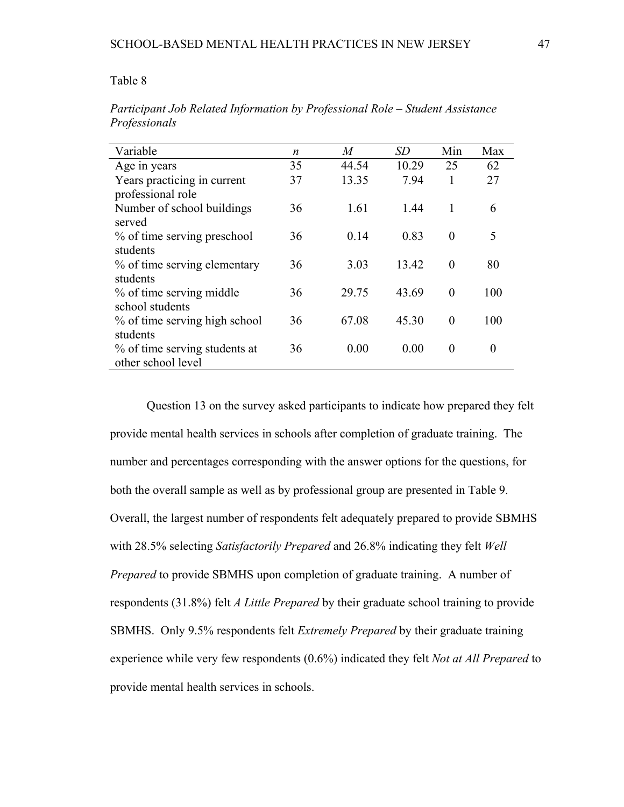| Variable                      | n  | M     | SD    | Min      | Max      |
|-------------------------------|----|-------|-------|----------|----------|
| Age in years                  | 35 | 44.54 | 10.29 | 25       | 62       |
| Years practicing in current   | 37 | 13.35 | 7.94  | 1        | 27       |
| professional role             |    |       |       |          |          |
| Number of school buildings    | 36 | 1.61  | 1.44  | 1        | 6        |
| served                        |    |       |       |          |          |
| % of time serving preschool   | 36 | 0.14  | 0.83  | $\theta$ | 5        |
| students                      |    |       |       |          |          |
| % of time serving elementary  | 36 | 3.03  | 13.42 | $\theta$ | 80       |
| students                      |    |       |       |          |          |
| % of time serving middle      | 36 | 29.75 | 43.69 | $\Omega$ | 100      |
| school students               |    |       |       |          |          |
| % of time serving high school | 36 | 67.08 | 45.30 | $\theta$ | 100      |
| students                      |    |       |       |          |          |
| % of time serving students at | 36 | 0.00  | 0.00  | $\Omega$ | $\Omega$ |
| other school level            |    |       |       |          |          |

*Participant Job Related Information by Professional Role – Student Assistance Professionals*

Question 13 on the survey asked participants to indicate how prepared they felt provide mental health services in schools after completion of graduate training. The number and percentages corresponding with the answer options for the questions, for both the overall sample as well as by professional group are presented in Table 9. Overall, the largest number of respondents felt adequately prepared to provide SBMHS with 28.5% selecting *Satisfactorily Prepared* and 26.8% indicating they felt *Well Prepared* to provide SBMHS upon completion of graduate training. A number of respondents (31.8%) felt *A Little Prepared* by their graduate school training to provide SBMHS. Only 9.5% respondents felt *Extremely Prepared* by their graduate training experience while very few respondents (0.6%) indicated they felt *Not at All Prepared* to provide mental health services in schools.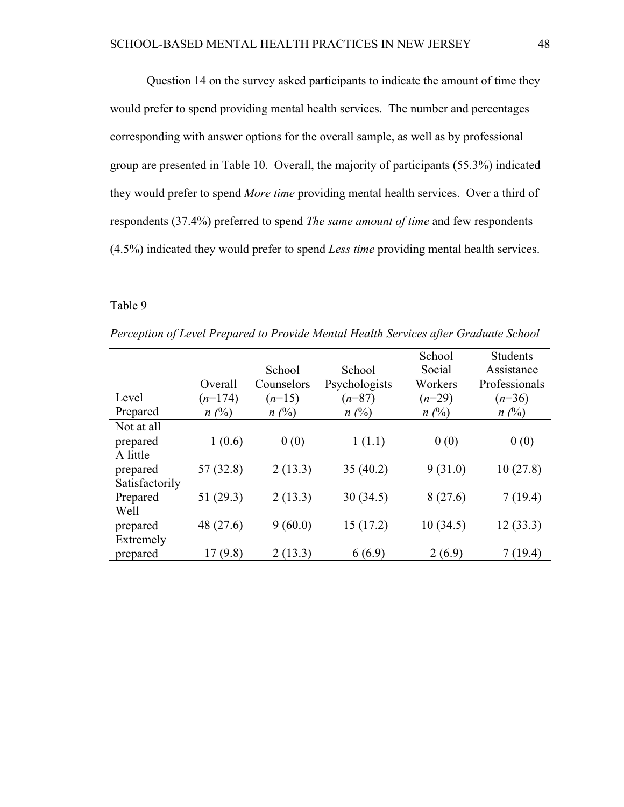Question 14 on the survey asked participants to indicate the amount of time they would prefer to spend providing mental health services. The number and percentages corresponding with answer options for the overall sample, as well as by professional group are presented in Table 10. Overall, the majority of participants (55.3%) indicated they would prefer to spend *More time* providing mental health services. Over a third of respondents (37.4%) preferred to spend *The same amount of time* and few respondents (4.5%) indicated they would prefer to spend *Less time* providing mental health services.

Table 9

|                |           |            |               | School   | Students      |
|----------------|-----------|------------|---------------|----------|---------------|
|                |           | School     | School        | Social   | Assistance    |
|                | Overall   | Counselors | Psychologists | Workers  | Professionals |
| Level          | $(n=174)$ | $(n=15)$   | $(n=87)$      | $(n=29)$ | $(n=36)$      |
| Prepared       | $n(\%)$   | $n(\%)$    | $n(\%)$       | $n(\%)$  | $n(\%)$       |
| Not at all     |           |            |               |          |               |
| prepared       | 1(0.6)    | 0(0)       | 1(1.1)        | 0(0)     | 0(0)          |
| A little       |           |            |               |          |               |
| prepared       | 57(32.8)  | 2(13.3)    | 35(40.2)      | 9(31.0)  | 10(27.8)      |
| Satisfactorily |           |            |               |          |               |
| Prepared       | 51(29.3)  | 2(13.3)    | 30(34.5)      | 8(27.6)  | 7(19.4)       |
| Well           |           |            |               |          |               |
| prepared       | 48 (27.6) | 9(60.0)    | 15(17.2)      | 10(34.5) | 12(33.3)      |
| Extremely      |           |            |               |          |               |
| prepared       | 17(9.8)   | 2(13.3)    | 6(6.9)        | 2(6.9)   | 7(19.4)       |

*Perception of Level Prepared to Provide Mental Health Services after Graduate School*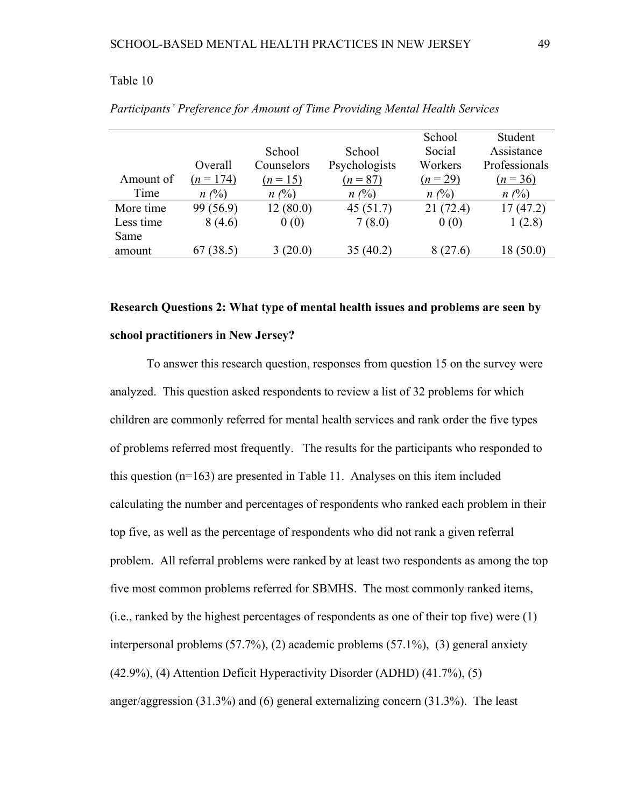|           |             |            |               | School   | Student       |
|-----------|-------------|------------|---------------|----------|---------------|
|           |             | School     | School        | Social   | Assistance    |
|           | Overall     | Counselors | Psychologists | Workers  | Professionals |
| Amount of | $(n = 174)$ | $(n=15)$   | $(n = 87)$    | $(n=29)$ | $(n = 36)$    |
| Time      | $n(\%)$     | $n(\%)$    | $n(\%)$       | $n(\%)$  | $n(\%)$       |
| More time | 99 (56.9)   | 12(80.0)   | 45(51.7)      | 21(72.4) | 17(47.2)      |
| Less time | 8(4.6)      | 0(0)       | 7(8.0)        | 0(0)     | 1(2.8)        |
| Same      |             |            |               |          |               |
| amount    | 67(38.5)    | 3(20.0)    | 35(40.2)      | 8 (27.6) | 18(50.0)      |
|           |             |            |               |          |               |

*Participants' Preference for Amount of Time Providing Mental Health Services* 

# **Research Questions 2: What type of mental health issues and problems are seen by school practitioners in New Jersey?**

To answer this research question, responses from question 15 on the survey were analyzed. This question asked respondents to review a list of 32 problems for which children are commonly referred for mental health services and rank order the five types of problems referred most frequently. The results for the participants who responded to this question (n=163) are presented in Table 11. Analyses on this item included calculating the number and percentages of respondents who ranked each problem in their top five, as well as the percentage of respondents who did not rank a given referral problem. All referral problems were ranked by at least two respondents as among the top five most common problems referred for SBMHS. The most commonly ranked items, (i.e., ranked by the highest percentages of respondents as one of their top five) were (1) interpersonal problems (57.7%), (2) academic problems (57.1%), (3) general anxiety (42.9%), (4) Attention Deficit Hyperactivity Disorder (ADHD) (41.7%), (5) anger/aggression (31.3%) and (6) general externalizing concern (31.3%). The least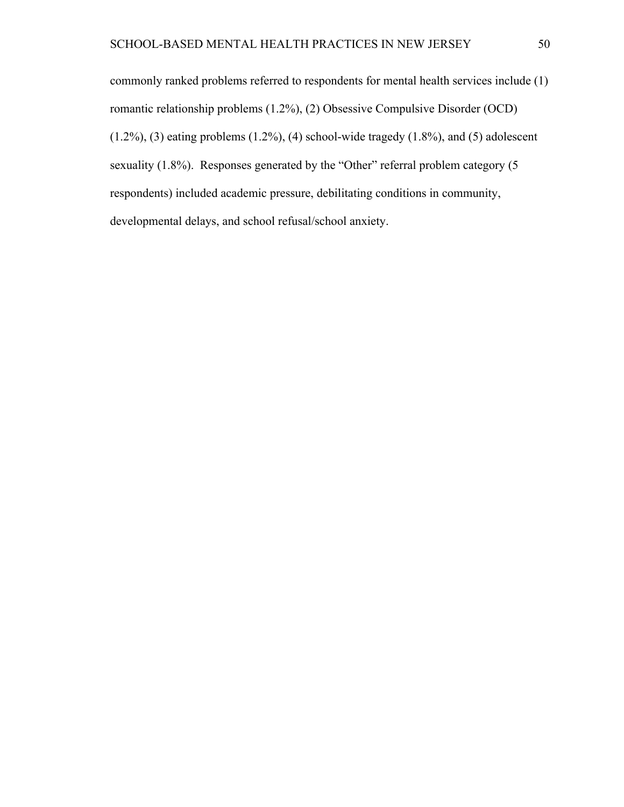commonly ranked problems referred to respondents for mental health services include (1) romantic relationship problems (1.2%), (2) Obsessive Compulsive Disorder (OCD)  $(1.2\%)$ ,  $(3)$  eating problems  $(1.2\%)$ ,  $(4)$  school-wide tragedy  $(1.8\%)$ , and  $(5)$  adolescent sexuality (1.8%). Responses generated by the "Other" referral problem category (5 respondents) included academic pressure, debilitating conditions in community, developmental delays, and school refusal/school anxiety.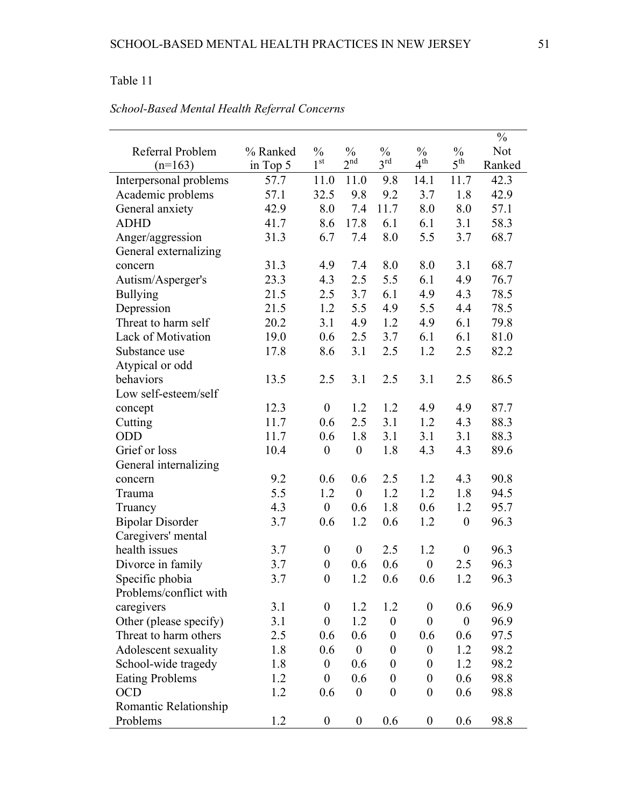|                         |          |                  |                  |                  |                  |                  | $\frac{0}{0}$ |
|-------------------------|----------|------------------|------------------|------------------|------------------|------------------|---------------|
| Referral Problem        | % Ranked | $\frac{0}{0}$    | $\frac{0}{0}$    | $\frac{0}{0}$    | $\frac{0}{0}$    | $\frac{0}{0}$    | Not           |
| $(n=163)$               | in Top 5 | 1 <sup>st</sup>  | 2 <sup>nd</sup>  | $3^{\text{rd}}$  | $4^{\text{th}}$  | $5^{\text{th}}$  | Ranked        |
| Interpersonal problems  | 57.7     | 11.0             | 11.0             | 9.8              | 14.1             | 11.7             | 42.3          |
| Academic problems       | 57.1     | 32.5             | 9.8              | 9.2              | 3.7              | 1.8              | 42.9          |
| General anxiety         | 42.9     | 8.0              | 7.4              | 11.7             | 8.0              | 8.0              | 57.1          |
| <b>ADHD</b>             | 41.7     | 8.6              | 17.8             | 6.1              | 6.1              | 3.1              | 58.3          |
| Anger/aggression        | 31.3     | 6.7              | 7.4              | 8.0              | 5.5              | 3.7              | 68.7          |
| General externalizing   |          |                  |                  |                  |                  |                  |               |
| concern                 | 31.3     | 4.9              | 7.4              | 8.0              | 8.0              | 3.1              | 68.7          |
| Autism/Asperger's       | 23.3     | 4.3              | 2.5              | 5.5              | 6.1              | 4.9              | 76.7          |
| <b>Bullying</b>         | 21.5     | 2.5              | 3.7              | 6.1              | 4.9              | 4.3              | 78.5          |
| Depression              | 21.5     | 1.2              | 5.5              | 4.9              | 5.5              | 4.4              | 78.5          |
| Threat to harm self     | 20.2     | 3.1              | 4.9              | 1.2              | 4.9              | 6.1              | 79.8          |
| Lack of Motivation      | 19.0     | 0.6              | 2.5              | 3.7              | 6.1              | 6.1              | 81.0          |
| Substance use           | 17.8     | 8.6              | 3.1              | 2.5              | 1.2              | 2.5              | 82.2          |
| Atypical or odd         |          |                  |                  |                  |                  |                  |               |
| behaviors               | 13.5     | 2.5              | 3.1              | 2.5              | 3.1              | 2.5              | 86.5          |
| Low self-esteem/self    |          |                  |                  |                  |                  |                  |               |
| concept                 | 12.3     | $\boldsymbol{0}$ | 1.2              | 1.2              | 4.9              | 4.9              | 87.7          |
| Cutting                 | 11.7     | 0.6              | 2.5              | 3.1              | 1.2              | 4.3              | 88.3          |
| ODD                     | 11.7     | 0.6              | 1.8              | 3.1              | 3.1              | 3.1              | 88.3          |
| Grief or loss           | 10.4     | $\boldsymbol{0}$ | $\boldsymbol{0}$ | 1.8              | 4.3              | 4.3              | 89.6          |
| General internalizing   |          |                  |                  |                  |                  |                  |               |
| concern                 | 9.2      | 0.6              | 0.6              | 2.5              | 1.2              | 4.3              | 90.8          |
| Trauma                  | 5.5      | 1.2              | $\boldsymbol{0}$ | 1.2              | 1.2              | 1.8              | 94.5          |
| Truancy                 | 4.3      | $\boldsymbol{0}$ | 0.6              | 1.8              | 0.6              | 1.2              | 95.7          |
| <b>Bipolar Disorder</b> | 3.7      | 0.6              | 1.2              | 0.6              | 1.2              | $\boldsymbol{0}$ | 96.3          |
| Caregivers' mental      |          |                  |                  |                  |                  |                  |               |
| health issues           | 3.7      | $\boldsymbol{0}$ | $\boldsymbol{0}$ | 2.5              | 1.2              | $\boldsymbol{0}$ | 96.3          |
| Divorce in family       | 3.7      | $\boldsymbol{0}$ | 0.6              | 0.6              | $\boldsymbol{0}$ | 2.5              | 96.3          |
| Specific phobia         | 3.7      | $\boldsymbol{0}$ | 1.2              | 0.6              | 0.6              | 1.2              | 96.3          |
| Problems/conflict with  |          |                  |                  |                  |                  |                  |               |
| caregivers              | 3.1      | $\overline{0}$   | 1.2              | 1.2              | $\boldsymbol{0}$ | 0.6              | 96.9          |
| Other (please specify)  | 3.1      | $\boldsymbol{0}$ | 1.2              | $\boldsymbol{0}$ | $\boldsymbol{0}$ | $\boldsymbol{0}$ | 96.9          |
| Threat to harm others   | 2.5      | 0.6              | 0.6              | $\boldsymbol{0}$ | 0.6              | 0.6              | 97.5          |
| Adolescent sexuality    | 1.8      | 0.6              | $\boldsymbol{0}$ | $\boldsymbol{0}$ | $\boldsymbol{0}$ | 1.2              | 98.2          |
| School-wide tragedy     | 1.8      | $\boldsymbol{0}$ | 0.6              | $\boldsymbol{0}$ | $\boldsymbol{0}$ | 1.2              | 98.2          |
| <b>Eating Problems</b>  | 1.2      | $\boldsymbol{0}$ | 0.6              | $\boldsymbol{0}$ | $\boldsymbol{0}$ | 0.6              | 98.8          |
| <b>OCD</b>              | 1.2      | 0.6              | $\boldsymbol{0}$ | $\boldsymbol{0}$ | $\boldsymbol{0}$ | 0.6              | 98.8          |
| Romantic Relationship   |          |                  |                  |                  |                  |                  |               |
| Problems                | 1.2      | $\boldsymbol{0}$ | $\boldsymbol{0}$ | 0.6              | $\boldsymbol{0}$ | 0.6              | 98.8          |

# *School-Based Mental Health Referral Concerns*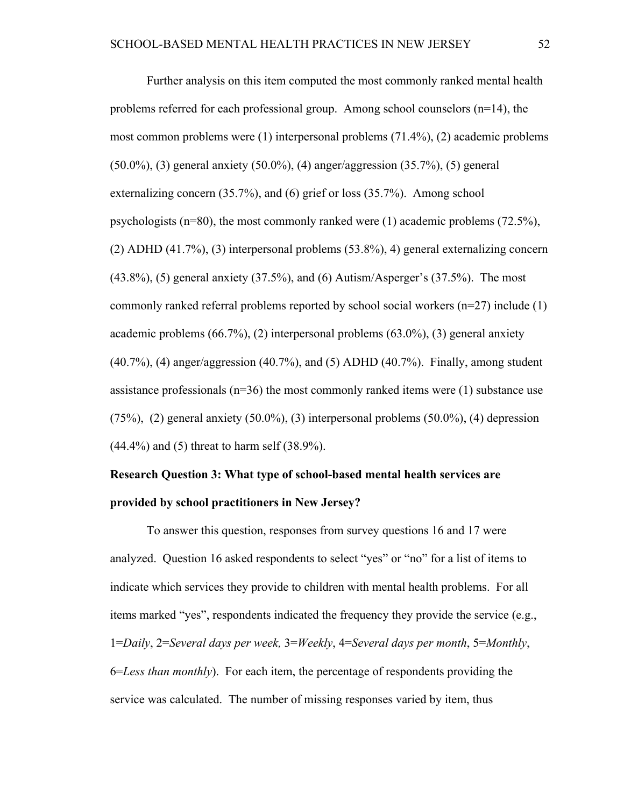Further analysis on this item computed the most commonly ranked mental health problems referred for each professional group. Among school counselors (n=14), the most common problems were (1) interpersonal problems (71.4%), (2) academic problems (50.0%), (3) general anxiety (50.0%), (4) anger/aggression (35.7%), (5) general externalizing concern (35.7%), and (6) grief or loss (35.7%). Among school psychologists  $(n=80)$ , the most commonly ranked were (1) academic problems (72.5%), (2) ADHD (41.7%), (3) interpersonal problems (53.8%), 4) general externalizing concern (43.8%), (5) general anxiety (37.5%), and (6) Autism/Asperger's (37.5%). The most commonly ranked referral problems reported by school social workers (n=27) include (1) academic problems  $(66.7\%)$ ,  $(2)$  interpersonal problems  $(63.0\%)$ ,  $(3)$  general anxiety (40.7%), (4) anger/aggression (40.7%), and (5) ADHD (40.7%). Finally, among student assistance professionals ( $n=36$ ) the most commonly ranked items were (1) substance use  $(75\%)$ ,  $(2)$  general anxiety  $(50.0\%)$ ,  $(3)$  interpersonal problems  $(50.0\%)$ ,  $(4)$  depression (44.4%) and (5) threat to harm self (38.9%).

# **Research Question 3: What type of school-based mental health services are provided by school practitioners in New Jersey?**

To answer this question, responses from survey questions 16 and 17 were analyzed. Question 16 asked respondents to select "yes" or "no" for a list of items to indicate which services they provide to children with mental health problems. For all items marked "yes", respondents indicated the frequency they provide the service (e.g., 1=*Daily*, 2=*Several days per week,* 3=*Weekly*, 4=*Several days per month*, 5=*Monthly*, 6=*Less than monthly*). For each item, the percentage of respondents providing the service was calculated. The number of missing responses varied by item, thus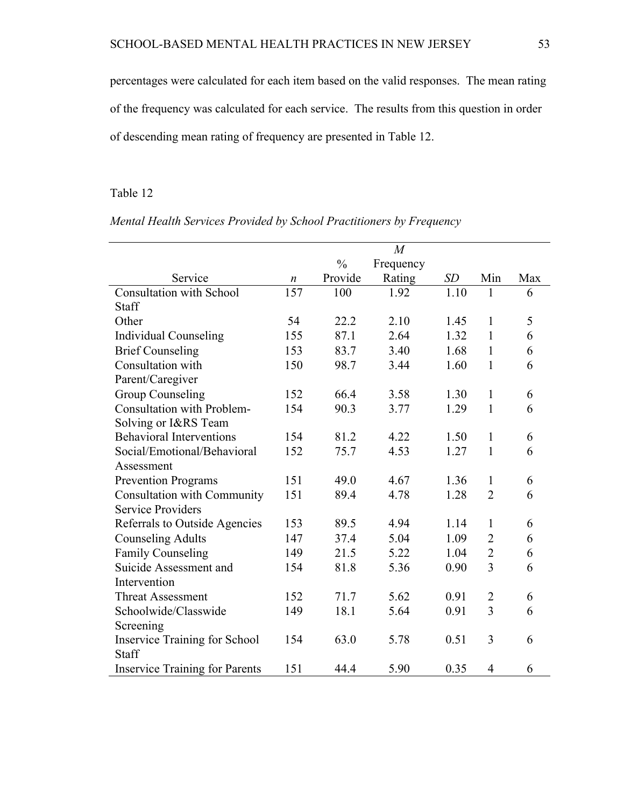percentages were calculated for each item based on the valid responses. The mean rating of the frequency was calculated for each service. The results from this question in order of descending mean rating of frequency are presented in Table 12.

### Table 12

|                                       |                  |               | $\overline{M}$ |      |                |     |
|---------------------------------------|------------------|---------------|----------------|------|----------------|-----|
|                                       |                  | $\frac{0}{0}$ | Frequency      |      |                |     |
| Service                               | $\boldsymbol{n}$ | Provide       | Rating         | SD   | Min            | Max |
| <b>Consultation with School</b>       | 157              | 100           | 1.92           | 1.10 | $\mathbf{1}$   | 6   |
| Staff                                 |                  |               |                |      |                |     |
| Other                                 | 54               | 22.2          | 2.10           | 1.45 | $\mathbf{1}$   | 5   |
| <b>Individual Counseling</b>          | 155              | 87.1          | 2.64           | 1.32 | $\mathbf{1}$   | 6   |
| <b>Brief Counseling</b>               | 153              | 83.7          | 3.40           | 1.68 | $\mathbf{1}$   | 6   |
| Consultation with                     | 150              | 98.7          | 3.44           | 1.60 | $\mathbf{1}$   | 6   |
| Parent/Caregiver                      |                  |               |                |      |                |     |
| <b>Group Counseling</b>               | 152              | 66.4          | 3.58           | 1.30 | $\mathbf{1}$   | 6   |
| <b>Consultation with Problem-</b>     | 154              | 90.3          | 3.77           | 1.29 | $\mathbf{1}$   | 6   |
| Solving or I&RS Team                  |                  |               |                |      |                |     |
| <b>Behavioral Interventions</b>       | 154              | 81.2          | 4.22           | 1.50 | $\mathbf{1}$   | 6   |
| Social/Emotional/Behavioral           | 152              | 75.7          | 4.53           | 1.27 | $\mathbf{1}$   | 6   |
| Assessment                            |                  |               |                |      |                |     |
| <b>Prevention Programs</b>            | 151              | 49.0          | 4.67           | 1.36 | $\mathbf{1}$   | 6   |
| <b>Consultation with Community</b>    | 151              | 89.4          | 4.78           | 1.28 | $\overline{2}$ | 6   |
| <b>Service Providers</b>              |                  |               |                |      |                |     |
| Referrals to Outside Agencies         | 153              | 89.5          | 4.94           | 1.14 | 1              | 6   |
| <b>Counseling Adults</b>              | 147              | 37.4          | 5.04           | 1.09 | $\overline{2}$ | 6   |
| <b>Family Counseling</b>              | 149              | 21.5          | 5.22           | 1.04 | $\overline{2}$ | 6   |
| Suicide Assessment and                | 154              | 81.8          | 5.36           | 0.90 | $\overline{3}$ | 6   |
| Intervention                          |                  |               |                |      |                |     |
| <b>Threat Assessment</b>              | 152              | 71.7          | 5.62           | 0.91 | $\overline{2}$ | 6   |
| Schoolwide/Classwide                  | 149              | 18.1          | 5.64           | 0.91 | $\overline{3}$ | 6   |
| Screening                             |                  |               |                |      |                |     |
| <b>Inservice Training for School</b>  | 154              | 63.0          | 5.78           | 0.51 | 3              | 6   |
| Staff                                 |                  |               |                |      |                |     |
| <b>Inservice Training for Parents</b> | 151              | 44.4          | 5.90           | 0.35 | $\overline{4}$ | 6   |

## *Mental Health Services Provided by School Practitioners by Frequency*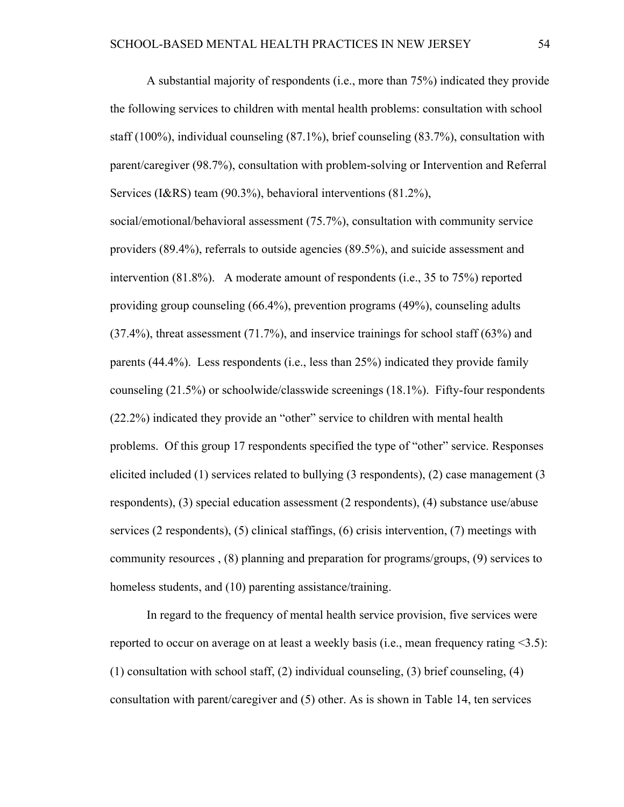A substantial majority of respondents (i.e., more than 75%) indicated they provide the following services to children with mental health problems: consultation with school staff (100%), individual counseling (87.1%), brief counseling (83.7%), consultation with parent/caregiver (98.7%), consultation with problem-solving or Intervention and Referral Services (I&RS) team (90.3%), behavioral interventions (81.2%),

social/emotional/behavioral assessment (75.7%), consultation with community service providers (89.4%), referrals to outside agencies (89.5%), and suicide assessment and intervention (81.8%). A moderate amount of respondents (i.e., 35 to 75%) reported providing group counseling (66.4%), prevention programs (49%), counseling adults (37.4%), threat assessment (71.7%), and inservice trainings for school staff (63%) and parents (44.4%). Less respondents (i.e., less than 25%) indicated they provide family counseling (21.5%) or schoolwide/classwide screenings (18.1%). Fifty-four respondents (22.2%) indicated they provide an "other" service to children with mental health problems. Of this group 17 respondents specified the type of "other" service. Responses elicited included (1) services related to bullying (3 respondents), (2) case management (3 respondents), (3) special education assessment (2 respondents), (4) substance use/abuse services (2 respondents), (5) clinical staffings, (6) crisis intervention, (7) meetings with community resources , (8) planning and preparation for programs/groups, (9) services to homeless students, and (10) parenting assistance/training.

In regard to the frequency of mental health service provision, five services were reported to occur on average on at least a weekly basis (i.e., mean frequency rating <3.5): (1) consultation with school staff, (2) individual counseling, (3) brief counseling, (4) consultation with parent/caregiver and (5) other. As is shown in Table 14, ten services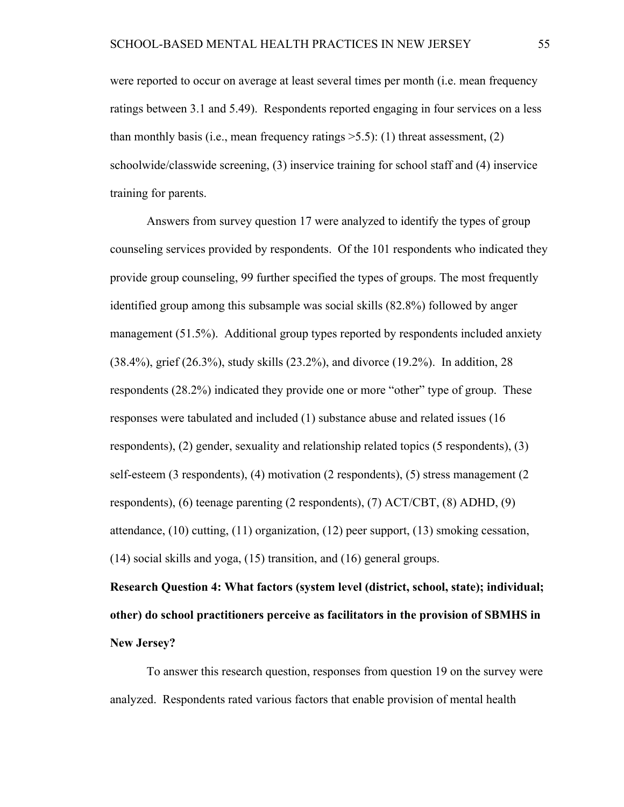were reported to occur on average at least several times per month (i.e. mean frequency ratings between 3.1 and 5.49). Respondents reported engaging in four services on a less than monthly basis (i.e., mean frequency ratings  $>5.5$ ): (1) threat assessment, (2) schoolwide/classwide screening, (3) inservice training for school staff and (4) inservice training for parents.

Answers from survey question 17 were analyzed to identify the types of group counseling services provided by respondents. Of the 101 respondents who indicated they provide group counseling, 99 further specified the types of groups. The most frequently identified group among this subsample was social skills (82.8%) followed by anger management (51.5%). Additional group types reported by respondents included anxiety (38.4%), grief (26.3%), study skills (23.2%), and divorce (19.2%). In addition, 28 respondents (28.2%) indicated they provide one or more "other" type of group. These responses were tabulated and included (1) substance abuse and related issues (16 respondents), (2) gender, sexuality and relationship related topics (5 respondents), (3) self-esteem (3 respondents), (4) motivation (2 respondents), (5) stress management (2 respondents), (6) teenage parenting (2 respondents), (7) ACT/CBT, (8) ADHD, (9) attendance, (10) cutting, (11) organization, (12) peer support, (13) smoking cessation, (14) social skills and yoga, (15) transition, and (16) general groups.

**Research Question 4: What factors (system level (district, school, state); individual; other) do school practitioners perceive as facilitators in the provision of SBMHS in New Jersey?**

To answer this research question, responses from question 19 on the survey were analyzed. Respondents rated various factors that enable provision of mental health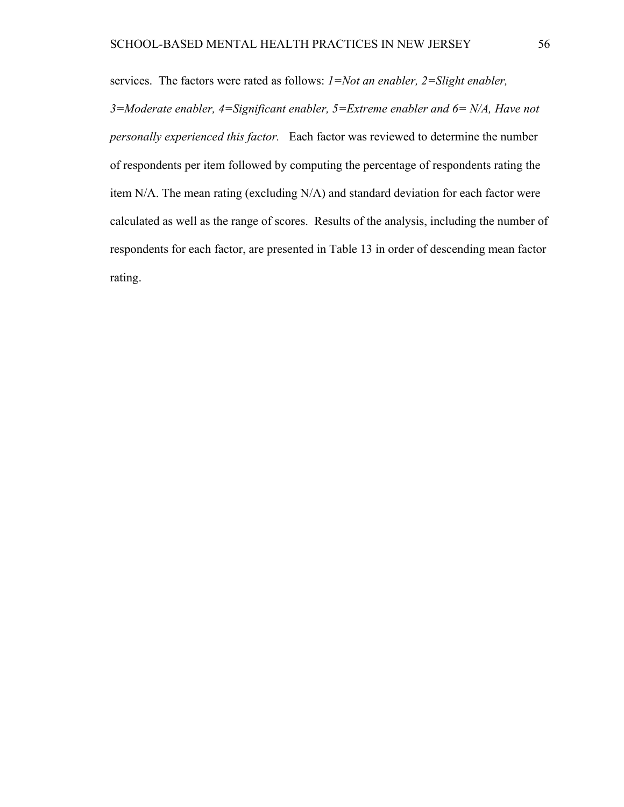services. The factors were rated as follows: *1=Not an enabler, 2=Slight enabler,* 

*3=Moderate enabler, 4=Significant enabler, 5=Extreme enabler and 6= N/A, Have not personally experienced this factor.* Each factor was reviewed to determine the number of respondents per item followed by computing the percentage of respondents rating the item N/A. The mean rating (excluding N/A) and standard deviation for each factor were calculated as well as the range of scores. Results of the analysis, including the number of respondents for each factor, are presented in Table 13 in order of descending mean factor rating.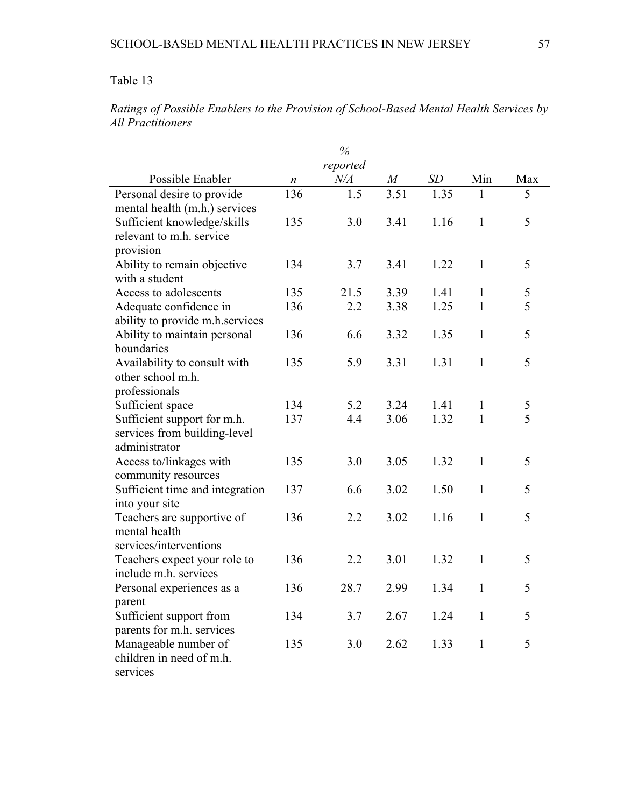|                                                  |                  | $\%$      |           |           |              |               |
|--------------------------------------------------|------------------|-----------|-----------|-----------|--------------|---------------|
|                                                  |                  | reported  |           |           |              |               |
| Possible Enabler                                 | $\boldsymbol{n}$ | $N\!/\!A$ | $M_{\rm}$ | <b>SD</b> | Min          | Max           |
| Personal desire to provide                       | 136              | 1.5       | 3.51      | 1.35      | 1            | 5             |
| mental health (m.h.) services                    |                  |           |           |           |              |               |
| Sufficient knowledge/skills                      | 135              | 3.0       | 3.41      | 1.16      | $\mathbf{1}$ | 5             |
| relevant to m.h. service                         |                  |           |           |           |              |               |
| provision                                        |                  |           |           |           |              |               |
| Ability to remain objective                      | 134              | 3.7       | 3.41      | 1.22      | $\mathbf{1}$ | 5             |
| with a student                                   |                  |           |           |           |              |               |
| Access to adolescents                            | 135              | 21.5      | 3.39      | 1.41      | $\mathbf{1}$ | 5             |
| Adequate confidence in                           | 136              | 2.2       | 3.38      | 1.25      | $\mathbf{1}$ | 5             |
| ability to provide m.h.services                  |                  |           |           |           |              |               |
| Ability to maintain personal                     | 136              | 6.6       | 3.32      | 1.35      | $\mathbf{1}$ | 5             |
| boundaries                                       |                  |           |           |           |              |               |
| Availability to consult with                     | 135              | 5.9       | 3.31      | 1.31      | $\mathbf{1}$ | 5             |
| other school m.h.                                |                  |           |           |           |              |               |
| professionals                                    |                  |           |           |           |              |               |
| Sufficient space                                 | 134              | 5.2       | 3.24      | 1.41      | $\mathbf{1}$ | $\frac{5}{5}$ |
| Sufficient support for m.h.                      | 137              | 4.4       | 3.06      | 1.32      | $\mathbf{1}$ |               |
| services from building-level                     |                  |           |           |           |              |               |
| administrator                                    |                  |           |           |           |              |               |
| Access to/linkages with                          | 135              | 3.0       | 3.05      | 1.32      | $\mathbf{1}$ | 5             |
| community resources                              |                  |           |           |           |              |               |
| Sufficient time and integration                  | 137              | 6.6       | 3.02      | 1.50      | $\mathbf{1}$ | 5             |
| into your site                                   |                  |           |           |           |              |               |
| Teachers are supportive of                       | 136              | 2.2       | 3.02      | 1.16      | $\mathbf{1}$ | 5             |
| mental health                                    |                  |           |           |           |              |               |
| services/interventions                           |                  |           |           |           |              |               |
| Teachers expect your role to                     | 136              | 2.2       | 3.01      | 1.32      | $\mathbf{1}$ | 5             |
| include m.h. services                            |                  |           |           |           |              |               |
| Personal experiences as a                        | 136              | 28.7      | 2.99      | 1.34      | $\mathbf{1}$ | 5             |
| parent                                           |                  |           |           |           |              |               |
| Sufficient support from                          | 134              | 3.7       | 2.67      | 1.24      | $\mathbf{1}$ | 5             |
| parents for m.h. services                        |                  |           |           |           |              |               |
| Manageable number of<br>children in need of m.h. | 135              | 3.0       | 2.62      | 1.33      | $\mathbf{1}$ | 5             |
|                                                  |                  |           |           |           |              |               |
| services                                         |                  |           |           |           |              |               |

*Ratings of Possible Enablers to the Provision of School-Based Mental Health Services by All Practitioners*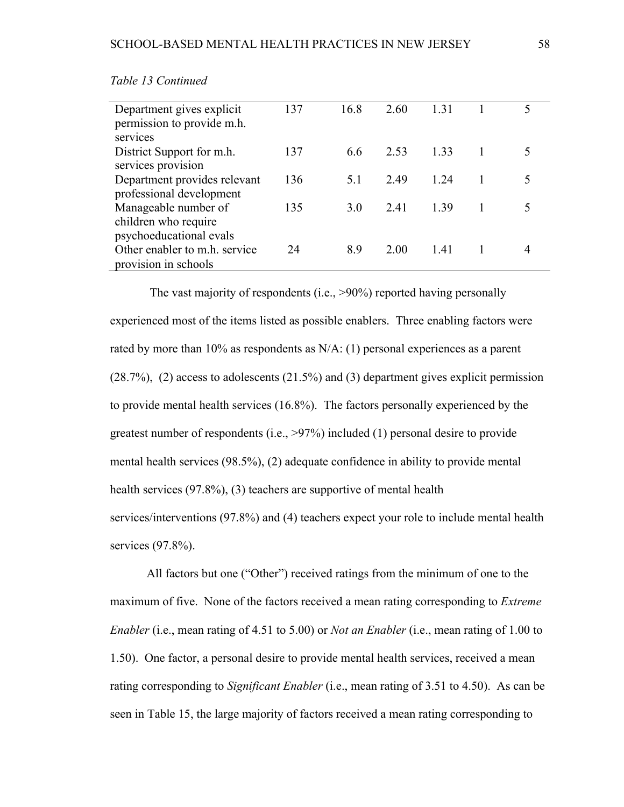| Department gives explicit     | 137 | 16.8 | 2.60 | 1.31 |  |
|-------------------------------|-----|------|------|------|--|
| permission to provide m.h.    |     |      |      |      |  |
| services                      |     |      |      |      |  |
| District Support for m.h.     | 137 | 6.6  | 2.53 | 1 33 |  |
| services provision            |     |      |      |      |  |
| Department provides relevant  | 136 | 5.1  | 249  | 124  |  |
| professional development      |     |      |      |      |  |
| Manageable number of          | 135 | 3.0  | 2.41 | 139  |  |
| children who require          |     |      |      |      |  |
| psychoeducational evals       |     |      |      |      |  |
| Other enabler to m.h. service | 24  | 8.9  | 2.00 | 1.41 |  |
| provision in schools          |     |      |      |      |  |

*Table 13 Continued* 

 The vast majority of respondents (i.e., >90%) reported having personally experienced most of the items listed as possible enablers. Three enabling factors were rated by more than 10% as respondents as N/A: (1) personal experiences as a parent (28.7%), (2) access to adolescents (21.5%) and (3) department gives explicit permission to provide mental health services (16.8%). The factors personally experienced by the greatest number of respondents (i.e., >97%) included (1) personal desire to provide mental health services (98.5%), (2) adequate confidence in ability to provide mental health services (97.8%), (3) teachers are supportive of mental health services/interventions (97.8%) and (4) teachers expect your role to include mental health services (97.8%).

All factors but one ("Other") received ratings from the minimum of one to the maximum of five. None of the factors received a mean rating corresponding to *Extreme Enabler* (i.e., mean rating of 4.51 to 5.00) or *Not an Enabler* (i.e., mean rating of 1.00 to 1.50). One factor, a personal desire to provide mental health services, received a mean rating corresponding to *Significant Enabler* (i.e., mean rating of 3.51 to 4.50). As can be seen in Table 15, the large majority of factors received a mean rating corresponding to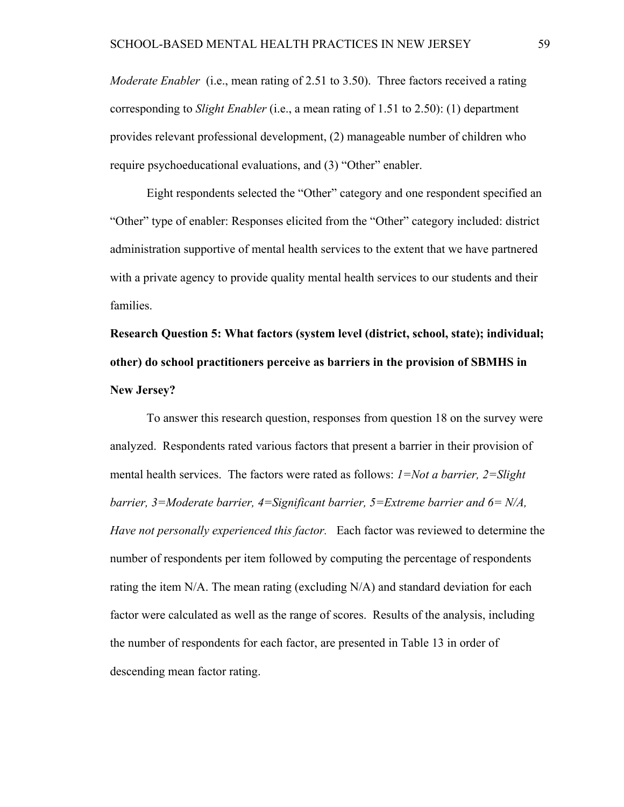*Moderate Enabler* (i.e., mean rating of 2.51 to 3.50). Three factors received a rating corresponding to *Slight Enabler* (i.e., a mean rating of 1.51 to 2.50): (1) department provides relevant professional development, (2) manageable number of children who require psychoeducational evaluations, and (3) "Other" enabler.

Eight respondents selected the "Other" category and one respondent specified an "Other" type of enabler: Responses elicited from the "Other" category included: district administration supportive of mental health services to the extent that we have partnered with a private agency to provide quality mental health services to our students and their families.

# **Research Question 5: What factors (system level (district, school, state); individual; other) do school practitioners perceive as barriers in the provision of SBMHS in New Jersey?**

To answer this research question, responses from question 18 on the survey were analyzed. Respondents rated various factors that present a barrier in their provision of mental health services. The factors were rated as follows: *1=Not a barrier, 2=Slight barrier, 3=Moderate barrier, 4=Significant barrier, 5=Extreme barrier and 6= N/A, Have not personally experienced this factor.* Each factor was reviewed to determine the number of respondents per item followed by computing the percentage of respondents rating the item  $N/A$ . The mean rating (excluding  $N/A$ ) and standard deviation for each factor were calculated as well as the range of scores. Results of the analysis, including the number of respondents for each factor, are presented in Table 13 in order of descending mean factor rating.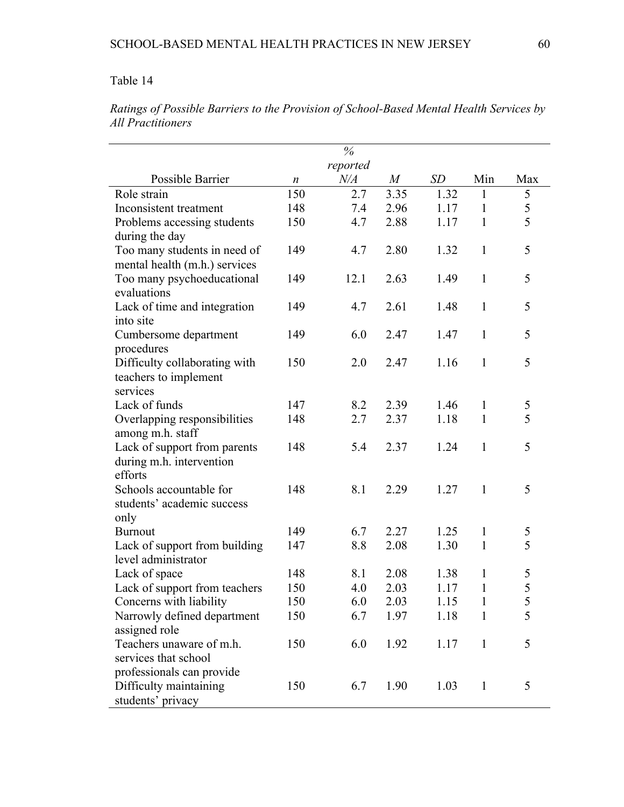|                               |                  | $\%$      |                  |      |              |                |
|-------------------------------|------------------|-----------|------------------|------|--------------|----------------|
|                               |                  | reported  |                  |      |              |                |
| Possible Barrier              | $\boldsymbol{n}$ | $N\!/\!A$ | $\boldsymbol{M}$ | SD   | Min          | Max            |
| Role strain                   | 150              | 2.7       | 3.35             | 1.32 | 1            | 5              |
| Inconsistent treatment        | 148              | 7.4       | 2.96             | 1.17 | 1            | 5              |
| Problems accessing students   | 150              | 4.7       | 2.88             | 1.17 | $\mathbf{1}$ | 5              |
| during the day                |                  |           |                  |      |              |                |
| Too many students in need of  | 149              | 4.7       | 2.80             | 1.32 | $\mathbf{1}$ | 5              |
| mental health (m.h.) services |                  |           |                  |      |              |                |
| Too many psychoeducational    | 149              | 12.1      | 2.63             | 1.49 | $\mathbf{1}$ | 5              |
| evaluations                   |                  |           |                  |      |              |                |
| Lack of time and integration  | 149              | 4.7       | 2.61             | 1.48 | $\mathbf{1}$ | 5              |
| into site                     |                  |           |                  |      |              |                |
| Cumbersome department         | 149              | 6.0       | 2.47             | 1.47 | $\mathbf{1}$ | 5              |
| procedures                    |                  |           |                  |      |              |                |
| Difficulty collaborating with | 150              | 2.0       | 2.47             | 1.16 | $\mathbf{1}$ | 5              |
| teachers to implement         |                  |           |                  |      |              |                |
| services                      |                  |           |                  |      |              |                |
| Lack of funds                 | 147              | 8.2       | 2.39             | 1.46 | 1            | 5              |
| Overlapping responsibilities  | 148              | 2.7       | 2.37             | 1.18 | $\mathbf{1}$ | 5              |
| among m.h. staff              |                  |           |                  |      |              |                |
| Lack of support from parents  | 148              | 5.4       | 2.37             | 1.24 | $\mathbf{1}$ | 5              |
| during m.h. intervention      |                  |           |                  |      |              |                |
| efforts                       |                  |           |                  |      |              |                |
| Schools accountable for       | 148              | 8.1       | 2.29             | 1.27 | 1            | 5              |
| students' academic success    |                  |           |                  |      |              |                |
| only                          |                  |           |                  |      |              |                |
| <b>Burnout</b>                | 149              | 6.7       | 2.27             | 1.25 | 1            | $\mathfrak{S}$ |
| Lack of support from building | 147              | 8.8       | 2.08             | 1.30 | $\mathbf{1}$ | 5              |
| level administrator           |                  |           |                  |      |              |                |
| Lack of space                 | 148              | 8.1       | 2.08             | 1.38 | 1            | 5              |
| Lack of support from teachers | 150              | 4.0       | 2.03             | 1.17 | 1            | 5              |
| Concerns with liability       | 150              | 6.0       | 2.03             | 1.15 | 1            | 5              |
| Narrowly defined department   | 150              | 6.7       | 1.97             | 1.18 | 1            | 5              |
| assigned role                 |                  |           |                  |      |              |                |
| Teachers unaware of m.h.      | 150              | 6.0       | 1.92             | 1.17 | $\mathbf{1}$ | 5              |
| services that school          |                  |           |                  |      |              |                |
| professionals can provide     |                  |           |                  |      |              |                |
| Difficulty maintaining        | 150              | 6.7       | 1.90             | 1.03 | $\mathbf{1}$ | 5              |
| students' privacy             |                  |           |                  |      |              |                |

*Ratings of Possible Barriers to the Provision of School-Based Mental Health Services by All Practitioners*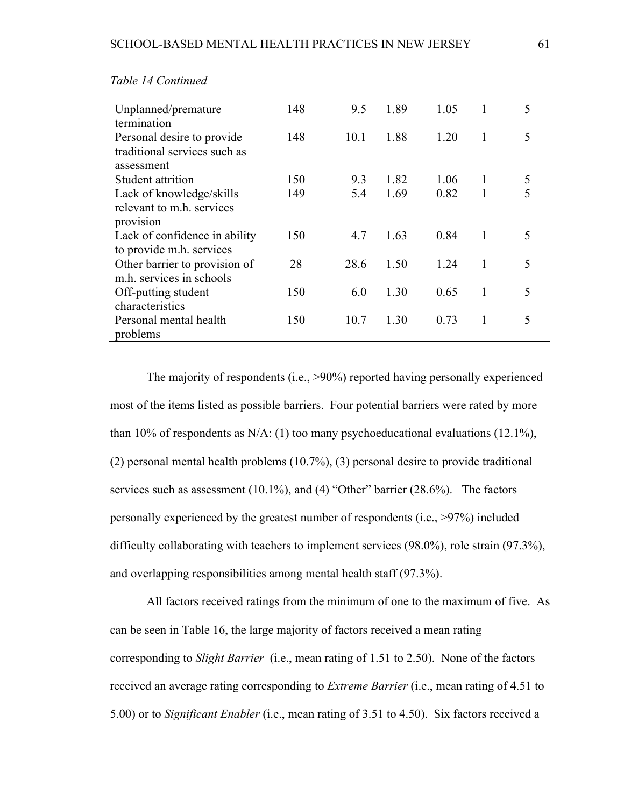| Unplanned/premature           | 148 | 9.5  | 1.89 | 1.05 |   | 5 |
|-------------------------------|-----|------|------|------|---|---|
| termination                   |     |      |      |      |   |   |
| Personal desire to provide    | 148 | 10.1 | 1.88 | 1.20 | 1 | 5 |
| traditional services such as  |     |      |      |      |   |   |
| assessment                    |     |      |      |      |   |   |
| Student attrition             | 150 | 9.3  | 1.82 | 1.06 | 1 | 5 |
| Lack of knowledge/skills      | 149 | 5.4  | 1.69 | 0.82 | 1 | 5 |
| relevant to m.h. services     |     |      |      |      |   |   |
| provision                     |     |      |      |      |   |   |
| Lack of confidence in ability | 150 | 4.7  | 1.63 | 0.84 | 1 | 5 |
| to provide m.h. services      |     |      |      |      |   |   |
| Other barrier to provision of | 28  | 28.6 | 1.50 | 1.24 | 1 | 5 |
| m.h. services in schools      |     |      |      |      |   |   |
| Off-putting student           | 150 | 6.0  | 1.30 | 0.65 | 1 | 5 |
| characteristics               |     |      |      |      |   |   |
| Personal mental health        | 150 | 10.7 | 1.30 | 0.73 |   | 5 |
| problems                      |     |      |      |      |   |   |

*Table 14 Continued* 

The majority of respondents (i.e., >90%) reported having personally experienced most of the items listed as possible barriers. Four potential barriers were rated by more than 10% of respondents as N/A: (1) too many psychoeducational evaluations (12.1%), (2) personal mental health problems (10.7%), (3) personal desire to provide traditional services such as assessment (10.1%), and (4) "Other" barrier (28.6%). The factors personally experienced by the greatest number of respondents (i.e., >97%) included difficulty collaborating with teachers to implement services (98.0%), role strain (97.3%), and overlapping responsibilities among mental health staff (97.3%).

All factors received ratings from the minimum of one to the maximum of five. As can be seen in Table 16, the large majority of factors received a mean rating corresponding to *Slight Barrier* (i.e., mean rating of 1.51 to 2.50). None of the factors received an average rating corresponding to *Extreme Barrier* (i.e., mean rating of 4.51 to 5.00) or to *Significant Enabler* (i.e., mean rating of 3.51 to 4.50). Six factors received a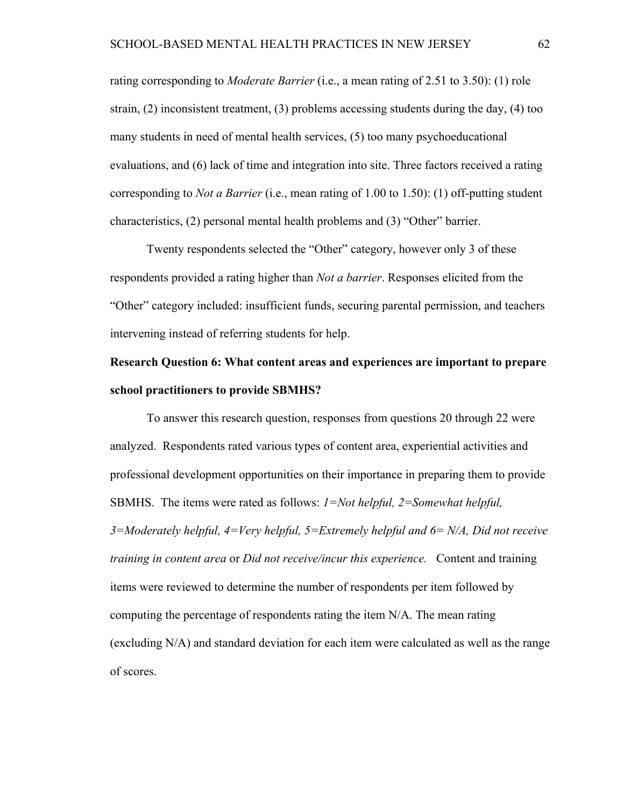rating corresponding to *Moderate Barrier* (i.e., a mean rating of 2.51 to 3.50): (1) role strain, (2) inconsistent treatment, (3) problems accessing students during the day, (4) too many students in need of mental health services, (5) too many psychoeducational evaluations, and (6) lack of time and integration into site. Three factors received a rating corresponding to *Not a Barrier* (i.e., mean rating of 1.00 to 1.50): (1) off-putting student characteristics, (2) personal mental health problems and (3) "Other" barrier.

Twenty respondents selected the "Other" category, however only 3 of these respondents provided a rating higher than *Not a barrier*. Responses elicited from the "Other" category included: insufficient funds, securing parental permission, and teachers intervening instead of referring students for help.

# **Research Question 6: What content areas and experiences are important to prepare school practitioners to provide SBMHS?**

To answer this research question, responses from questions 20 through 22 were analyzed. Respondents rated various types of content area, experiential activities and professional development opportunities on their importance in preparing them to provide SBMHS. The items were rated as follows: *1=Not helpful, 2=Somewhat helpful, 3=Moderately helpful, 4=Very helpful, 5=Extremely helpful and 6= N/A, Did not receive training in content area* or *Did not receive/incur this experience.* Content and training items were reviewed to determine the number of respondents per item followed by computing the percentage of respondents rating the item N/A. The mean rating (excluding N/A) and standard deviation for each item were calculated as well as the range of scores.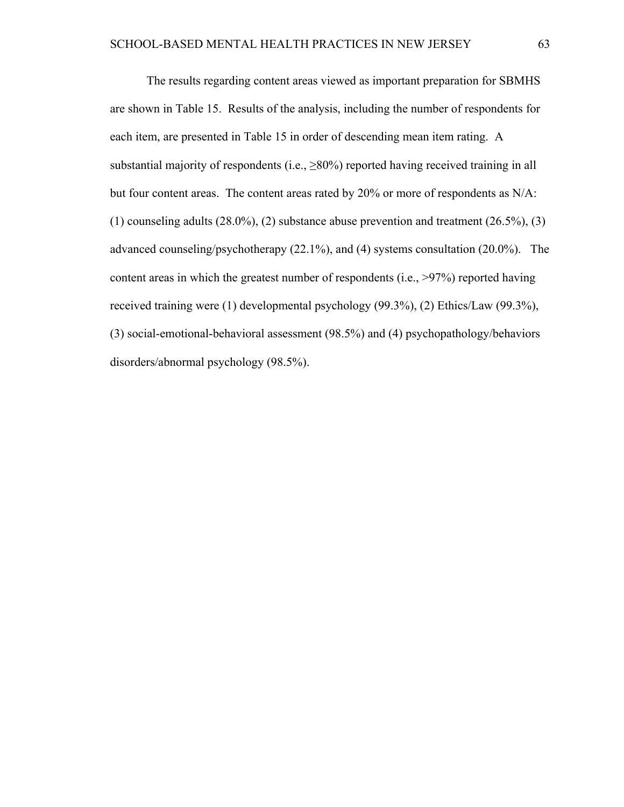The results regarding content areas viewed as important preparation for SBMHS are shown in Table 15. Results of the analysis, including the number of respondents for each item, are presented in Table 15 in order of descending mean item rating. A substantial majority of respondents (i.e.,  $\geq$ 80%) reported having received training in all but four content areas. The content areas rated by 20% or more of respondents as N/A: (1) counseling adults  $(28.0\%)$ ,  $(2)$  substance abuse prevention and treatment  $(26.5\%)$ ,  $(3)$ advanced counseling/psychotherapy (22.1%), and (4) systems consultation (20.0%). The content areas in which the greatest number of respondents (i.e., >97%) reported having received training were (1) developmental psychology (99.3%), (2) Ethics/Law (99.3%), (3) social-emotional-behavioral assessment (98.5%) and (4) psychopathology/behaviors disorders/abnormal psychology (98.5%).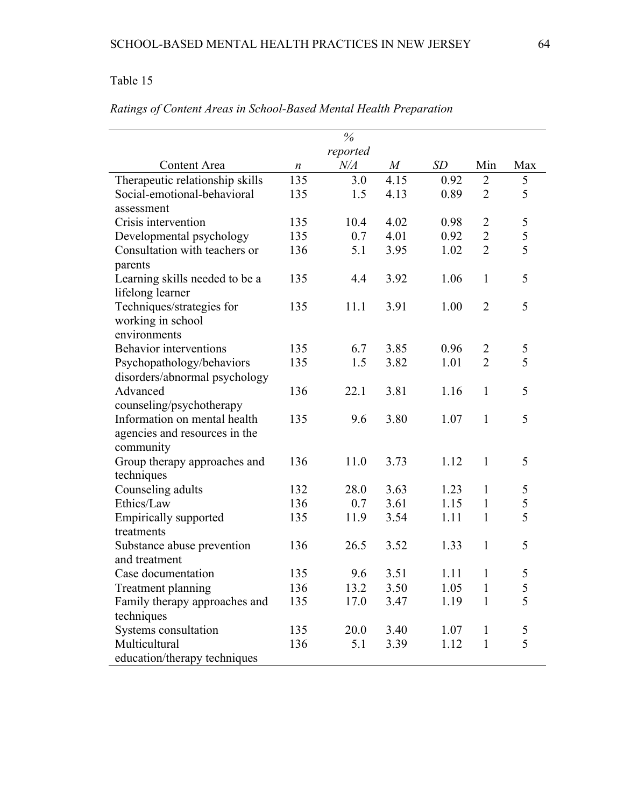## Table 15

|                                 |                  | $\%$      |                  |      |                |     |
|---------------------------------|------------------|-----------|------------------|------|----------------|-----|
|                                 | reported         |           |                  |      |                |     |
| Content Area                    | $\boldsymbol{n}$ | $N\!/\!A$ | $\boldsymbol{M}$ | SD   | Min            | Max |
| Therapeutic relationship skills | 135              | 3.0       | 4.15             | 0.92 | 2              | 5   |
| Social-emotional-behavioral     | 135              | 1.5       | 4.13             | 0.89 | $\overline{2}$ | 5   |
| assessment                      |                  |           |                  |      |                |     |
| Crisis intervention             | 135              | 10.4      | 4.02             | 0.98 | $\overline{2}$ | 5   |
| Developmental psychology        | 135              | 0.7       | 4.01             | 0.92 | $\overline{2}$ | 5   |
| Consultation with teachers or   | 136              | 5.1       | 3.95             | 1.02 | $\overline{2}$ | 5   |
| parents                         |                  |           |                  |      |                |     |
| Learning skills needed to be a  | 135              | 4.4       | 3.92             | 1.06 | $\mathbf{1}$   | 5   |
| lifelong learner                |                  |           |                  |      |                |     |
| Techniques/strategies for       | 135              | 11.1      | 3.91             | 1.00 | $\overline{2}$ | 5   |
| working in school               |                  |           |                  |      |                |     |
| environments                    |                  |           |                  |      |                |     |
| <b>Behavior</b> interventions   | 135              | 6.7       | 3.85             | 0.96 | 2              | 5   |
| Psychopathology/behaviors       | 135              | 1.5       | 3.82             | 1.01 | $\overline{2}$ | 5   |
| disorders/abnormal psychology   |                  |           |                  |      |                |     |
| Advanced                        | 136              | 22.1      | 3.81             | 1.16 | $\mathbf{1}$   | 5   |
| counseling/psychotherapy        |                  |           |                  |      |                |     |
| Information on mental health    | 135              | 9.6       | 3.80             | 1.07 | $\mathbf{1}$   | 5   |
| agencies and resources in the   |                  |           |                  |      |                |     |
| community                       |                  |           |                  |      |                |     |
| Group therapy approaches and    | 136              | 11.0      | 3.73             | 1.12 | 1              | 5   |
| techniques                      |                  |           |                  |      |                |     |
| Counseling adults               | 132              | 28.0      | 3.63             | 1.23 | $\mathbf{1}$   | 5   |
| Ethics/Law                      | 136              | 0.7       | 3.61             | 1.15 | $\mathbf{1}$   | 5   |
| <b>Empirically supported</b>    | 135              | 11.9      | 3.54             | 1.11 | $\mathbf{1}$   | 5   |
| treatments                      |                  |           |                  |      |                |     |
| Substance abuse prevention      | 136              | 26.5      | 3.52             | 1.33 | $\mathbf{1}$   | 5   |
| and treatment                   |                  |           |                  |      |                |     |
| Case documentation              | 135              | 9.6       | 3.51             | 1.11 | $\mathbf{1}$   | 5   |
| Treatment planning              | 136              | 13.2      | 3.50             | 1.05 | $\mathbf{1}$   | 5   |
| Family therapy approaches and   | 135              | 17.0      | 3.47             | 1.19 | $\mathbf{1}$   | 5   |
| techniques                      |                  |           |                  |      |                |     |
| Systems consultation            | 135              | 20.0      | 3.40             | 1.07 | $\mathbf{1}$   | 5   |
| Multicultural                   | 136              | 5.1       | 3.39             | 1.12 | $\mathbf{1}$   | 5   |
| education/therapy techniques    |                  |           |                  |      |                |     |

## *Ratings of Content Areas in School-Based Mental Health Preparation*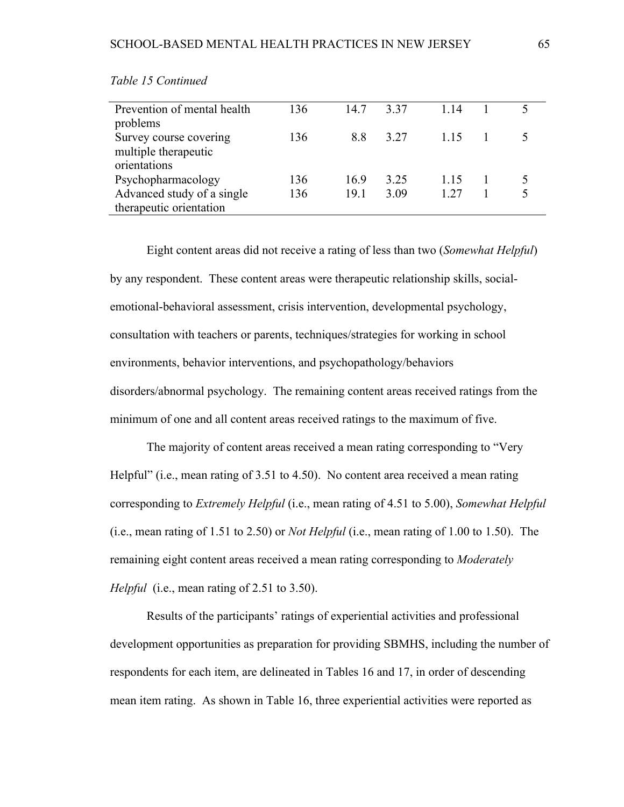| Prevention of mental health | 136 | 14.7 | 337  | 1 14 |  |
|-----------------------------|-----|------|------|------|--|
| problems                    |     |      |      |      |  |
| Survey course covering      | 136 | 88   | 3.27 |      |  |
| multiple therapeutic        |     |      |      |      |  |
| orientations                |     |      |      |      |  |
| Psychopharmacology          | 136 | 169  | 3.25 | 115  |  |
| Advanced study of a single  | 136 | 19.1 | 3.09 | 1 27 |  |
| therapeutic orientation     |     |      |      |      |  |

*Table 15 Continued* 

Eight content areas did not receive a rating of less than two (*Somewhat Helpful*) by any respondent. These content areas were therapeutic relationship skills, socialemotional-behavioral assessment, crisis intervention, developmental psychology, consultation with teachers or parents, techniques/strategies for working in school environments, behavior interventions, and psychopathology/behaviors disorders/abnormal psychology. The remaining content areas received ratings from the minimum of one and all content areas received ratings to the maximum of five.

The majority of content areas received a mean rating corresponding to "Very Helpful" (i.e., mean rating of 3.51 to 4.50). No content area received a mean rating corresponding to *Extremely Helpful* (i.e., mean rating of 4.51 to 5.00), *Somewhat Helpful* (i.e., mean rating of 1.51 to 2.50) or *Not Helpful* (i.e., mean rating of 1.00 to 1.50). The remaining eight content areas received a mean rating corresponding to *Moderately Helpful* (i.e., mean rating of 2.51 to 3.50).

Results of the participants' ratings of experiential activities and professional development opportunities as preparation for providing SBMHS, including the number of respondents for each item, are delineated in Tables 16 and 17, in order of descending mean item rating. As shown in Table 16, three experiential activities were reported as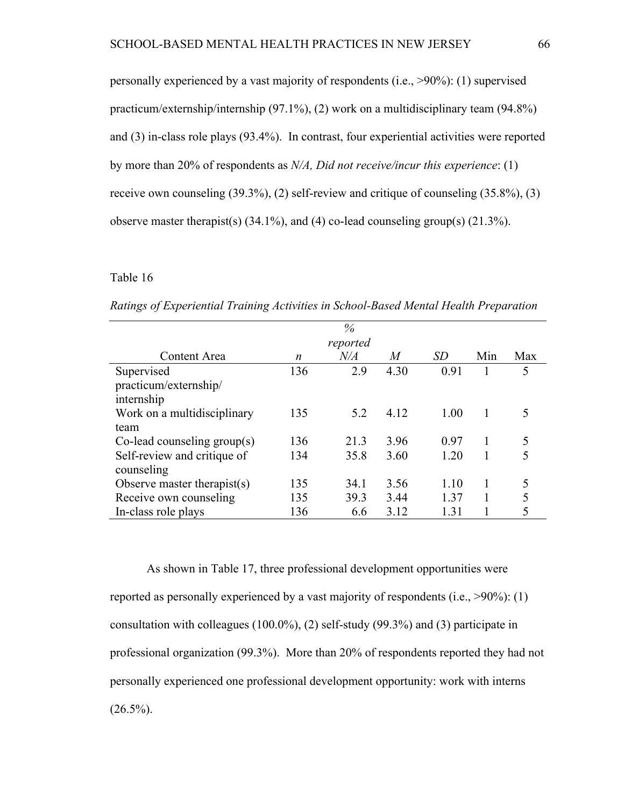personally experienced by a vast majority of respondents (i.e., >90%): (1) supervised practicum/externship/internship (97.1%), (2) work on a multidisciplinary team (94.8%) and (3) in-class role plays (93.4%). In contrast, four experiential activities were reported by more than 20% of respondents as *N/A, Did not receive/incur this experience*: (1) receive own counseling (39.3%), (2) self-review and critique of counseling (35.8%), (3) observe master therapist(s)  $(34.1\%)$ , and  $(4)$  co-lead counseling group(s)  $(21.3\%)$ .

#### Table 16

| $\%$                           |     |           |      |           |     |     |  |
|--------------------------------|-----|-----------|------|-----------|-----|-----|--|
| reported                       |     |           |      |           |     |     |  |
| Content Area                   | n   | $N\!/\!A$ | M    | <i>SD</i> | Min | Max |  |
| Supervised                     | 136 | 2.9       | 4.30 | 0.91      |     | 5   |  |
| practicum/externship/          |     |           |      |           |     |     |  |
| internship                     |     |           |      |           |     |     |  |
| Work on a multidisciplinary    | 135 | 5.2       | 4.12 | 1.00      |     |     |  |
| team                           |     |           |      |           |     |     |  |
| $Co$ -lead counseling group(s) | 136 | 21.3      | 3.96 | 0.97      |     | 5   |  |
| Self-review and critique of    | 134 | 35.8      | 3.60 | 1.20      |     |     |  |
| counseling                     |     |           |      |           |     |     |  |
| Observe master therapist $(s)$ | 135 | 34.1      | 3.56 | 1.10      |     | 5   |  |
| Receive own counseling         | 135 | 39.3      | 3.44 | 1 37      |     |     |  |
| In-class role plays            | 136 | 6.6       | 3.12 | 1.31      |     |     |  |

*Ratings of Experiential Training Activities in School-Based Mental Health Preparation* 

As shown in Table 17, three professional development opportunities were reported as personally experienced by a vast majority of respondents (i.e., >90%): (1) consultation with colleagues (100.0%), (2) self-study (99.3%) and (3) participate in professional organization (99.3%). More than 20% of respondents reported they had not personally experienced one professional development opportunity: work with interns  $(26.5\%)$ .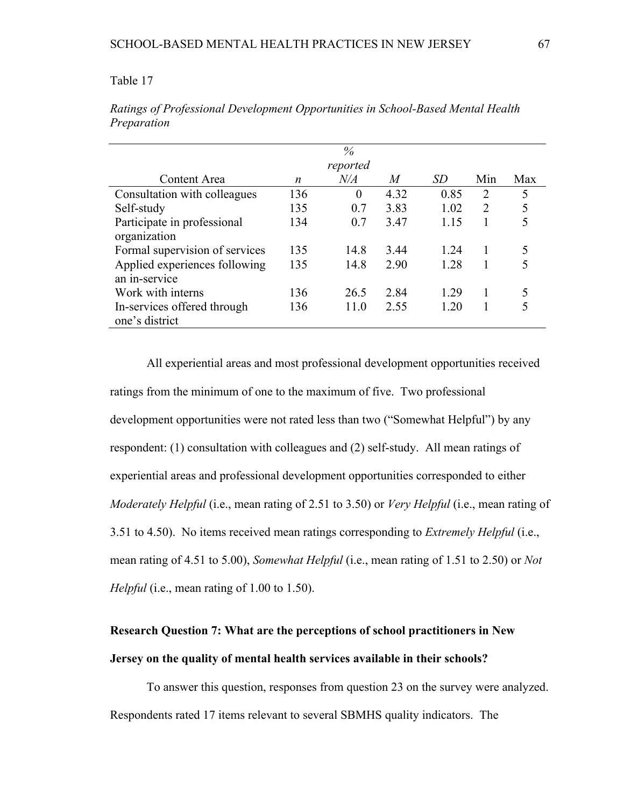#### Table 17

|                                |          | $\%$      |      |      |                |     |  |  |
|--------------------------------|----------|-----------|------|------|----------------|-----|--|--|
|                                | reported |           |      |      |                |     |  |  |
| Content Area                   | n        | $N\!/\!A$ | M    | SD   | Min            | Max |  |  |
| Consultation with colleagues   | 136      | $\theta$  | 4.32 | 0.85 | $\overline{2}$ | 5   |  |  |
| Self-study                     | 135      | 0.7       | 3.83 | 1.02 | $\overline{2}$ |     |  |  |
| Participate in professional    | 134      | 0.7       | 3.47 | 1.15 |                |     |  |  |
| organization                   |          |           |      |      |                |     |  |  |
| Formal supervision of services | 135      | 14.8      | 3.44 | 1 24 |                |     |  |  |
| Applied experiences following  | 135      | 14.8      | 2.90 | 1.28 |                |     |  |  |
| an in-service                  |          |           |      |      |                |     |  |  |
| Work with interns              | 136      | 26.5      | 2.84 | 1 29 |                |     |  |  |
| In-services offered through    | 136      | 11.0      | 2.55 | 1 20 |                |     |  |  |
| one's district                 |          |           |      |      |                |     |  |  |

*Ratings of Professional Development Opportunities in School-Based Mental Health Preparation* 

All experiential areas and most professional development opportunities received ratings from the minimum of one to the maximum of five. Two professional development opportunities were not rated less than two ("Somewhat Helpful") by any respondent: (1) consultation with colleagues and (2) self-study. All mean ratings of experiential areas and professional development opportunities corresponded to either *Moderately Helpful* (i.e., mean rating of 2.51 to 3.50) or *Very Helpful* (i.e., mean rating of 3.51 to 4.50). No items received mean ratings corresponding to *Extremely Helpful* (i.e., mean rating of 4.51 to 5.00), *Somewhat Helpful* (i.e., mean rating of 1.51 to 2.50) or *Not Helpful* (i.e., mean rating of 1.00 to 1.50).

# **Research Question 7: What are the perceptions of school practitioners in New Jersey on the quality of mental health services available in their schools?**

To answer this question, responses from question 23 on the survey were analyzed. Respondents rated 17 items relevant to several SBMHS quality indicators. The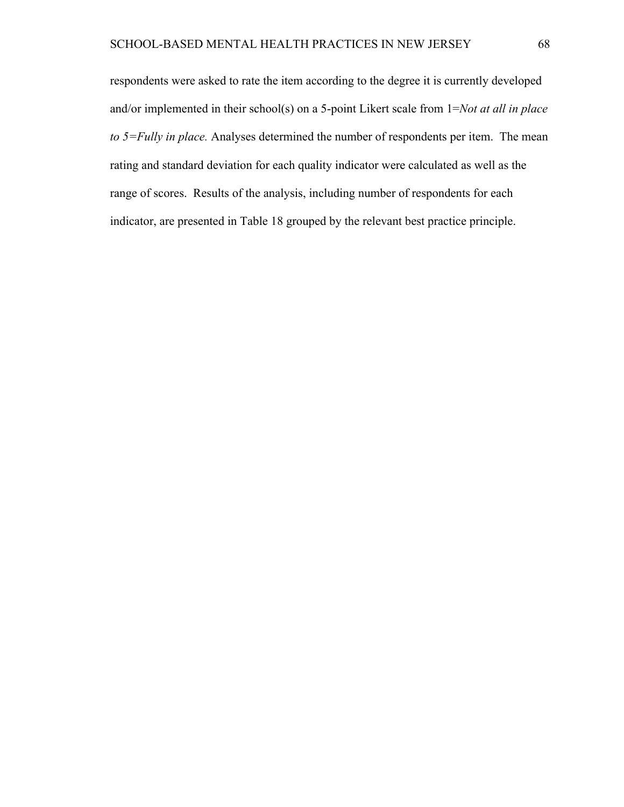respondents were asked to rate the item according to the degree it is currently developed and/or implemented in their school(s) on a 5-point Likert scale from 1=*Not at all in place to 5=Fully in place.* Analyses determined the number of respondents per item. The mean rating and standard deviation for each quality indicator were calculated as well as the range of scores. Results of the analysis, including number of respondents for each indicator, are presented in Table 18 grouped by the relevant best practice principle.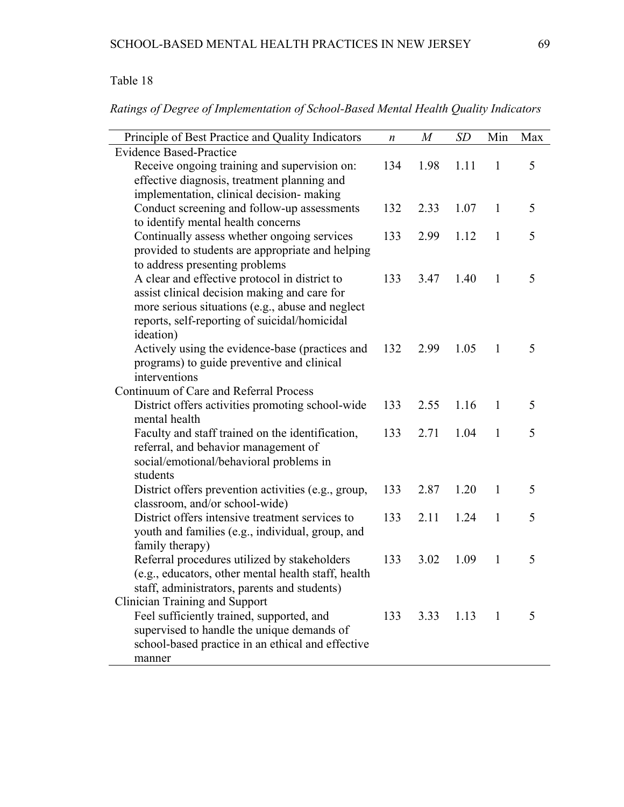## Table 18

*Ratings of Degree of Implementation of School-Based Mental Health Quality Indicators* 

| Principle of Best Practice and Quality Indicators   | n   | $\boldsymbol{M}$ | <b>SD</b> | Min          | Max |
|-----------------------------------------------------|-----|------------------|-----------|--------------|-----|
| Evidence Based-Practice                             |     |                  |           |              |     |
| Receive ongoing training and supervision on:        | 134 | 1.98             | 1.11      | $\mathbf{1}$ | 5   |
| effective diagnosis, treatment planning and         |     |                  |           |              |     |
| implementation, clinical decision- making           |     |                  |           |              |     |
| Conduct screening and follow-up assessments         | 132 | 2.33             | 1.07      | $\mathbf{1}$ | 5   |
| to identify mental health concerns                  |     |                  |           |              |     |
| Continually assess whether ongoing services         | 133 | 2.99             | 1.12      | $\mathbf{1}$ | 5   |
| provided to students are appropriate and helping    |     |                  |           |              |     |
| to address presenting problems                      |     |                  |           |              |     |
| A clear and effective protocol in district to       | 133 | 3.47             | 1.40      | $\mathbf{1}$ | 5   |
| assist clinical decision making and care for        |     |                  |           |              |     |
| more serious situations (e.g., abuse and neglect    |     |                  |           |              |     |
| reports, self-reporting of suicidal/homicidal       |     |                  |           |              |     |
| ideation)                                           |     |                  |           |              |     |
| Actively using the evidence-base (practices and     | 132 | 2.99             | 1.05      | $\mathbf{1}$ | 5   |
| programs) to guide preventive and clinical          |     |                  |           |              |     |
| interventions                                       |     |                  |           |              |     |
| Continuum of Care and Referral Process              |     |                  |           |              |     |
| District offers activities promoting school-wide    | 133 | 2.55             | 1.16      | 1            | 5   |
| mental health                                       |     |                  |           |              | 5   |
| Faculty and staff trained on the identification,    | 133 | 2.71             | 1.04      | $\mathbf{1}$ |     |
| referral, and behavior management of                |     |                  |           |              |     |
| social/emotional/behavioral problems in<br>students |     |                  |           |              |     |
| District offers prevention activities (e.g., group, | 133 | 2.87             | 1.20      | 1            | 5   |
| classroom, and/or school-wide)                      |     |                  |           |              |     |
| District offers intensive treatment services to     | 133 | 2.11             | 1.24      | $\mathbf{1}$ | 5   |
| youth and families (e.g., individual, group, and    |     |                  |           |              |     |
| family therapy)                                     |     |                  |           |              |     |
| Referral procedures utilized by stakeholders        | 133 | 3.02             | 1.09      | $\mathbf{1}$ | 5   |
| (e.g., educators, other mental health staff, health |     |                  |           |              |     |
| staff, administrators, parents and students)        |     |                  |           |              |     |
| Clinician Training and Support                      |     |                  |           |              |     |
| Feel sufficiently trained, supported, and           | 133 | 3.33             | 1.13      | $\mathbf{1}$ | 5   |
| supervised to handle the unique demands of          |     |                  |           |              |     |
| school-based practice in an ethical and effective   |     |                  |           |              |     |
| manner                                              |     |                  |           |              |     |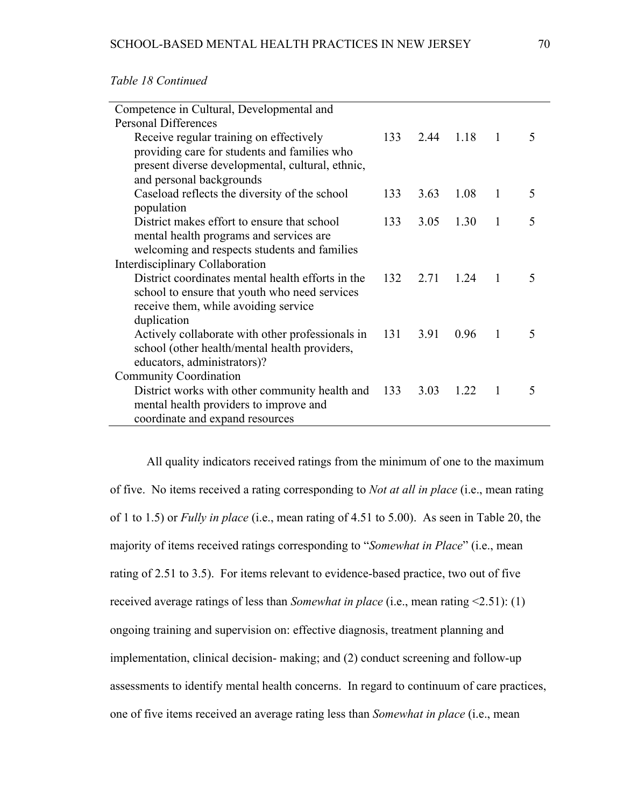| Competence in Cultural, Developmental and                 |     |           |      |                |   |
|-----------------------------------------------------------|-----|-----------|------|----------------|---|
| <b>Personal Differences</b>                               |     |           |      |                |   |
| Receive regular training on effectively                   | 133 | 2.44 1.18 |      | $\overline{1}$ | 5 |
| providing care for students and families who              |     |           |      |                |   |
| present diverse developmental, cultural, ethnic,          |     |           |      |                |   |
| and personal backgrounds                                  |     |           |      |                |   |
| Caseload reflects the diversity of the school             | 133 | 3.63      | 1.08 | $\mathbf{1}$   | 5 |
| population                                                |     |           |      |                |   |
| District makes effort to ensure that school               | 133 | 3.05      | 1.30 | $\mathbf{1}$   | 5 |
| mental health programs and services are                   |     |           |      |                |   |
| welcoming and respects students and families              |     |           |      |                |   |
| Interdisciplinary Collaboration                           |     |           |      |                |   |
| District coordinates mental health efforts in the         | 132 | 2.71      | 1.24 | $\overline{1}$ | 5 |
| school to ensure that youth who need services             |     |           |      |                |   |
| receive them, while avoiding service                      |     |           |      |                |   |
| duplication                                               |     |           |      |                |   |
| Actively collaborate with other professionals in 131 3.91 |     |           | 0.96 | $\overline{1}$ | 5 |
| school (other health/mental health providers,             |     |           |      |                |   |
| educators, administrators)?                               |     |           |      |                |   |
| <b>Community Coordination</b>                             |     |           |      |                |   |
| District works with other community health and 133        |     | 3.03      | 1.22 | $\overline{1}$ | 5 |
| mental health providers to improve and                    |     |           |      |                |   |
| coordinate and expand resources                           |     |           |      |                |   |

*Table 18 Continued* 

All quality indicators received ratings from the minimum of one to the maximum of five. No items received a rating corresponding to *Not at all in place* (i.e., mean rating of 1 to 1.5) or *Fully in place* (i.e., mean rating of 4.51 to 5.00). As seen in Table 20, the majority of items received ratings corresponding to "*Somewhat in Place*" (i.e., mean rating of 2.51 to 3.5). For items relevant to evidence-based practice, two out of five received average ratings of less than *Somewhat in place* (i.e., mean rating <2.51): (1) ongoing training and supervision on: effective diagnosis, treatment planning and implementation, clinical decision- making; and (2) conduct screening and follow-up assessments to identify mental health concerns. In regard to continuum of care practices, one of five items received an average rating less than *Somewhat in place* (i.e., mean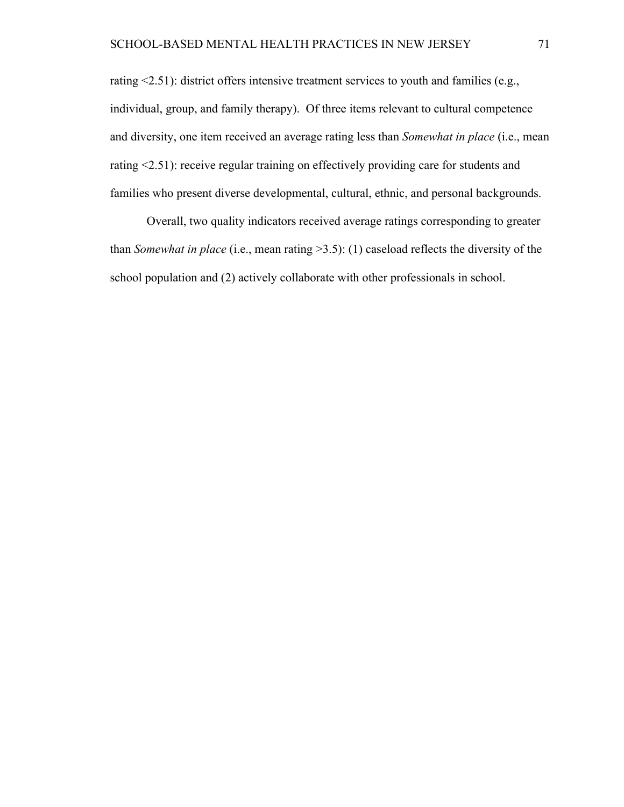rating <2.51): district offers intensive treatment services to youth and families (e.g., individual, group, and family therapy). Of three items relevant to cultural competence and diversity, one item received an average rating less than *Somewhat in place* (i.e., mean rating <2.51): receive regular training on effectively providing care for students and families who present diverse developmental, cultural, ethnic, and personal backgrounds.

Overall, two quality indicators received average ratings corresponding to greater than *Somewhat in place* (i.e., mean rating >3.5): (1) caseload reflects the diversity of the school population and (2) actively collaborate with other professionals in school.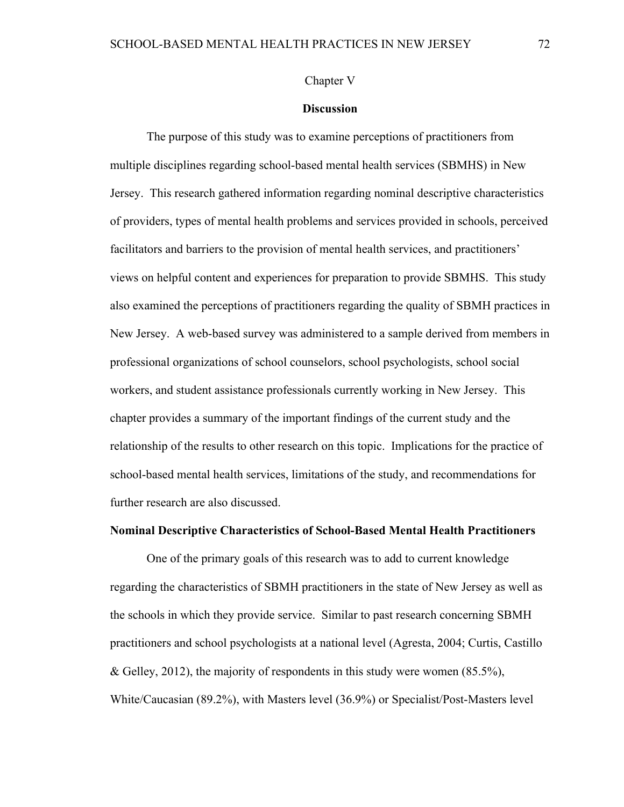Chapter V

#### **Discussion**

The purpose of this study was to examine perceptions of practitioners from multiple disciplines regarding school-based mental health services (SBMHS) in New Jersey. This research gathered information regarding nominal descriptive characteristics of providers, types of mental health problems and services provided in schools, perceived facilitators and barriers to the provision of mental health services, and practitioners' views on helpful content and experiences for preparation to provide SBMHS. This study also examined the perceptions of practitioners regarding the quality of SBMH practices in New Jersey. A web-based survey was administered to a sample derived from members in professional organizations of school counselors, school psychologists, school social workers, and student assistance professionals currently working in New Jersey. This chapter provides a summary of the important findings of the current study and the relationship of the results to other research on this topic. Implications for the practice of school-based mental health services, limitations of the study, and recommendations for further research are also discussed.

#### **Nominal Descriptive Characteristics of School-Based Mental Health Practitioners**

One of the primary goals of this research was to add to current knowledge regarding the characteristics of SBMH practitioners in the state of New Jersey as well as the schools in which they provide service. Similar to past research concerning SBMH practitioners and school psychologists at a national level (Agresta, 2004; Curtis, Castillo & Gelley, 2012), the majority of respondents in this study were women  $(85.5\%)$ , White/Caucasian (89.2%), with Masters level (36.9%) or Specialist/Post-Masters level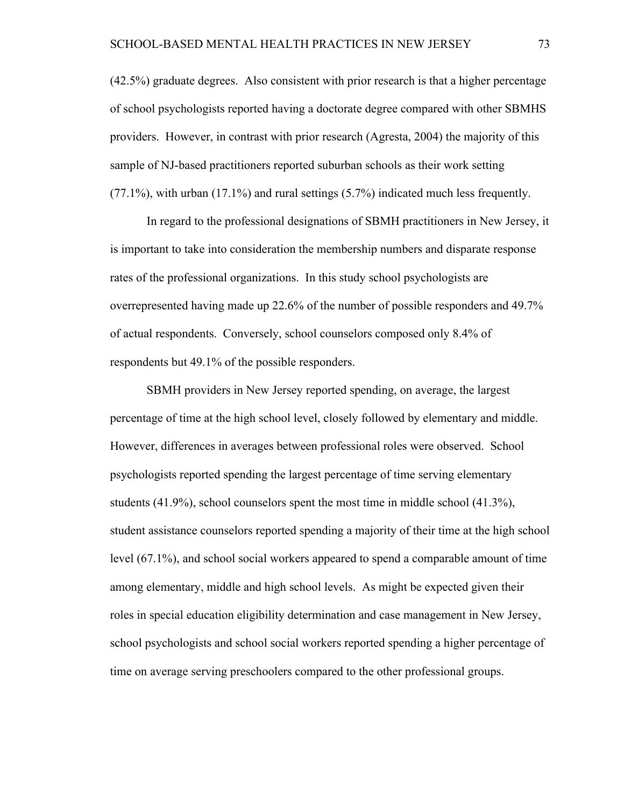(42.5%) graduate degrees. Also consistent with prior research is that a higher percentage of school psychologists reported having a doctorate degree compared with other SBMHS providers. However, in contrast with prior research (Agresta, 2004) the majority of this sample of NJ-based practitioners reported suburban schools as their work setting (77.1%), with urban (17.1%) and rural settings (5.7%) indicated much less frequently.

In regard to the professional designations of SBMH practitioners in New Jersey, it is important to take into consideration the membership numbers and disparate response rates of the professional organizations. In this study school psychologists are overrepresented having made up 22.6% of the number of possible responders and 49.7% of actual respondents. Conversely, school counselors composed only 8.4% of respondents but 49.1% of the possible responders.

SBMH providers in New Jersey reported spending, on average, the largest percentage of time at the high school level, closely followed by elementary and middle. However, differences in averages between professional roles were observed. School psychologists reported spending the largest percentage of time serving elementary students (41.9%), school counselors spent the most time in middle school (41.3%), student assistance counselors reported spending a majority of their time at the high school level (67.1%), and school social workers appeared to spend a comparable amount of time among elementary, middle and high school levels. As might be expected given their roles in special education eligibility determination and case management in New Jersey, school psychologists and school social workers reported spending a higher percentage of time on average serving preschoolers compared to the other professional groups.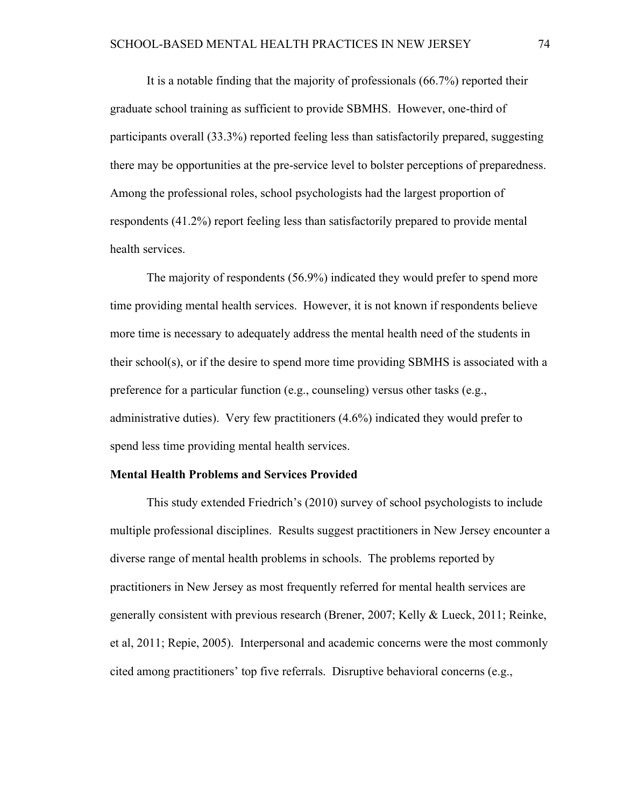It is a notable finding that the majority of professionals (66.7%) reported their graduate school training as sufficient to provide SBMHS. However, one-third of participants overall (33.3%) reported feeling less than satisfactorily prepared, suggesting there may be opportunities at the pre-service level to bolster perceptions of preparedness. Among the professional roles, school psychologists had the largest proportion of respondents (41.2%) report feeling less than satisfactorily prepared to provide mental health services.

The majority of respondents (56.9%) indicated they would prefer to spend more time providing mental health services. However, it is not known if respondents believe more time is necessary to adequately address the mental health need of the students in their school(s), or if the desire to spend more time providing SBMHS is associated with a preference for a particular function (e.g., counseling) versus other tasks (e.g., administrative duties). Very few practitioners (4.6%) indicated they would prefer to spend less time providing mental health services.

#### **Mental Health Problems and Services Provided**

This study extended Friedrich's (2010) survey of school psychologists to include multiple professional disciplines. Results suggest practitioners in New Jersey encounter a diverse range of mental health problems in schools. The problems reported by practitioners in New Jersey as most frequently referred for mental health services are generally consistent with previous research (Brener, 2007; Kelly & Lueck, 2011; Reinke, et al, 2011; Repie, 2005). Interpersonal and academic concerns were the most commonly cited among practitioners' top five referrals. Disruptive behavioral concerns (e.g.,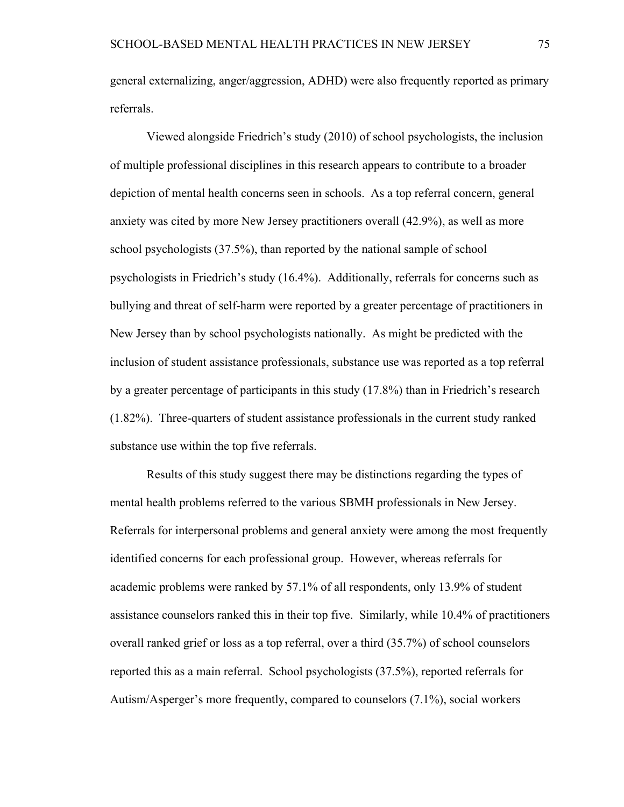general externalizing, anger/aggression, ADHD) were also frequently reported as primary referrals.

Viewed alongside Friedrich's study (2010) of school psychologists, the inclusion of multiple professional disciplines in this research appears to contribute to a broader depiction of mental health concerns seen in schools. As a top referral concern, general anxiety was cited by more New Jersey practitioners overall (42.9%), as well as more school psychologists (37.5%), than reported by the national sample of school psychologists in Friedrich's study (16.4%). Additionally, referrals for concerns such as bullying and threat of self-harm were reported by a greater percentage of practitioners in New Jersey than by school psychologists nationally. As might be predicted with the inclusion of student assistance professionals, substance use was reported as a top referral by a greater percentage of participants in this study (17.8%) than in Friedrich's research (1.82%). Three-quarters of student assistance professionals in the current study ranked substance use within the top five referrals.

Results of this study suggest there may be distinctions regarding the types of mental health problems referred to the various SBMH professionals in New Jersey. Referrals for interpersonal problems and general anxiety were among the most frequently identified concerns for each professional group. However, whereas referrals for academic problems were ranked by 57.1% of all respondents, only 13.9% of student assistance counselors ranked this in their top five. Similarly, while 10.4% of practitioners overall ranked grief or loss as a top referral, over a third (35.7%) of school counselors reported this as a main referral. School psychologists (37.5%), reported referrals for Autism/Asperger's more frequently, compared to counselors (7.1%), social workers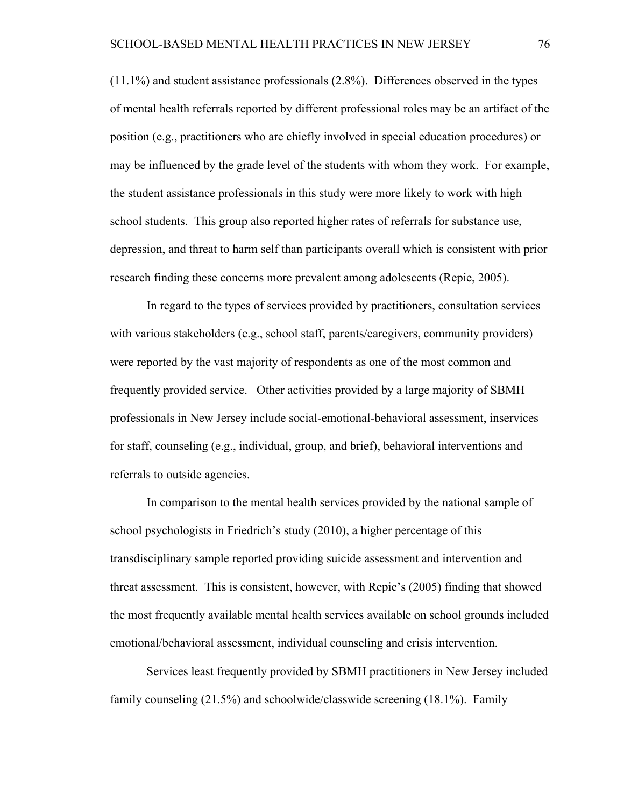(11.1%) and student assistance professionals (2.8%). Differences observed in the types of mental health referrals reported by different professional roles may be an artifact of the position (e.g., practitioners who are chiefly involved in special education procedures) or may be influenced by the grade level of the students with whom they work. For example, the student assistance professionals in this study were more likely to work with high school students. This group also reported higher rates of referrals for substance use, depression, and threat to harm self than participants overall which is consistent with prior research finding these concerns more prevalent among adolescents (Repie, 2005).

In regard to the types of services provided by practitioners, consultation services with various stakeholders (e.g., school staff, parents/caregivers, community providers) were reported by the vast majority of respondents as one of the most common and frequently provided service. Other activities provided by a large majority of SBMH professionals in New Jersey include social-emotional-behavioral assessment, inservices for staff, counseling (e.g., individual, group, and brief), behavioral interventions and referrals to outside agencies.

In comparison to the mental health services provided by the national sample of school psychologists in Friedrich's study (2010), a higher percentage of this transdisciplinary sample reported providing suicide assessment and intervention and threat assessment. This is consistent, however, with Repie's (2005) finding that showed the most frequently available mental health services available on school grounds included emotional/behavioral assessment, individual counseling and crisis intervention.

Services least frequently provided by SBMH practitioners in New Jersey included family counseling (21.5%) and schoolwide/classwide screening (18.1%). Family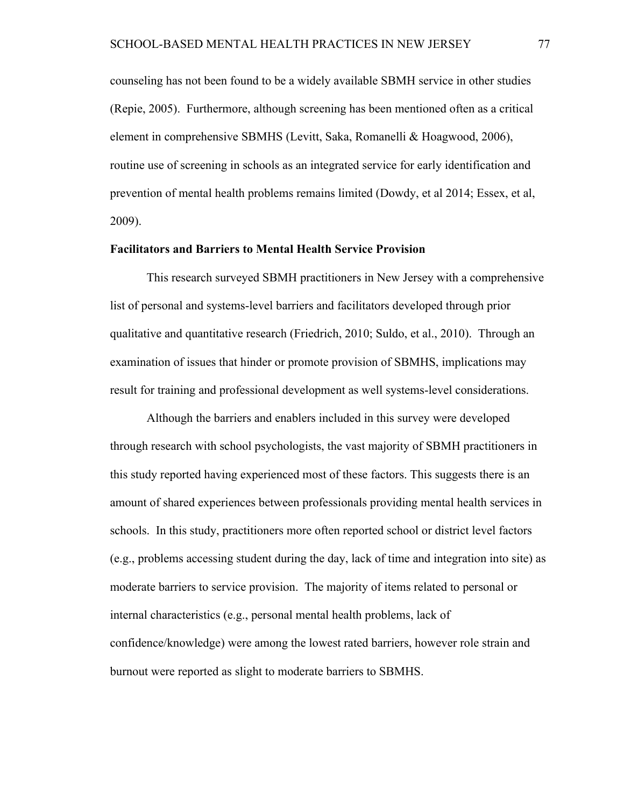counseling has not been found to be a widely available SBMH service in other studies (Repie, 2005). Furthermore, although screening has been mentioned often as a critical element in comprehensive SBMHS (Levitt, Saka, Romanelli & Hoagwood, 2006), routine use of screening in schools as an integrated service for early identification and prevention of mental health problems remains limited (Dowdy, et al 2014; Essex, et al, 2009).

#### **Facilitators and Barriers to Mental Health Service Provision**

This research surveyed SBMH practitioners in New Jersey with a comprehensive list of personal and systems-level barriers and facilitators developed through prior qualitative and quantitative research (Friedrich, 2010; Suldo, et al., 2010). Through an examination of issues that hinder or promote provision of SBMHS, implications may result for training and professional development as well systems-level considerations.

Although the barriers and enablers included in this survey were developed through research with school psychologists, the vast majority of SBMH practitioners in this study reported having experienced most of these factors. This suggests there is an amount of shared experiences between professionals providing mental health services in schools. In this study, practitioners more often reported school or district level factors (e.g., problems accessing student during the day, lack of time and integration into site) as moderate barriers to service provision. The majority of items related to personal or internal characteristics (e.g., personal mental health problems, lack of confidence/knowledge) were among the lowest rated barriers, however role strain and burnout were reported as slight to moderate barriers to SBMHS.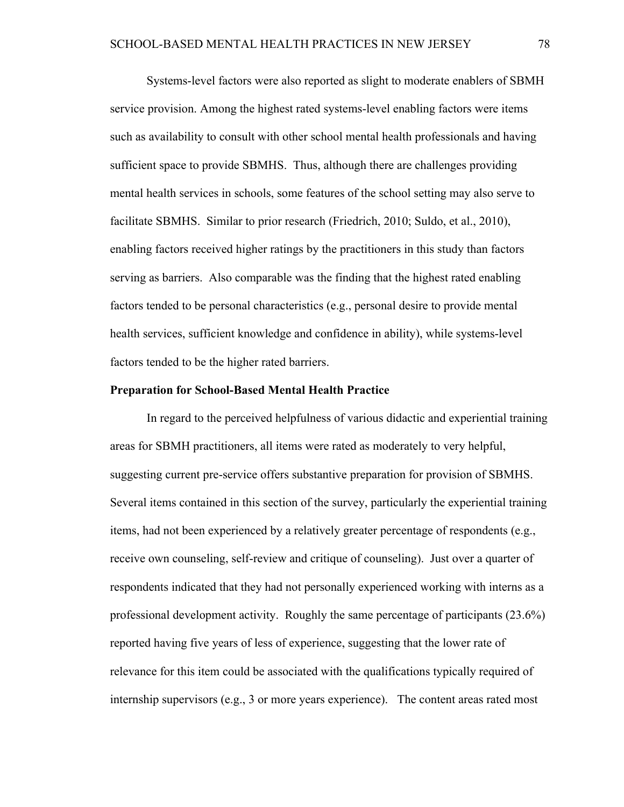Systems-level factors were also reported as slight to moderate enablers of SBMH service provision. Among the highest rated systems-level enabling factors were items such as availability to consult with other school mental health professionals and having sufficient space to provide SBMHS. Thus, although there are challenges providing mental health services in schools, some features of the school setting may also serve to facilitate SBMHS. Similar to prior research (Friedrich, 2010; Suldo, et al., 2010), enabling factors received higher ratings by the practitioners in this study than factors serving as barriers. Also comparable was the finding that the highest rated enabling factors tended to be personal characteristics (e.g., personal desire to provide mental health services, sufficient knowledge and confidence in ability), while systems-level factors tended to be the higher rated barriers.

#### **Preparation for School-Based Mental Health Practice**

In regard to the perceived helpfulness of various didactic and experiential training areas for SBMH practitioners, all items were rated as moderately to very helpful, suggesting current pre-service offers substantive preparation for provision of SBMHS. Several items contained in this section of the survey, particularly the experiential training items, had not been experienced by a relatively greater percentage of respondents (e.g., receive own counseling, self-review and critique of counseling). Just over a quarter of respondents indicated that they had not personally experienced working with interns as a professional development activity. Roughly the same percentage of participants (23.6%) reported having five years of less of experience, suggesting that the lower rate of relevance for this item could be associated with the qualifications typically required of internship supervisors (e.g., 3 or more years experience). The content areas rated most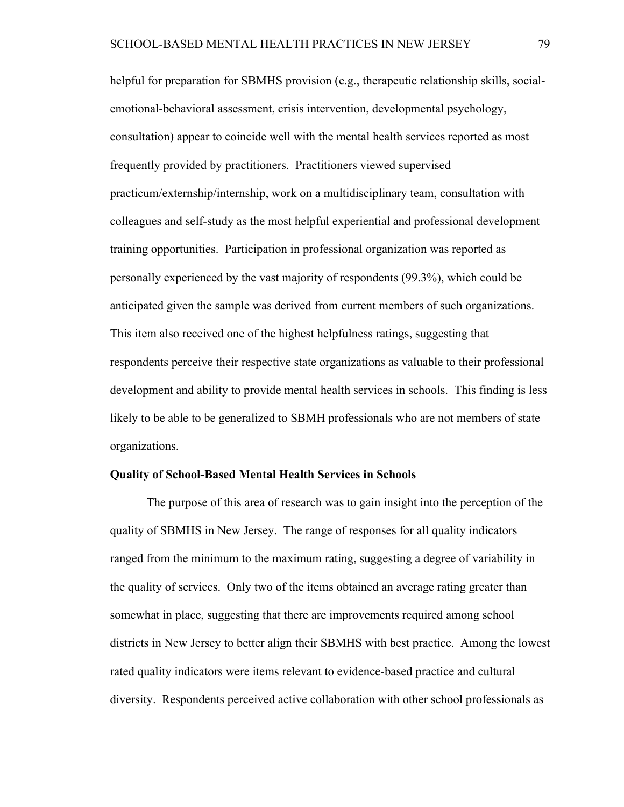helpful for preparation for SBMHS provision (e.g., therapeutic relationship skills, socialemotional-behavioral assessment, crisis intervention, developmental psychology, consultation) appear to coincide well with the mental health services reported as most frequently provided by practitioners. Practitioners viewed supervised practicum/externship/internship, work on a multidisciplinary team, consultation with colleagues and self-study as the most helpful experiential and professional development training opportunities. Participation in professional organization was reported as personally experienced by the vast majority of respondents (99.3%), which could be anticipated given the sample was derived from current members of such organizations. This item also received one of the highest helpfulness ratings, suggesting that respondents perceive their respective state organizations as valuable to their professional development and ability to provide mental health services in schools. This finding is less likely to be able to be generalized to SBMH professionals who are not members of state organizations.

#### **Quality of School-Based Mental Health Services in Schools**

The purpose of this area of research was to gain insight into the perception of the quality of SBMHS in New Jersey. The range of responses for all quality indicators ranged from the minimum to the maximum rating, suggesting a degree of variability in the quality of services. Only two of the items obtained an average rating greater than somewhat in place, suggesting that there are improvements required among school districts in New Jersey to better align their SBMHS with best practice. Among the lowest rated quality indicators were items relevant to evidence-based practice and cultural diversity. Respondents perceived active collaboration with other school professionals as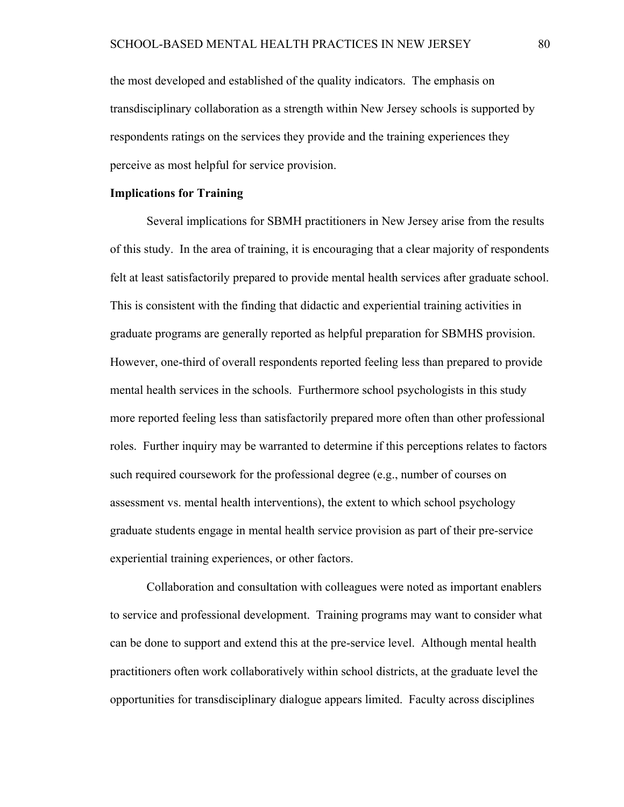the most developed and established of the quality indicators. The emphasis on transdisciplinary collaboration as a strength within New Jersey schools is supported by respondents ratings on the services they provide and the training experiences they perceive as most helpful for service provision.

#### **Implications for Training**

Several implications for SBMH practitioners in New Jersey arise from the results of this study. In the area of training, it is encouraging that a clear majority of respondents felt at least satisfactorily prepared to provide mental health services after graduate school. This is consistent with the finding that didactic and experiential training activities in graduate programs are generally reported as helpful preparation for SBMHS provision. However, one-third of overall respondents reported feeling less than prepared to provide mental health services in the schools. Furthermore school psychologists in this study more reported feeling less than satisfactorily prepared more often than other professional roles. Further inquiry may be warranted to determine if this perceptions relates to factors such required coursework for the professional degree (e.g., number of courses on assessment vs. mental health interventions), the extent to which school psychology graduate students engage in mental health service provision as part of their pre-service experiential training experiences, or other factors.

Collaboration and consultation with colleagues were noted as important enablers to service and professional development. Training programs may want to consider what can be done to support and extend this at the pre-service level. Although mental health practitioners often work collaboratively within school districts, at the graduate level the opportunities for transdisciplinary dialogue appears limited. Faculty across disciplines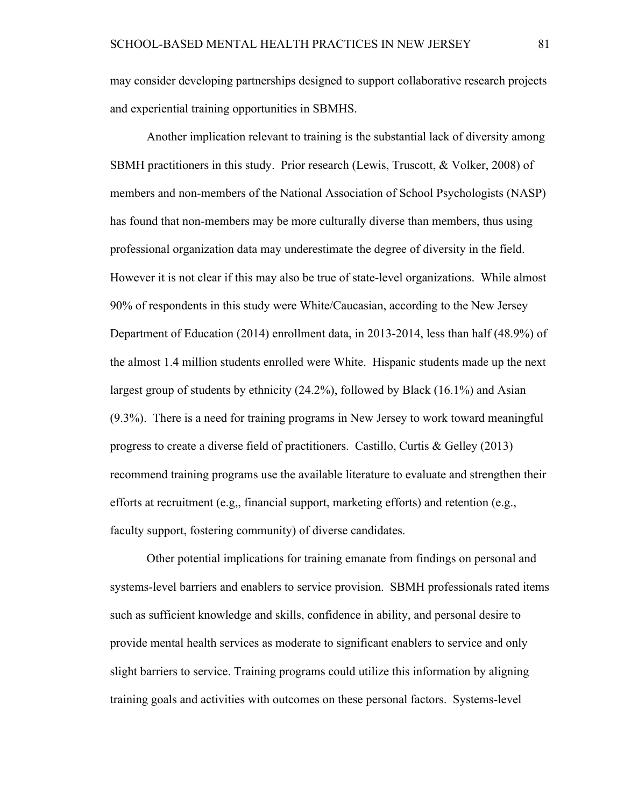may consider developing partnerships designed to support collaborative research projects and experiential training opportunities in SBMHS.

Another implication relevant to training is the substantial lack of diversity among SBMH practitioners in this study. Prior research (Lewis, Truscott, & Volker, 2008) of members and non-members of the National Association of School Psychologists (NASP) has found that non-members may be more culturally diverse than members, thus using professional organization data may underestimate the degree of diversity in the field. However it is not clear if this may also be true of state-level organizations. While almost 90% of respondents in this study were White/Caucasian, according to the New Jersey Department of Education (2014) enrollment data, in 2013-2014, less than half (48.9%) of the almost 1.4 million students enrolled were White. Hispanic students made up the next largest group of students by ethnicity (24.2%), followed by Black (16.1%) and Asian (9.3%). There is a need for training programs in New Jersey to work toward meaningful progress to create a diverse field of practitioners. Castillo, Curtis & Gelley (2013) recommend training programs use the available literature to evaluate and strengthen their efforts at recruitment (e.g., financial support, marketing efforts) and retention (e.g., faculty support, fostering community) of diverse candidates.

Other potential implications for training emanate from findings on personal and systems-level barriers and enablers to service provision. SBMH professionals rated items such as sufficient knowledge and skills, confidence in ability, and personal desire to provide mental health services as moderate to significant enablers to service and only slight barriers to service. Training programs could utilize this information by aligning training goals and activities with outcomes on these personal factors. Systems-level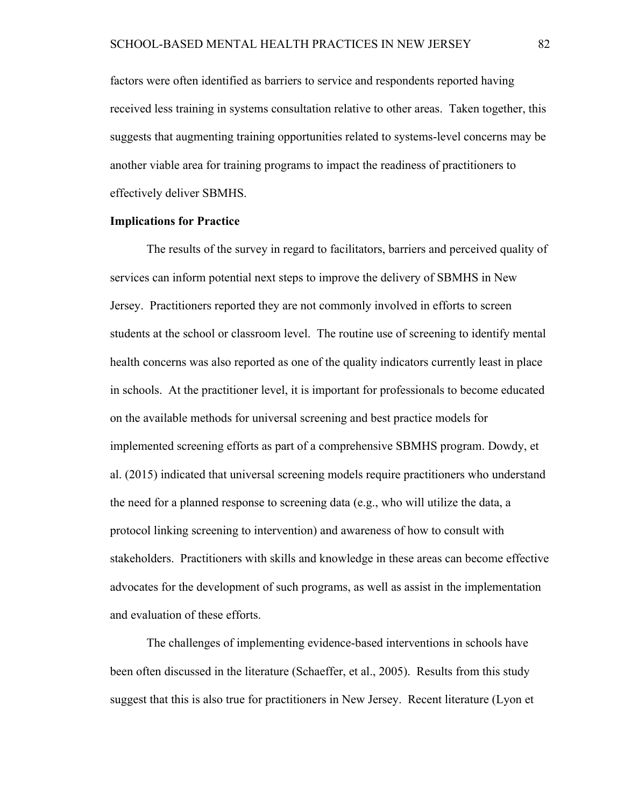factors were often identified as barriers to service and respondents reported having received less training in systems consultation relative to other areas. Taken together, this suggests that augmenting training opportunities related to systems-level concerns may be another viable area for training programs to impact the readiness of practitioners to effectively deliver SBMHS.

#### **Implications for Practice**

The results of the survey in regard to facilitators, barriers and perceived quality of services can inform potential next steps to improve the delivery of SBMHS in New Jersey. Practitioners reported they are not commonly involved in efforts to screen students at the school or classroom level. The routine use of screening to identify mental health concerns was also reported as one of the quality indicators currently least in place in schools. At the practitioner level, it is important for professionals to become educated on the available methods for universal screening and best practice models for implemented screening efforts as part of a comprehensive SBMHS program. Dowdy, et al. (2015) indicated that universal screening models require practitioners who understand the need for a planned response to screening data (e.g., who will utilize the data, a protocol linking screening to intervention) and awareness of how to consult with stakeholders. Practitioners with skills and knowledge in these areas can become effective advocates for the development of such programs, as well as assist in the implementation and evaluation of these efforts.

The challenges of implementing evidence-based interventions in schools have been often discussed in the literature (Schaeffer, et al., 2005). Results from this study suggest that this is also true for practitioners in New Jersey. Recent literature (Lyon et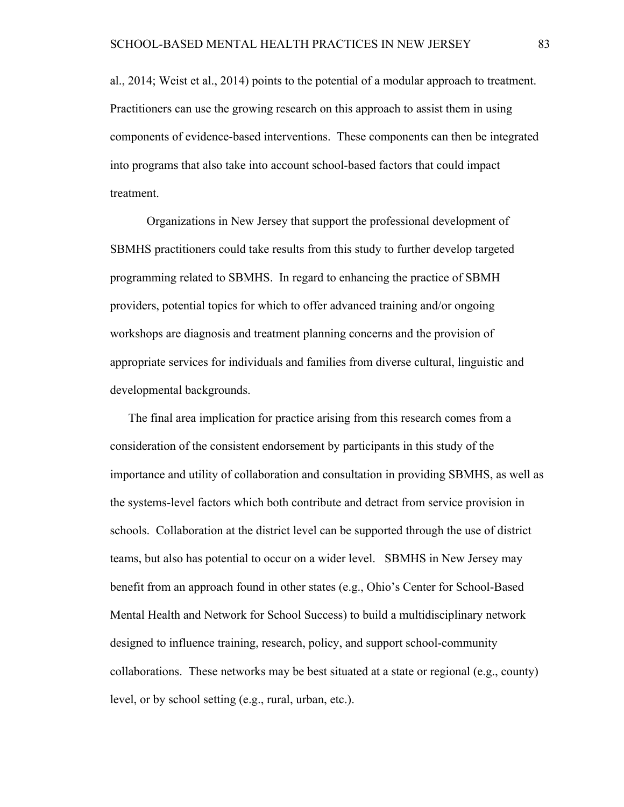al., 2014; Weist et al., 2014) points to the potential of a modular approach to treatment. Practitioners can use the growing research on this approach to assist them in using components of evidence-based interventions. These components can then be integrated into programs that also take into account school-based factors that could impact treatment.

Organizations in New Jersey that support the professional development of SBMHS practitioners could take results from this study to further develop targeted programming related to SBMHS. In regard to enhancing the practice of SBMH providers, potential topics for which to offer advanced training and/or ongoing workshops are diagnosis and treatment planning concerns and the provision of appropriate services for individuals and families from diverse cultural, linguistic and developmental backgrounds.

The final area implication for practice arising from this research comes from a consideration of the consistent endorsement by participants in this study of the importance and utility of collaboration and consultation in providing SBMHS, as well as the systems-level factors which both contribute and detract from service provision in schools. Collaboration at the district level can be supported through the use of district teams, but also has potential to occur on a wider level. SBMHS in New Jersey may benefit from an approach found in other states (e.g., Ohio's Center for School-Based Mental Health and Network for School Success) to build a multidisciplinary network designed to influence training, research, policy, and support school-community collaborations. These networks may be best situated at a state or regional (e.g., county) level, or by school setting (e.g., rural, urban, etc.).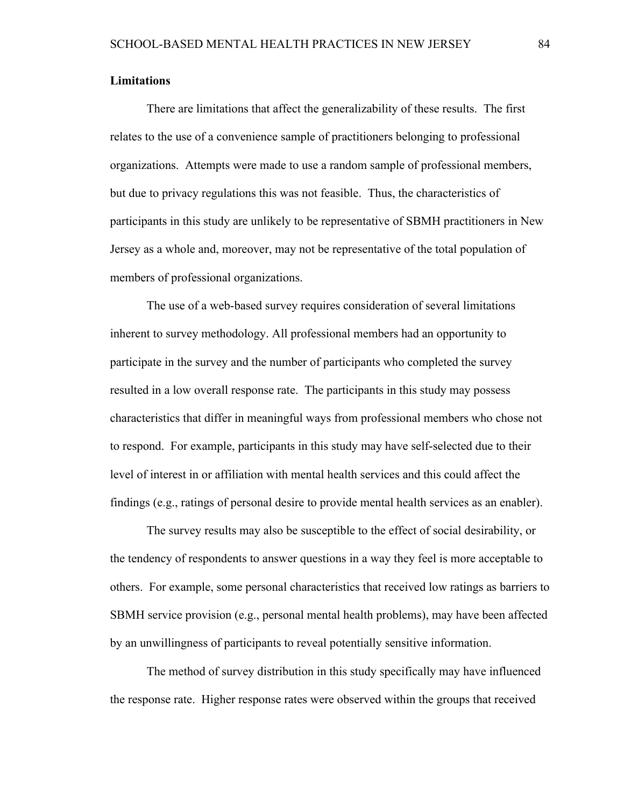#### **Limitations**

There are limitations that affect the generalizability of these results. The first relates to the use of a convenience sample of practitioners belonging to professional organizations. Attempts were made to use a random sample of professional members, but due to privacy regulations this was not feasible. Thus, the characteristics of participants in this study are unlikely to be representative of SBMH practitioners in New Jersey as a whole and, moreover, may not be representative of the total population of members of professional organizations.

The use of a web-based survey requires consideration of several limitations inherent to survey methodology. All professional members had an opportunity to participate in the survey and the number of participants who completed the survey resulted in a low overall response rate. The participants in this study may possess characteristics that differ in meaningful ways from professional members who chose not to respond. For example, participants in this study may have self-selected due to their level of interest in or affiliation with mental health services and this could affect the findings (e.g., ratings of personal desire to provide mental health services as an enabler).

The survey results may also be susceptible to the effect of social desirability, or the tendency of respondents to answer questions in a way they feel is more acceptable to others. For example, some personal characteristics that received low ratings as barriers to SBMH service provision (e.g., personal mental health problems), may have been affected by an unwillingness of participants to reveal potentially sensitive information.

The method of survey distribution in this study specifically may have influenced the response rate. Higher response rates were observed within the groups that received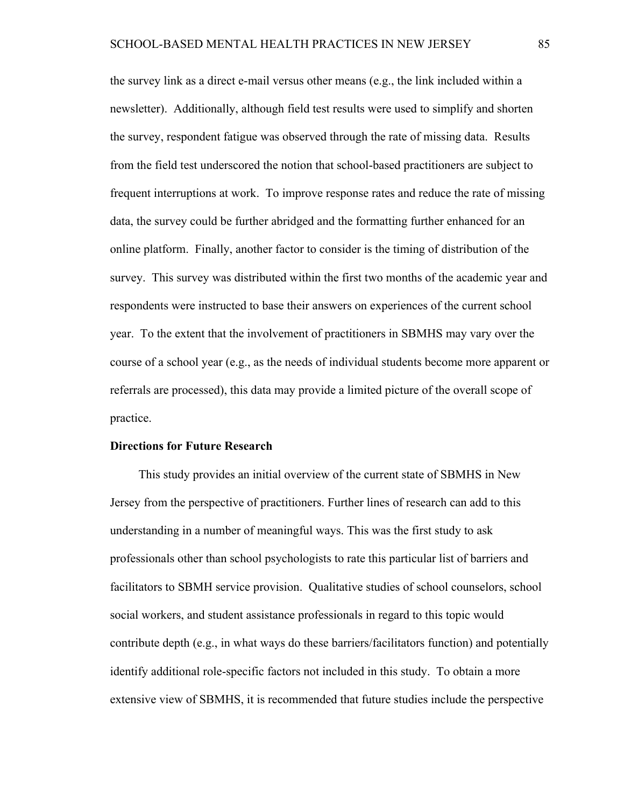the survey link as a direct e-mail versus other means (e.g., the link included within a newsletter). Additionally, although field test results were used to simplify and shorten the survey, respondent fatigue was observed through the rate of missing data. Results from the field test underscored the notion that school-based practitioners are subject to frequent interruptions at work. To improve response rates and reduce the rate of missing data, the survey could be further abridged and the formatting further enhanced for an online platform. Finally, another factor to consider is the timing of distribution of the survey. This survey was distributed within the first two months of the academic year and respondents were instructed to base their answers on experiences of the current school year. To the extent that the involvement of practitioners in SBMHS may vary over the course of a school year (e.g., as the needs of individual students become more apparent or referrals are processed), this data may provide a limited picture of the overall scope of practice.

#### **Directions for Future Research**

This study provides an initial overview of the current state of SBMHS in New Jersey from the perspective of practitioners. Further lines of research can add to this understanding in a number of meaningful ways. This was the first study to ask professionals other than school psychologists to rate this particular list of barriers and facilitators to SBMH service provision. Qualitative studies of school counselors, school social workers, and student assistance professionals in regard to this topic would contribute depth (e.g., in what ways do these barriers/facilitators function) and potentially identify additional role-specific factors not included in this study. To obtain a more extensive view of SBMHS, it is recommended that future studies include the perspective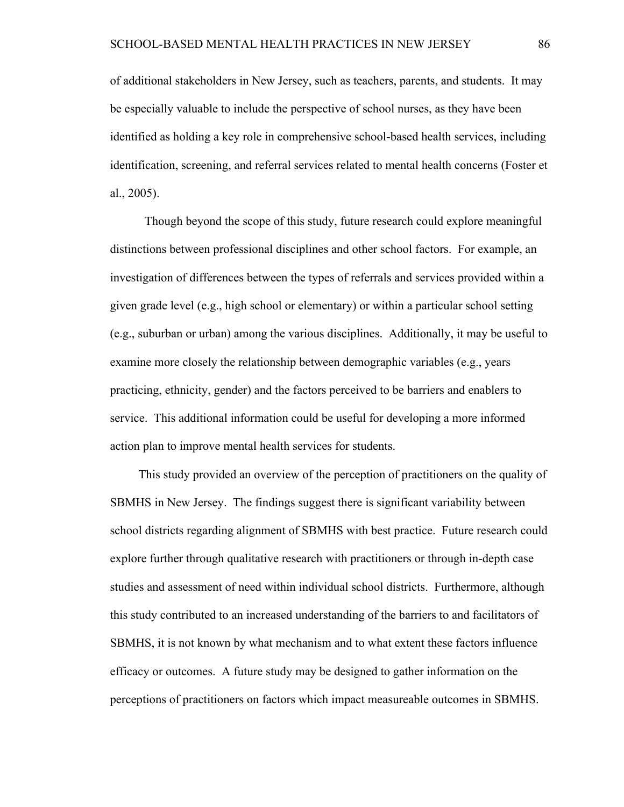of additional stakeholders in New Jersey, such as teachers, parents, and students. It may be especially valuable to include the perspective of school nurses, as they have been identified as holding a key role in comprehensive school-based health services, including identification, screening, and referral services related to mental health concerns (Foster et al., 2005).

 Though beyond the scope of this study, future research could explore meaningful distinctions between professional disciplines and other school factors. For example, an investigation of differences between the types of referrals and services provided within a given grade level (e.g., high school or elementary) or within a particular school setting (e.g., suburban or urban) among the various disciplines. Additionally, it may be useful to examine more closely the relationship between demographic variables (e.g., years practicing, ethnicity, gender) and the factors perceived to be barriers and enablers to service. This additional information could be useful for developing a more informed action plan to improve mental health services for students.

This study provided an overview of the perception of practitioners on the quality of SBMHS in New Jersey. The findings suggest there is significant variability between school districts regarding alignment of SBMHS with best practice. Future research could explore further through qualitative research with practitioners or through in-depth case studies and assessment of need within individual school districts. Furthermore, although this study contributed to an increased understanding of the barriers to and facilitators of SBMHS, it is not known by what mechanism and to what extent these factors influence efficacy or outcomes. A future study may be designed to gather information on the perceptions of practitioners on factors which impact measureable outcomes in SBMHS.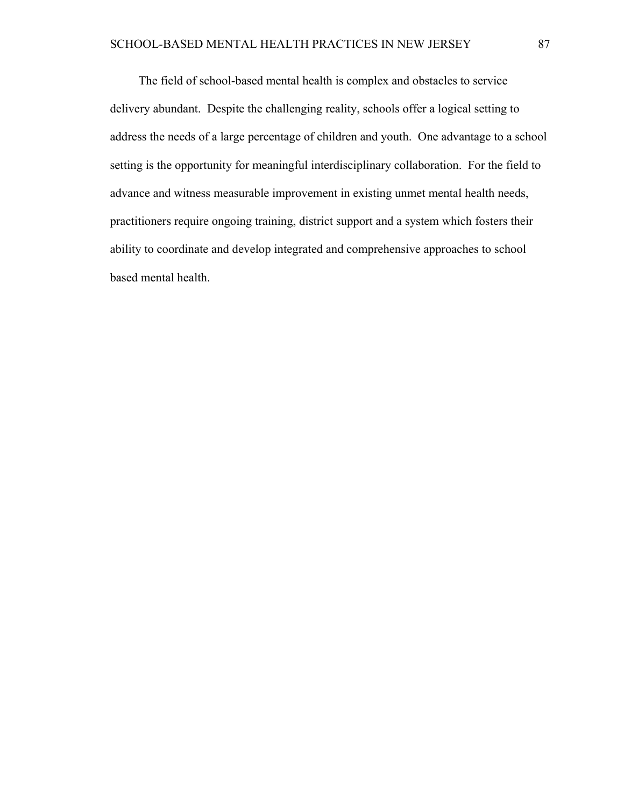The field of school-based mental health is complex and obstacles to service delivery abundant. Despite the challenging reality, schools offer a logical setting to address the needs of a large percentage of children and youth. One advantage to a school setting is the opportunity for meaningful interdisciplinary collaboration. For the field to advance and witness measurable improvement in existing unmet mental health needs, practitioners require ongoing training, district support and a system which fosters their ability to coordinate and develop integrated and comprehensive approaches to school based mental health.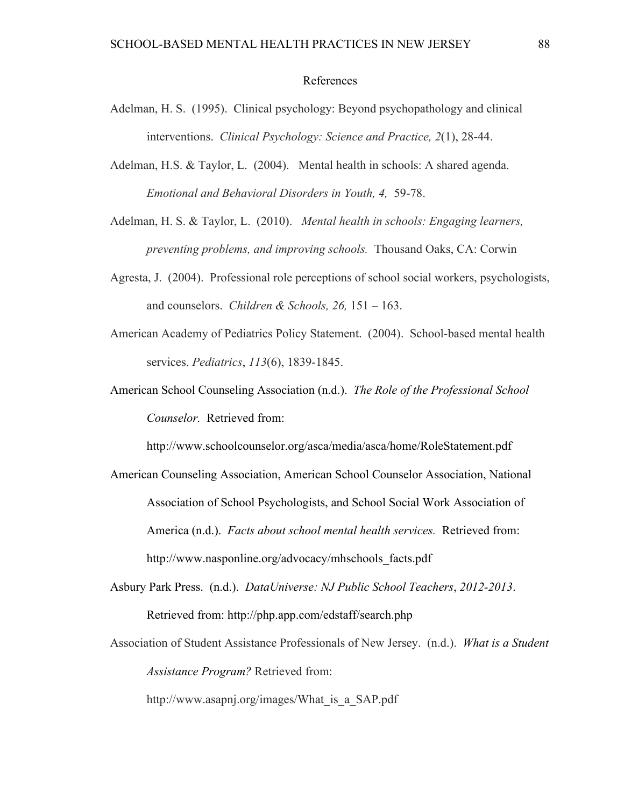#### References

- Adelman, H. S. (1995). Clinical psychology: Beyond psychopathology and clinical interventions. *Clinical Psychology: Science and Practice, 2*(1), 28-44.
- Adelman, H.S. & Taylor, L. (2004). Mental health in schools: A shared agenda. *Emotional and Behavioral Disorders in Youth, 4,* 59-78.

Adelman, H. S. & Taylor, L. (2010). *Mental health in schools: Engaging learners, preventing problems, and improving schools.* Thousand Oaks, CA: Corwin

- Agresta, J. (2004). Professional role perceptions of school social workers, psychologists, and counselors. *Children & Schools, 26,* 151 – 163.
- American Academy of Pediatrics Policy Statement. (2004). School-based mental health services. *Pediatrics*, *113*(6), 1839-1845.
- American School Counseling Association (n.d.). *The Role of the Professional School Counselor.* Retrieved from:

http://www.schoolcounselor.org/asca/media/asca/home/RoleStatement.pdf

- American Counseling Association, American School Counselor Association, National Association of School Psychologists, and School Social Work Association of America (n.d.). *Facts about school mental health services.* Retrieved from: http://www.nasponline.org/advocacy/mhschools\_facts.pdf
- Asbury Park Press. (n.d.). *DataUniverse: NJ Public School Teachers*, *2012-2013*. Retrieved from: http://php.app.com/edstaff/search.php
- Association of Student Assistance Professionals of New Jersey. (n.d.). *What is a Student Assistance Program?* Retrieved from:

http://www.asapnj.org/images/What\_is\_a\_SAP.pdf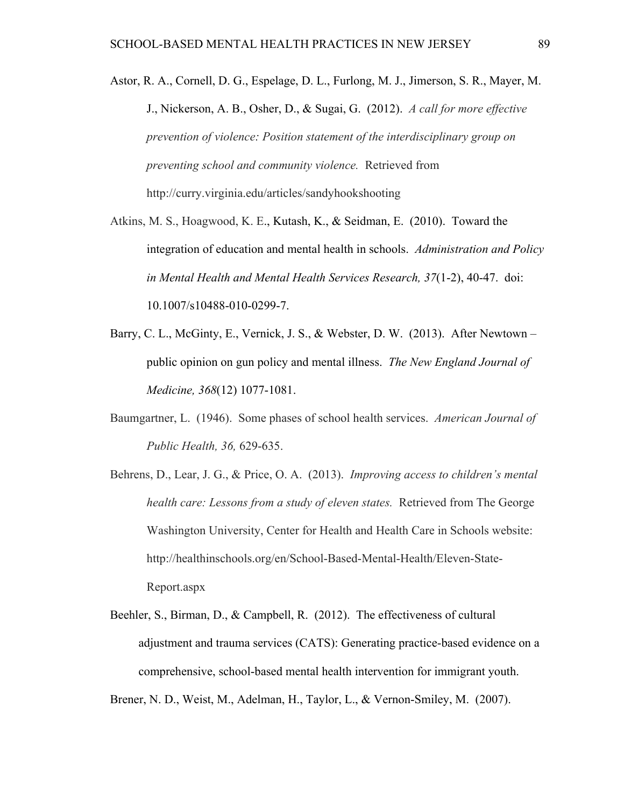- Astor, R. A., Cornell, D. G., Espelage, D. L., Furlong, M. J., Jimerson, S. R., Mayer, M. J., Nickerson, A. B., Osher, D., & Sugai, G. (2012). *A call for more effective prevention of violence: Position statement of the interdisciplinary group on preventing school and community violence.* Retrieved from http://curry.virginia.edu/articles/sandyhookshooting
- Atkins, M. S., Hoagwood, K. E., Kutash, K., & Seidman, E. (2010). Toward the integration of education and mental health in schools. *Administration and Policy in Mental Health and Mental Health Services Research, 37*(1-2), 40-47. doi: 10.1007/s10488-010-0299-7.
- Barry, C. L., McGinty, E., Vernick, J. S., & Webster, D. W. (2013). After Newtown public opinion on gun policy and mental illness. *The New England Journal of Medicine, 368*(12) 1077-1081.
- Baumgartner, L. (1946). Some phases of school health services. *American Journal of Public Health, 36,* 629-635.
- Behrens, D., Lear, J. G., & Price, O. A. (2013). *Improving access to children's mental health care: Lessons from a study of eleven states.* Retrieved from The George Washington University, Center for Health and Health Care in Schools website: http://healthinschools.org/en/School-Based-Mental-Health/Eleven-State-Report.aspx
- Beehler, S., Birman, D., & Campbell, R. (2012). The effectiveness of cultural adjustment and trauma services (CATS): Generating practice-based evidence on a comprehensive, school-based mental health intervention for immigrant youth.

Brener, N. D., Weist, M., Adelman, H., Taylor, L., & Vernon-Smiley, M. (2007).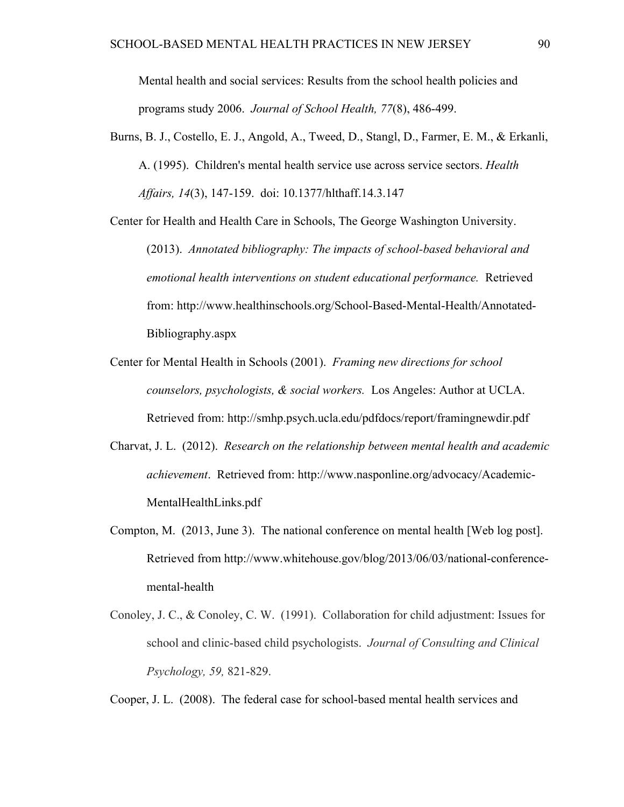Mental health and social services: Results from the school health policies and programs study 2006. *Journal of School Health, 77*(8), 486-499.

Burns, B. J., Costello, E. J., Angold, A., Tweed, D., Stangl, D., Farmer, E. M., & Erkanli, A. (1995). Children's mental health service use across service sectors. *Health Affairs, 14*(3), 147-159. doi: 10.1377/hlthaff.14.3.147

Center for Health and Health Care in Schools, The George Washington University.

(2013). *Annotated bibliography: The impacts of school-based behavioral and emotional health interventions on student educational performance.* Retrieved from: http://www.healthinschools.org/School-Based-Mental-Health/Annotated-Bibliography.aspx

- Center for Mental Health in Schools (2001). *Framing new directions for school counselors, psychologists, & social workers.* Los Angeles: Author at UCLA. Retrieved from: http://smhp.psych.ucla.edu/pdfdocs/report/framingnewdir.pdf
- Charvat, J. L. (2012). *Research on the relationship between mental health and academic achievement*. Retrieved from: http://www.nasponline.org/advocacy/Academic-MentalHealthLinks.pdf
- Compton, M. (2013, June 3). The national conference on mental health [Web log post]. Retrieved from http://www.whitehouse.gov/blog/2013/06/03/national-conferencemental-health
- Conoley, J. C., & Conoley, C. W. (1991). Collaboration for child adjustment: Issues for school and clinic-based child psychologists. *Journal of Consulting and Clinical Psychology, 59,* 821-829.

Cooper, J. L. (2008). The federal case for school-based mental health services and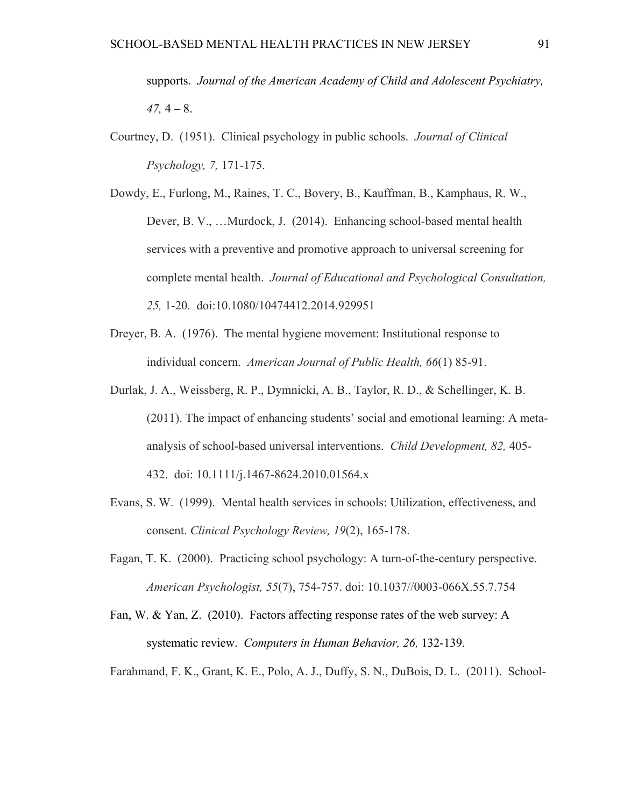supports. *Journal of the American Academy of Child and Adolescent Psychiatry,*   $47, 4 - 8.$ 

- Courtney, D. (1951). Clinical psychology in public schools. *Journal of Clinical Psychology, 7,* 171-175.
- Dowdy, E., Furlong, M., Raines, T. C., Bovery, B., Kauffman, B., Kamphaus, R. W., Dever, B. V., …Murdock, J. (2014). Enhancing school-based mental health services with a preventive and promotive approach to universal screening for complete mental health. *Journal of Educational and Psychological Consultation, 25,* 1-20. doi:10.1080/10474412.2014.929951
- Dreyer, B. A. (1976). The mental hygiene movement: Institutional response to individual concern. *American Journal of Public Health, 66*(1) 85-91.
- Durlak, J. A., Weissberg, R. P., Dymnicki, A. B., Taylor, R. D., & Schellinger, K. B. (2011). The impact of enhancing students' social and emotional learning: A metaanalysis of school-based universal interventions. *Child Development, 82,* 405- 432. doi: 10.1111/j.1467-8624.2010.01564.x
- Evans, S. W. (1999). Mental health services in schools: Utilization, effectiveness, and consent. *Clinical Psychology Review, 19*(2), 165-178.
- Fagan, T. K. (2000). Practicing school psychology: A turn-of-the-century perspective. *American Psychologist, 55*(7), 754-757. doi: 10.1037//0003-066X.55.7.754
- Fan, W. & Yan, Z. (2010). Factors affecting response rates of the web survey: A systematic review. *Computers in Human Behavior, 26,* 132-139.

Farahmand, F. K., Grant, K. E., Polo, A. J., Duffy, S. N., DuBois, D. L. (2011). School-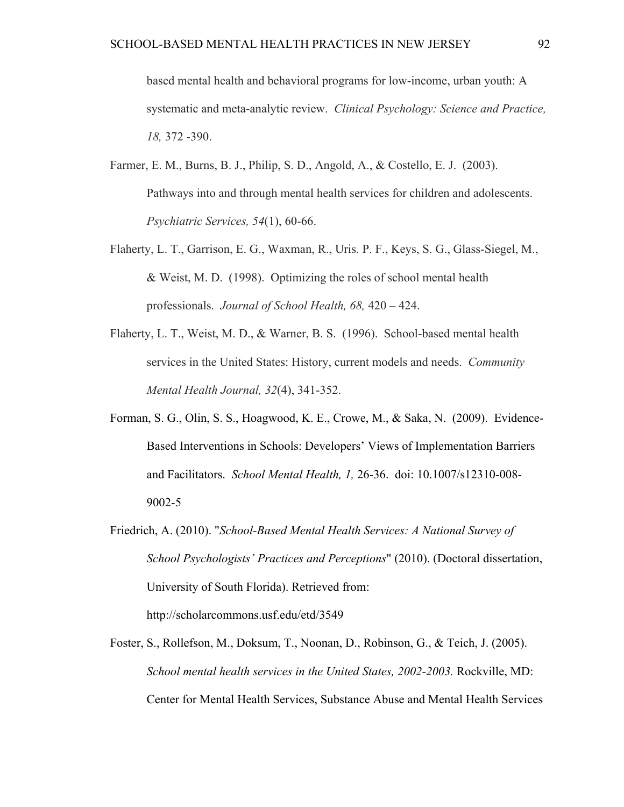based mental health and behavioral programs for low-income, urban youth: A systematic and meta-analytic review. *Clinical Psychology: Science and Practice, 18,* 372 -390.

- Farmer, E. M., Burns, B. J., Philip, S. D., Angold, A., & Costello, E. J. (2003). Pathways into and through mental health services for children and adolescents. *Psychiatric Services, 54*(1), 60-66.
- Flaherty, L. T., Garrison, E. G., Waxman, R., Uris. P. F., Keys, S. G., Glass-Siegel, M., & Weist, M. D. (1998). Optimizing the roles of school mental health professionals. *Journal of School Health, 68,* 420 – 424.
- Flaherty, L. T., Weist, M. D., & Warner, B. S. (1996). School-based mental health services in the United States: History, current models and needs. *Community Mental Health Journal, 32*(4), 341-352.
- Forman, S. G., Olin, S. S., Hoagwood, K. E., Crowe, M., & Saka, N. (2009). Evidence-Based Interventions in Schools: Developers' Views of Implementation Barriers and Facilitators. *School Mental Health, 1,* 26-36. doi: 10.1007/s12310-008- 9002-5
- Friedrich, A. (2010). "*School-Based Mental Health Services: A National Survey of School Psychologists' Practices and Perceptions*" (2010). (Doctoral dissertation, University of South Florida). Retrieved from: http://scholarcommons.usf.edu/etd/3549
- Foster, S., Rollefson, M., Doksum, T., Noonan, D., Robinson, G., & Teich, J. (2005). *School mental health services in the United States, 2002-2003.* Rockville, MD: Center for Mental Health Services, Substance Abuse and Mental Health Services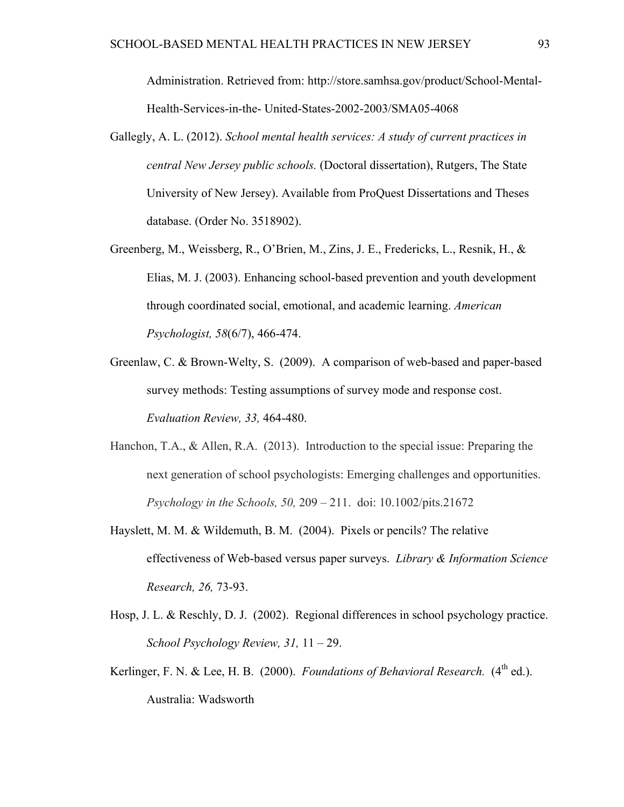Administration. Retrieved from: http://store.samhsa.gov/product/School-Mental-Health-Services-in-the- United-States-2002-2003/SMA05-4068

- Gallegly, A. L. (2012). *School mental health services: A study of current practices in central New Jersey public schools.* (Doctoral dissertation), Rutgers, The State University of New Jersey). Available from ProQuest Dissertations and Theses database. (Order No. 3518902).
- Greenberg, M., Weissberg, R., O'Brien, M., Zins, J. E., Fredericks, L., Resnik, H., & Elias, M. J. (2003). Enhancing school-based prevention and youth development through coordinated social, emotional, and academic learning. *American Psychologist, 58*(6/7), 466-474.
- Greenlaw, C. & Brown-Welty, S. (2009). A comparison of web-based and paper-based survey methods: Testing assumptions of survey mode and response cost. *Evaluation Review, 33,* 464-480.
- Hanchon, T.A., & Allen, R.A. (2013). Introduction to the special issue: Preparing the next generation of school psychologists: Emerging challenges and opportunities. *Psychology in the Schools, 50,* 209 – 211. doi: 10.1002/pits.21672
- Hayslett, M. M. & Wildemuth, B. M. (2004). Pixels or pencils? The relative effectiveness of Web-based versus paper surveys. *Library & Information Science Research, 26,* 73-93.
- Hosp, J. L. & Reschly, D. J. (2002). Regional differences in school psychology practice. *School Psychology Review, 31,* 11 – 29.
- Kerlinger, F. N. & Lee, H. B. (2000). *Foundations of Behavioral Research.* (4<sup>th</sup> ed.). Australia: Wadsworth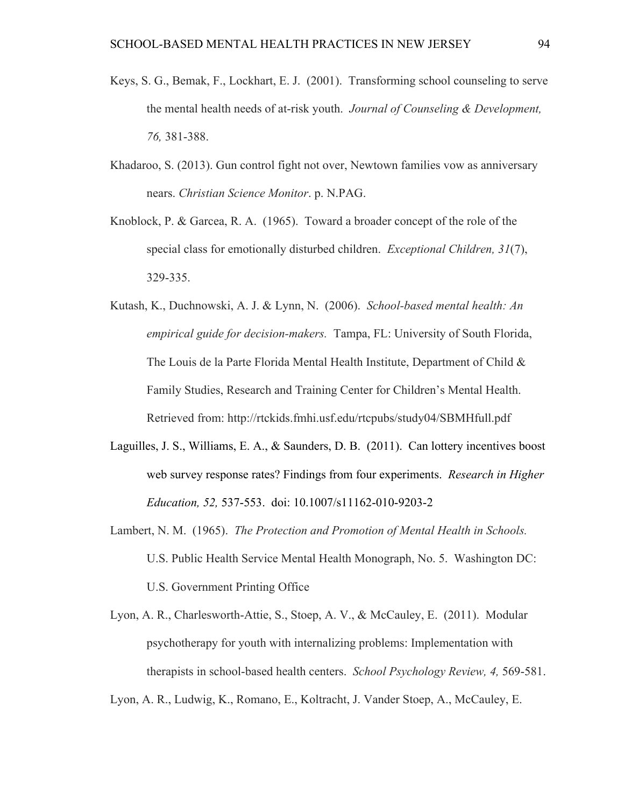- Keys, S. G., Bemak, F., Lockhart, E. J. (2001). Transforming school counseling to serve the mental health needs of at-risk youth. *Journal of Counseling & Development, 76,* 381-388.
- Khadaroo, S. (2013). Gun control fight not over, Newtown families vow as anniversary nears. *Christian Science Monitor*. p. N.PAG.
- Knoblock, P. & Garcea, R. A. (1965). Toward a broader concept of the role of the special class for emotionally disturbed children. *Exceptional Children, 31*(7), 329-335.
- Kutash, K., Duchnowski, A. J. & Lynn, N. (2006). *School-based mental health: An empirical guide for decision-makers.* Tampa, FL: University of South Florida, The Louis de la Parte Florida Mental Health Institute, Department of Child & Family Studies, Research and Training Center for Children's Mental Health. Retrieved from: http://rtckids.fmhi.usf.edu/rtcpubs/study04/SBMHfull.pdf
- Laguilles, J. S., Williams, E. A., & Saunders, D. B. (2011). Can lottery incentives boost web survey response rates? Findings from four experiments. *Research in Higher Education, 52,* 537-553. doi: 10.1007/s11162-010-9203-2
- Lambert, N. M. (1965). *The Protection and Promotion of Mental Health in Schools.*  U.S. Public Health Service Mental Health Monograph, No. 5. Washington DC: U.S. Government Printing Office
- Lyon, A. R., Charlesworth-Attie, S., Stoep, A. V., & McCauley, E. (2011). Modular psychotherapy for youth with internalizing problems: Implementation with therapists in school-based health centers. *School Psychology Review, 4,* 569-581.

Lyon, A. R., Ludwig, K., Romano, E., Koltracht, J. Vander Stoep, A., McCauley, E.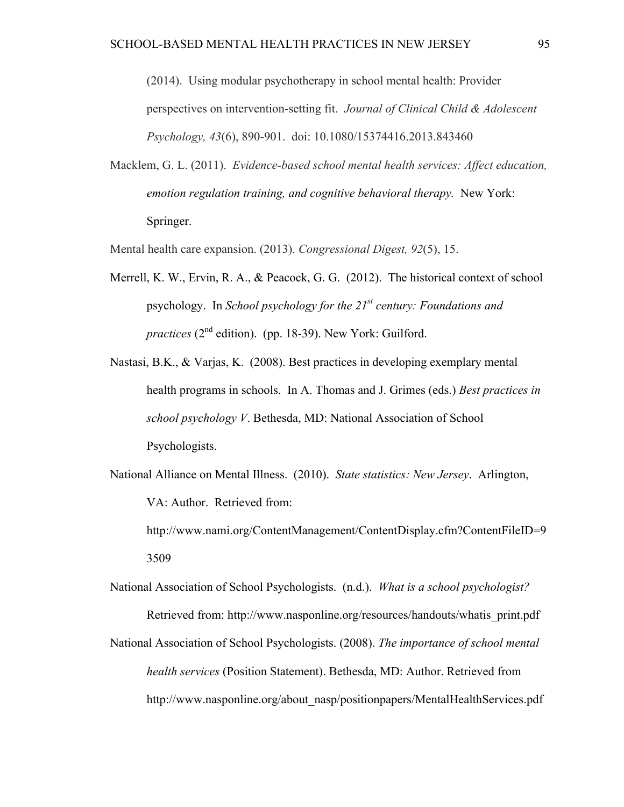(2014). Using modular psychotherapy in school mental health: Provider perspectives on intervention-setting fit. *Journal of Clinical Child & Adolescent Psychology, 43*(6), 890-901. doi: 10.1080/15374416.2013.843460

- Macklem, G. L. (2011). *Evidence-based school mental health services: Affect education, emotion regulation training, and cognitive behavioral therapy.* New York: Springer.
- Mental health care expansion. (2013). *Congressional Digest, 92*(5), 15.
- Merrell, K. W., Ervin, R. A., & Peacock, G. G. (2012). The historical context of school psychology. In *School psychology for the 21st century: Foundations and practices* (2<sup>nd</sup> edition). (pp. 18-39). New York: Guilford.
- Nastasi, B.K., & Varjas, K. (2008). Best practices in developing exemplary mental health programs in schools. In A. Thomas and J. Grimes (eds.) *Best practices in school psychology V*. Bethesda, MD: National Association of School Psychologists.
- National Alliance on Mental Illness. (2010). *State statistics: New Jersey*. Arlington, VA: Author. Retrieved from:
	- http://www.nami.org/ContentManagement/ContentDisplay.cfm?ContentFileID=9 3509
- National Association of School Psychologists. (n.d.). *What is a school psychologist?*  Retrieved from: http://www.nasponline.org/resources/handouts/whatis\_print.pdf
- National Association of School Psychologists. (2008). *The importance of school mental health services* (Position Statement). Bethesda, MD: Author. Retrieved from http://www.nasponline.org/about\_nasp/positionpapers/MentalHealthServices.pdf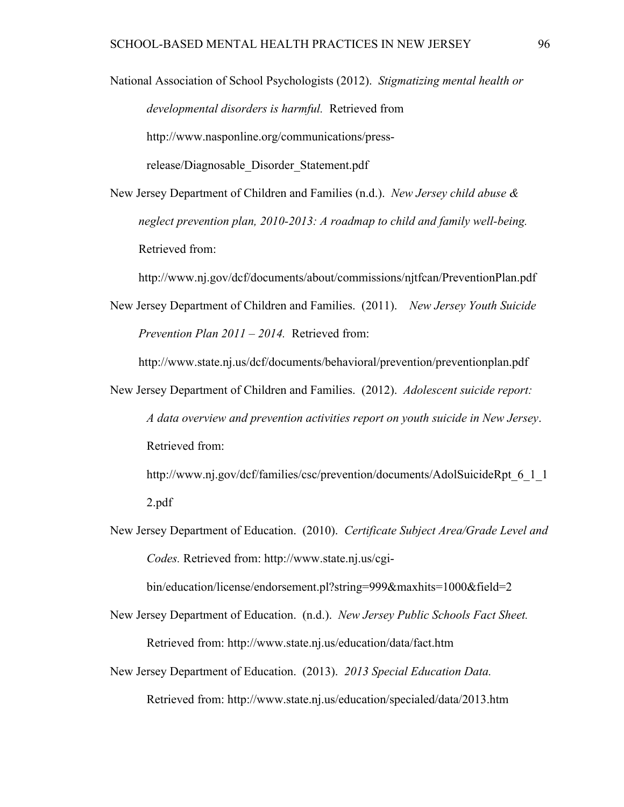National Association of School Psychologists (2012). *Stigmatizing mental health or developmental disorders is harmful.* Retrieved from http://www.nasponline.org/communications/pressrelease/Diagnosable\_Disorder\_Statement.pdf

New Jersey Department of Children and Families (n.d.). *New Jersey child abuse & neglect prevention plan, 2010-2013: A roadmap to child and family well-being.*  Retrieved from:

http://www.nj.gov/dcf/documents/about/commissions/njtfcan/PreventionPlan.pdf

New Jersey Department of Children and Families. (2011). *New Jersey Youth Suicide Prevention Plan 2011 – 2014.* Retrieved from:

http://www.state.nj.us/dcf/documents/behavioral/prevention/preventionplan.pdf

New Jersey Department of Children and Families. (2012). *Adolescent suicide report: A data overview and prevention activities report on youth suicide in New Jersey*. Retrieved from:

http://www.nj.gov/dcf/families/csc/prevention/documents/AdolSuicideRpt 6\_1\_1 2.pdf

New Jersey Department of Education. (2010). *Certificate Subject Area/Grade Level and Codes.* Retrieved from: http://www.state.nj.us/cgi-

bin/education/license/endorsement.pl?string=999&maxhits=1000&field=2

- New Jersey Department of Education. (n.d.). *New Jersey Public Schools Fact Sheet.*  Retrieved from: http://www.state.nj.us/education/data/fact.htm
- New Jersey Department of Education. (2013). *2013 Special Education Data.*  Retrieved from: http://www.state.nj.us/education/specialed/data/2013.htm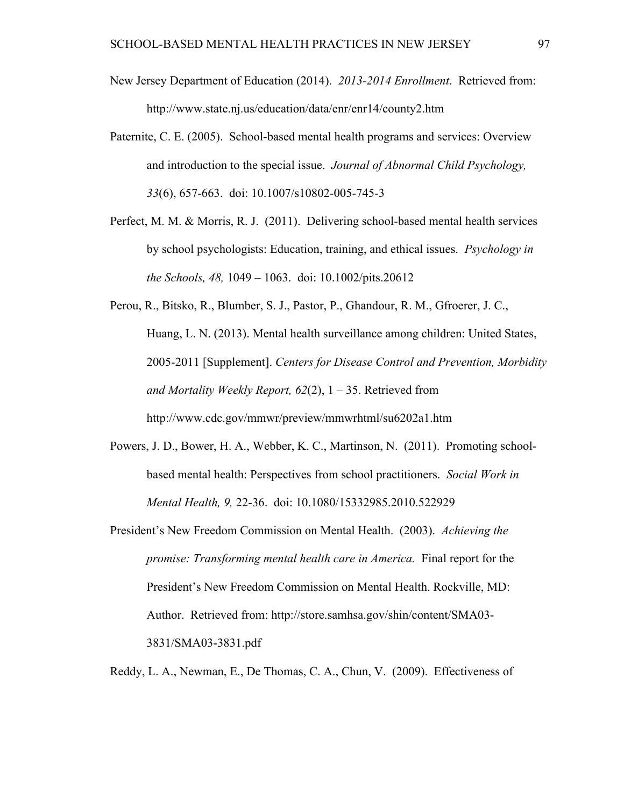- New Jersey Department of Education (2014). *2013-2014 Enrollment*. Retrieved from: http://www.state.nj.us/education/data/enr/enr14/county2.htm
- Paternite, C. E. (2005). School-based mental health programs and services: Overview and introduction to the special issue. *Journal of Abnormal Child Psychology, 33*(6), 657-663. doi: 10.1007/s10802-005-745-3
- Perfect, M. M. & Morris, R. J. (2011). Delivering school-based mental health services by school psychologists: Education, training, and ethical issues. *Psychology in the Schools, 48,* 1049 – 1063. doi: 10.1002/pits.20612
- Perou, R., Bitsko, R., Blumber, S. J., Pastor, P., Ghandour, R. M., Gfroerer, J. C., Huang, L. N. (2013). Mental health surveillance among children: United States, 2005-2011 [Supplement]. *Centers for Disease Control and Prevention, Morbidity and Mortality Weekly Report, 62*(2), 1 – 35. Retrieved from http://www.cdc.gov/mmwr/preview/mmwrhtml/su6202a1.htm
- Powers, J. D., Bower, H. A., Webber, K. C., Martinson, N. (2011). Promoting schoolbased mental health: Perspectives from school practitioners. *Social Work in Mental Health, 9,* 22-36. doi: 10.1080/15332985.2010.522929
- President's New Freedom Commission on Mental Health. (2003). *Achieving the promise: Transforming mental health care in America.* Final report for the President's New Freedom Commission on Mental Health. Rockville, MD: Author. Retrieved from: http://store.samhsa.gov/shin/content/SMA03- 3831/SMA03-3831.pdf
- Reddy, L. A., Newman, E., De Thomas, C. A., Chun, V. (2009). Effectiveness of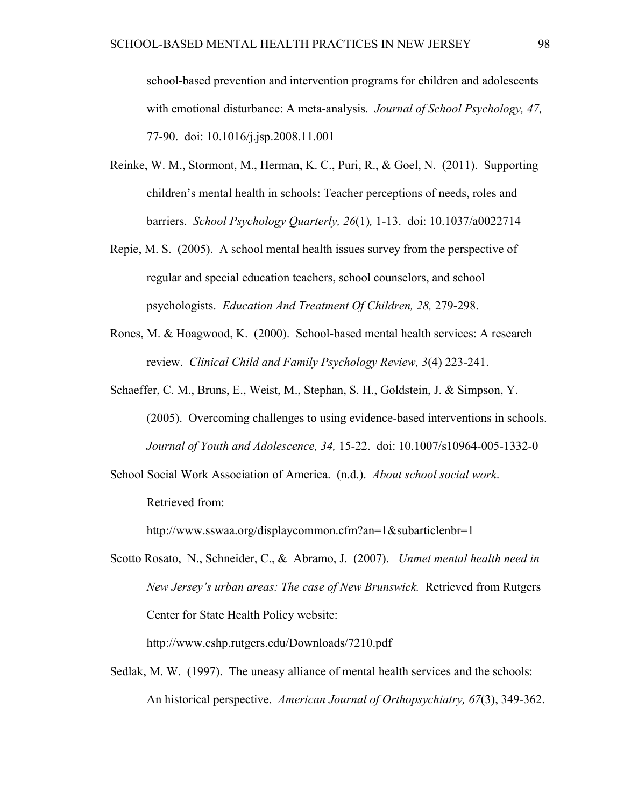school-based prevention and intervention programs for children and adolescents with emotional disturbance: A meta-analysis. *Journal of School Psychology, 47,*  77-90. doi: 10.1016/j.jsp.2008.11.001

- Reinke, W. M., Stormont, M., Herman, K. C., Puri, R., & Goel, N. (2011). Supporting children's mental health in schools: Teacher perceptions of needs, roles and barriers. *School Psychology Quarterly, 26*(1)*,* 1-13. doi: 10.1037/a0022714
- Repie, M. S. (2005). A school mental health issues survey from the perspective of regular and special education teachers, school counselors, and school psychologists. *Education And Treatment Of Children, 28,* 279-298.
- Rones, M. & Hoagwood, K. (2000). School-based mental health services: A research review. *Clinical Child and Family Psychology Review, 3*(4) 223-241.
- Schaeffer, C. M., Bruns, E., Weist, M., Stephan, S. H., Goldstein, J. & Simpson, Y. (2005). Overcoming challenges to using evidence-based interventions in schools. *Journal of Youth and Adolescence, 34,* 15-22. doi: 10.1007/s10964-005-1332-0
- School Social Work Association of America. (n.d.). *About school social work*. Retrieved from:

http://www.sswaa.org/displaycommon.cfm?an=1&subarticlenbr=1

Scotto Rosato, N., Schneider, C., & Abramo, J. (2007). *Unmet mental health need in New Jersey's urban areas: The case of New Brunswick.* Retrieved from Rutgers Center for State Health Policy website:

http://www.cshp.rutgers.edu/Downloads/7210.pdf

Sedlak, M. W. (1997). The uneasy alliance of mental health services and the schools: An historical perspective. *American Journal of Orthopsychiatry, 67*(3), 349-362.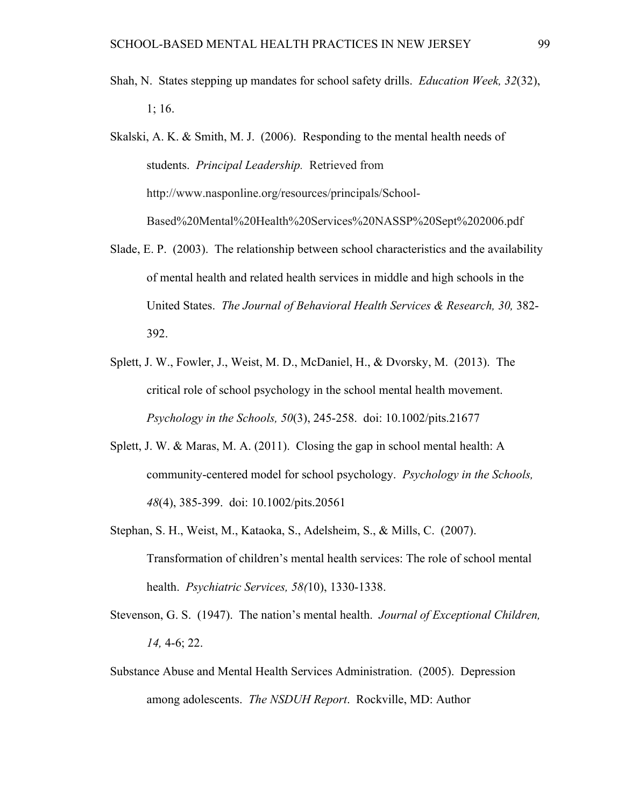- Shah, N. States stepping up mandates for school safety drills. *Education Week, 32*(32), 1; 16.
- Skalski, A. K. & Smith, M. J. (2006). Responding to the mental health needs of students. *Principal Leadership.* Retrieved from http://www.nasponline.org/resources/principals/School-Based%20Mental%20Health%20Services%20NASSP%20Sept%202006.pdf
- Slade, E. P. (2003). The relationship between school characteristics and the availability of mental health and related health services in middle and high schools in the United States. *The Journal of Behavioral Health Services & Research, 30,* 382- 392.
- Splett, J. W., Fowler, J., Weist, M. D., McDaniel, H., & Dvorsky, M. (2013). The critical role of school psychology in the school mental health movement. *Psychology in the Schools, 50*(3), 245-258. doi: 10.1002/pits.21677
- Splett, J. W. & Maras, M. A. (2011). Closing the gap in school mental health: A community-centered model for school psychology. *Psychology in the Schools, 48*(4), 385-399. doi: 10.1002/pits.20561
- Stephan, S. H., Weist, M., Kataoka, S., Adelsheim, S., & Mills, C. (2007). Transformation of children's mental health services: The role of school mental health. *Psychiatric Services, 58(*10), 1330-1338.
- Stevenson, G. S. (1947). The nation's mental health. *Journal of Exceptional Children, 14,* 4-6; 22.
- Substance Abuse and Mental Health Services Administration. (2005). Depression among adolescents. *The NSDUH Report*. Rockville, MD: Author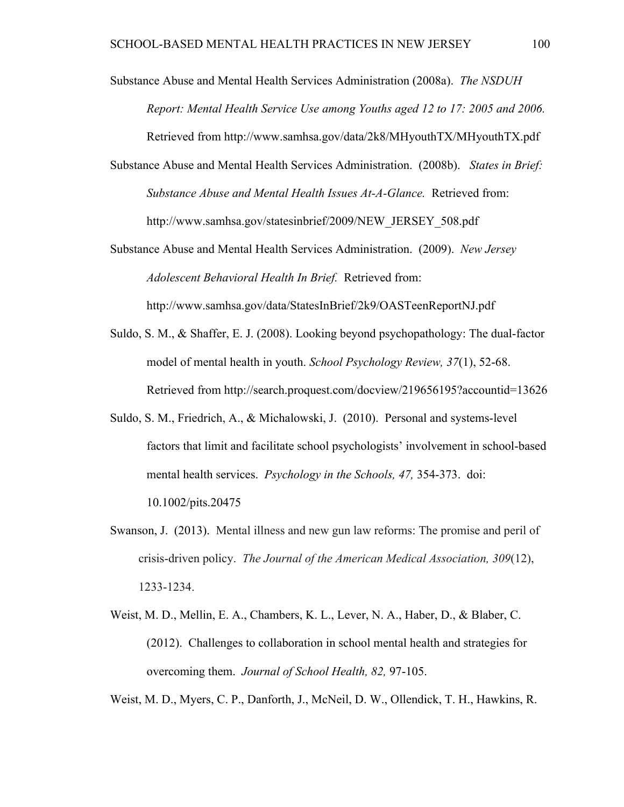Substance Abuse and Mental Health Services Administration (2008a). *The NSDUH Report: Mental Health Service Use among Youths aged 12 to 17: 2005 and 2006.*  Retrieved from http://www.samhsa.gov/data/2k8/MHyouthTX/MHyouthTX.pdf Substance Abuse and Mental Health Services Administration. (2008b). *States in Brief: Substance Abuse and Mental Health Issues At-A-Glance.* Retrieved from:

http://www.samhsa.gov/statesinbrief/2009/NEW\_JERSEY\_508.pdf

- Substance Abuse and Mental Health Services Administration. (2009). *New Jersey Adolescent Behavioral Health In Brief.* Retrieved from: http://www.samhsa.gov/data/StatesInBrief/2k9/OASTeenReportNJ.pdf
- Suldo, S. M., & Shaffer, E. J. (2008). Looking beyond psychopathology: The dual-factor model of mental health in youth. *School Psychology Review, 37*(1), 52-68. Retrieved from http://search.proquest.com/docview/219656195?accountid=13626
- Suldo, S. M., Friedrich, A., & Michalowski, J. (2010). Personal and systems-level factors that limit and facilitate school psychologists' involvement in school-based mental health services. *Psychology in the Schools, 47,* 354-373. doi: 10.1002/pits.20475
- Swanson, J. (2013). Mental illness and new gun law reforms: The promise and peril of crisis-driven policy. *The Journal of the American Medical Association, 309*(12), 1233-1234.
- Weist, M. D., Mellin, E. A., Chambers, K. L., Lever, N. A., Haber, D., & Blaber, C. (2012). Challenges to collaboration in school mental health and strategies for overcoming them. *Journal of School Health, 82,* 97-105.

Weist, M. D., Myers, C. P., Danforth, J., McNeil, D. W., Ollendick, T. H., Hawkins, R.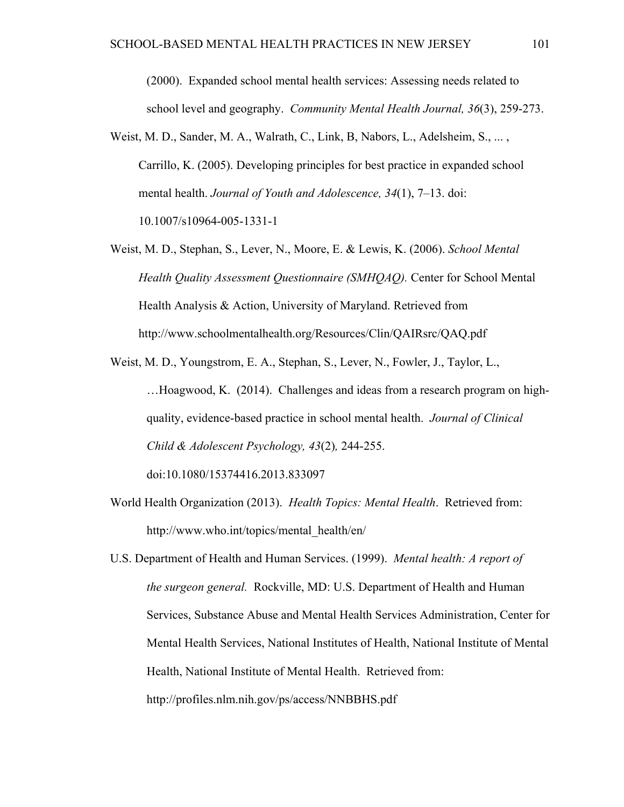(2000). Expanded school mental health services: Assessing needs related to school level and geography. *Community Mental Health Journal, 36*(3), 259-273.

- Weist, M. D., Sander, M. A., Walrath, C., Link, B. Nabors, L., Adelsheim, S., ... Carrillo, K. (2005). Developing principles for best practice in expanded school mental health. *Journal of Youth and Adolescence, 34*(1), 7–13. doi: 10.1007/s10964-005-1331-1
- Weist, M. D., Stephan, S., Lever, N., Moore, E. & Lewis, K. (2006). *School Mental Health Quality Assessment Questionnaire (SMHQAQ).* Center for School Mental Health Analysis & Action, University of Maryland. Retrieved from http://www.schoolmentalhealth.org/Resources/Clin/QAIRsrc/QAQ.pdf
- Weist, M. D., Youngstrom, E. A., Stephan, S., Lever, N., Fowler, J., Taylor, L., …Hoagwood, K. (2014). Challenges and ideas from a research program on highquality, evidence-based practice in school mental health. *Journal of Clinical Child & Adolescent Psychology, 43*(2)*,* 244-255. doi:10.1080/15374416.2013.833097
- World Health Organization (2013). *Health Topics: Mental Health*. Retrieved from: http://www.who.int/topics/mental\_health/en/
- U.S. Department of Health and Human Services. (1999). *Mental health: A report of the surgeon general.* Rockville, MD: U.S. Department of Health and Human Services, Substance Abuse and Mental Health Services Administration, Center for Mental Health Services, National Institutes of Health, National Institute of Mental Health, National Institute of Mental Health. Retrieved from: http://profiles.nlm.nih.gov/ps/access/NNBBHS.pdf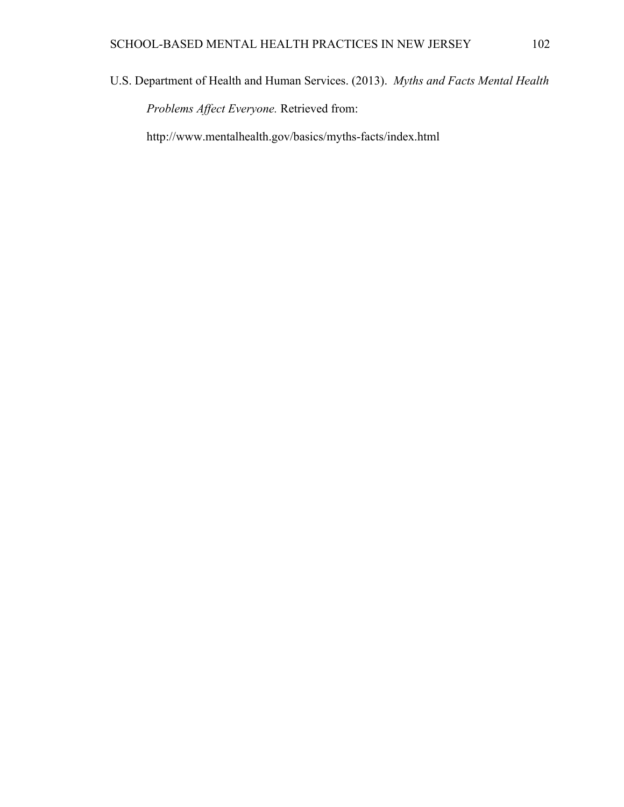U.S. Department of Health and Human Services. (2013). *Myths and Facts Mental Health* 

*Problems Affect Everyone.* Retrieved from:

http://www.mentalhealth.gov/basics/myths-facts/index.html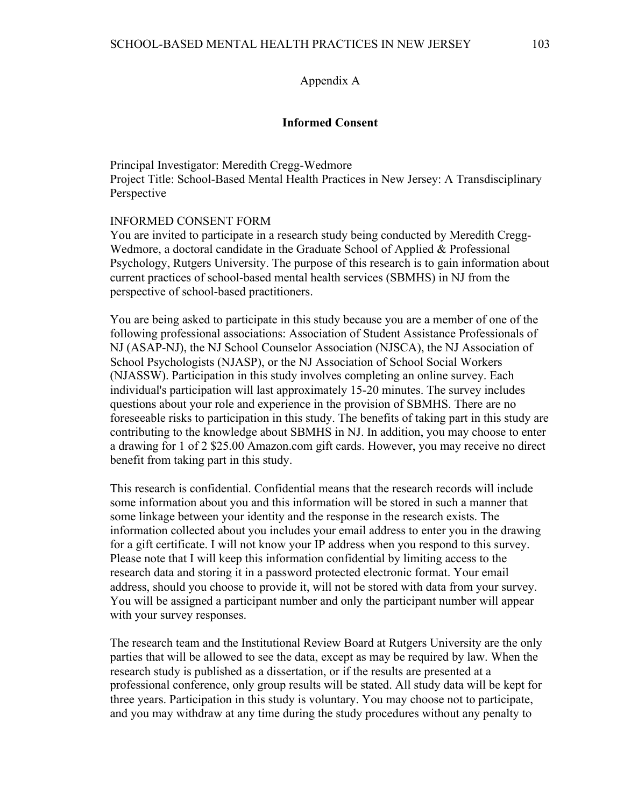#### Appendix A

### **Informed Consent**

Principal Investigator: Meredith Cregg-Wedmore Project Title: School-Based Mental Health Practices in New Jersey: A Transdisciplinary Perspective

#### INFORMED CONSENT FORM

You are invited to participate in a research study being conducted by Meredith Cregg-Wedmore, a doctoral candidate in the Graduate School of Applied & Professional Psychology, Rutgers University. The purpose of this research is to gain information about current practices of school-based mental health services (SBMHS) in NJ from the perspective of school-based practitioners.

You are being asked to participate in this study because you are a member of one of the following professional associations: Association of Student Assistance Professionals of NJ (ASAP-NJ), the NJ School Counselor Association (NJSCA), the NJ Association of School Psychologists (NJASP), or the NJ Association of School Social Workers (NJASSW). Participation in this study involves completing an online survey. Each individual's participation will last approximately 15-20 minutes. The survey includes questions about your role and experience in the provision of SBMHS. There are no foreseeable risks to participation in this study. The benefits of taking part in this study are contributing to the knowledge about SBMHS in NJ. In addition, you may choose to enter a drawing for 1 of 2 \$25.00 Amazon.com gift cards. However, you may receive no direct benefit from taking part in this study.

This research is confidential. Confidential means that the research records will include some information about you and this information will be stored in such a manner that some linkage between your identity and the response in the research exists. The information collected about you includes your email address to enter you in the drawing for a gift certificate. I will not know your IP address when you respond to this survey. Please note that I will keep this information confidential by limiting access to the research data and storing it in a password protected electronic format. Your email address, should you choose to provide it, will not be stored with data from your survey. You will be assigned a participant number and only the participant number will appear with your survey responses.

The research team and the Institutional Review Board at Rutgers University are the only parties that will be allowed to see the data, except as may be required by law. When the research study is published as a dissertation, or if the results are presented at a professional conference, only group results will be stated. All study data will be kept for three years. Participation in this study is voluntary. You may choose not to participate, and you may withdraw at any time during the study procedures without any penalty to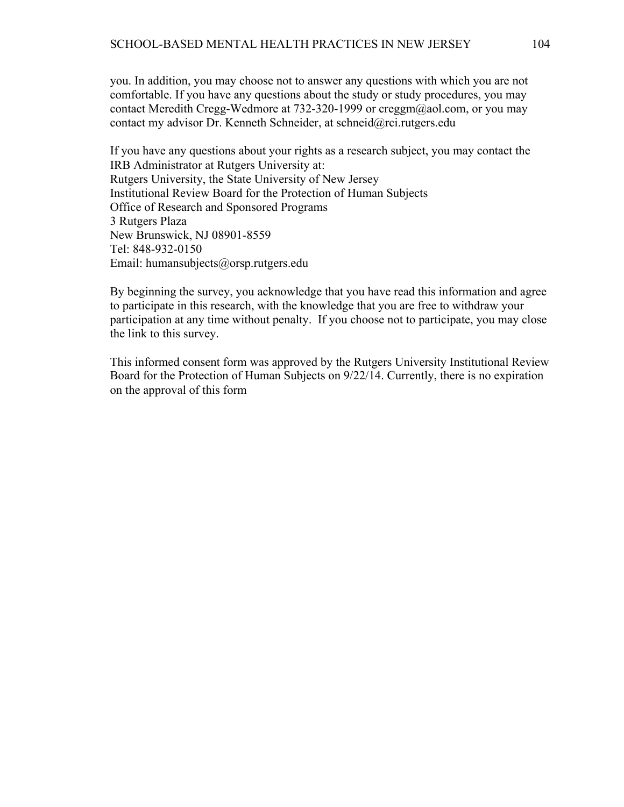you. In addition, you may choose not to answer any questions with which you are not comfortable. If you have any questions about the study or study procedures, you may contact Meredith Cregg-Wedmore at 732-320-1999 or creggm@aol.com, or you may contact my advisor Dr. Kenneth Schneider, at schneid@rci.rutgers.edu

If you have any questions about your rights as a research subject, you may contact the IRB Administrator at Rutgers University at: Rutgers University, the State University of New Jersey Institutional Review Board for the Protection of Human Subjects Office of Research and Sponsored Programs 3 Rutgers Plaza New Brunswick, NJ 08901-8559 Tel: 848-932-0150 Email: humansubjects@orsp.rutgers.edu

By beginning the survey, you acknowledge that you have read this information and agree to participate in this research, with the knowledge that you are free to withdraw your participation at any time without penalty. If you choose not to participate, you may close the link to this survey.

This informed consent form was approved by the Rutgers University Institutional Review Board for the Protection of Human Subjects on 9/22/14. Currently, there is no expiration on the approval of this form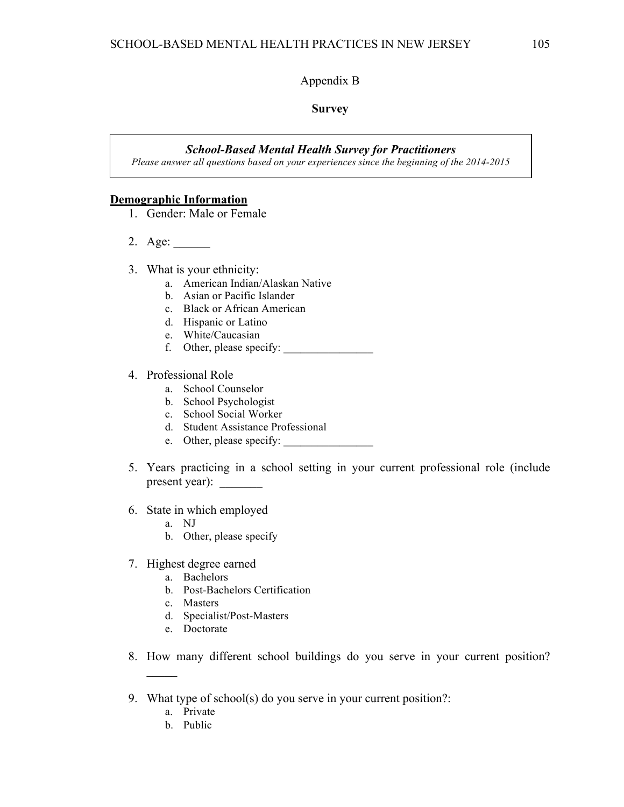## Appendix B

#### **Survey**

#### *School-Based Mental Health Survey for Practitioners*

*Please answer all questions based on your experiences since the beginning of the 2014-2015 school year*

#### **Demographic Information**

- 1. Gender: Male or Female
- 2. Age:
- 3. What is your ethnicity:
	- a. American Indian/Alaskan Native
	- b. Asian or Pacific Islander
	- c. Black or African American
	- d. Hispanic or Latino
	- e. White/Caucasian
	- f. Other, please specify:
- 4. Professional Role
	- a. School Counselor
	- b. School Psychologist
	- c. School Social Worker
	- d. Student Assistance Professional
	- e. Other, please specify:
- 5. Years practicing in a school setting in your current professional role (include present year):
- 6. State in which employed
	- a. NJ
	- b. Other, please specify
- 7. Highest degree earned
	- a. Bachelors
	- b. Post-Bachelors Certification
	- c. Masters
	- d. Specialist/Post-Masters
	- e. Doctorate
- 8. How many different school buildings do you serve in your current position?
- 9. What type of school(s) do you serve in your current position?:
	- a. Private

 $\mathcal{L}$ 

b. Public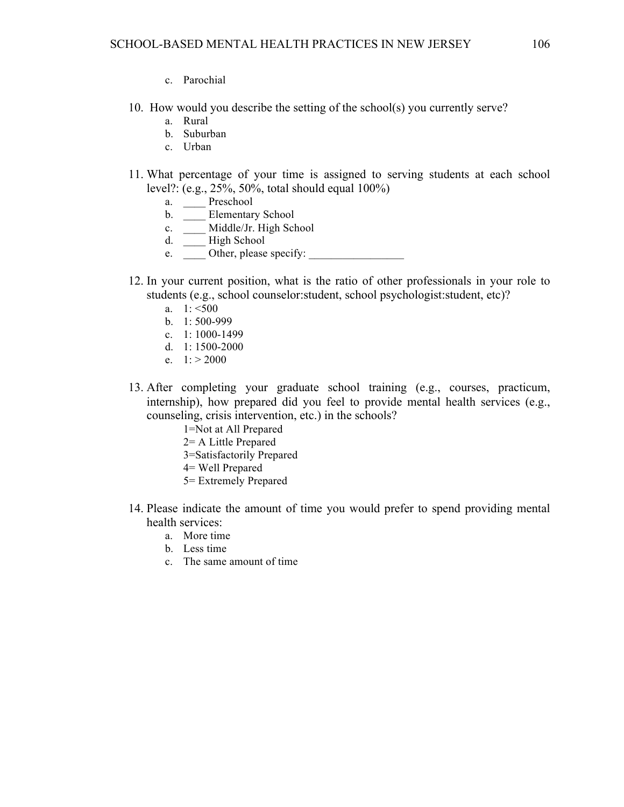- 
- 10. How would you describe the setting of the school(s) you currently serve?
	- a. Rural
	- b. Suburban

c. Parochial

- c. Urban
- 11. What percentage of your time is assigned to serving students at each school level?: (e.g., 25%, 50%, total should equal 100%)
	- a. \_\_\_\_ Preschool
	- b. **\_\_\_** Elementary School
	- c. \_\_\_\_ Middle/Jr. High School
	- d. \_\_\_\_ High School
	- e. Other, please specify:
- 12. In your current position, what is the ratio of other professionals in your role to students (e.g., school counselor:student, school psychologist:student, etc)?
	- a.  $1: \le 500$
	- b. 1: 500-999
	- c. 1: 1000-1499
	- d. 1: 1500-2000
	- e.  $1: > 2000$
- 13. After completing your graduate school training (e.g., courses, practicum, internship), how prepared did you feel to provide mental health services (e.g., counseling, crisis intervention, etc.) in the schools?
	- 1=Not at All Prepared
	- 2= A Little Prepared
	- 3=Satisfactorily Prepared
	- 4= Well Prepared
	- 5= Extremely Prepared
- 14. Please indicate the amount of time you would prefer to spend providing mental health services:
	- a. More time
	- b. Less time
	- c. The same amount of time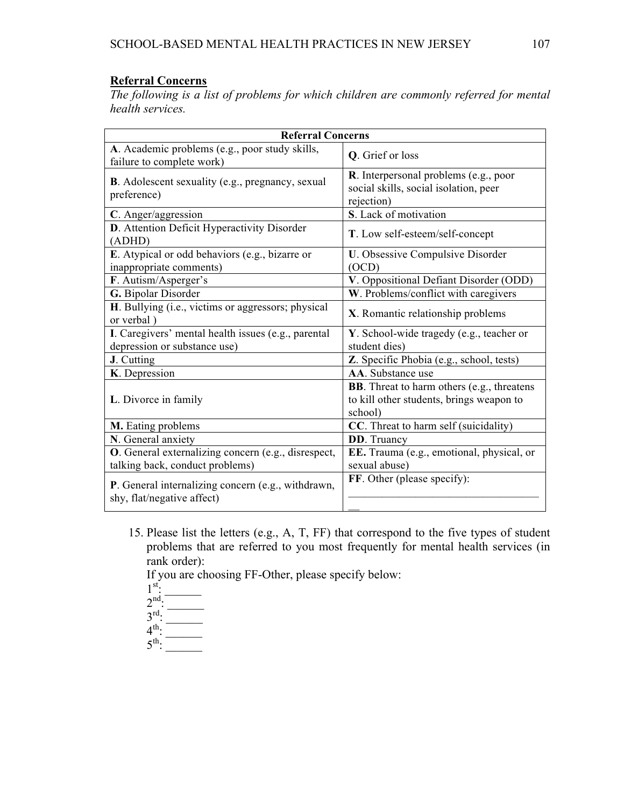# **Referral Concerns**

*The following is a list of problems for which children are commonly referred for mental health services.*

| <b>Referral Concerns</b>                                                               |                                                                                                           |  |
|----------------------------------------------------------------------------------------|-----------------------------------------------------------------------------------------------------------|--|
| A. Academic problems (e.g., poor study skills,<br>failure to complete work)            | Q. Grief or loss                                                                                          |  |
| <b>B.</b> Adolescent sexuality (e.g., pregnancy, sexual<br>preference)                 | <b>R</b> . Interpersonal problems (e.g., poor<br>social skills, social isolation, peer<br>rejection)      |  |
| C. Anger/aggression                                                                    | S. Lack of motivation                                                                                     |  |
| D. Attention Deficit Hyperactivity Disorder<br>(ADHD)                                  | T. Low self-esteem/self-concept                                                                           |  |
| E. Atypical or odd behaviors (e.g., bizarre or<br>inappropriate comments)              | U. Obsessive Compulsive Disorder<br>(OCD)                                                                 |  |
| F. Autism/Asperger's                                                                   | V. Oppositional Defiant Disorder (ODD)                                                                    |  |
| G. Bipolar Disorder                                                                    | W. Problems/conflict with caregivers                                                                      |  |
| H. Bullying (i.e., victims or aggressors; physical<br>or verbal)                       | X. Romantic relationship problems                                                                         |  |
| I. Caregivers' mental health issues (e.g., parental                                    | Y. School-wide tragedy (e.g., teacher or                                                                  |  |
| depression or substance use)                                                           | student dies)                                                                                             |  |
| J. Cutting                                                                             | Z. Specific Phobia (e.g., school, tests)                                                                  |  |
| K. Depression                                                                          | AA. Substance use                                                                                         |  |
| L. Divorce in family                                                                   | <b>BB</b> . Threat to harm others (e.g., threatens<br>to kill other students, brings weapon to<br>school) |  |
| M. Eating problems                                                                     | CC. Threat to harm self (suicidality)                                                                     |  |
| N. General anxiety                                                                     | <b>DD</b> . Truancy                                                                                       |  |
| O. General externalizing concern (e.g., disrespect,<br>talking back, conduct problems) | EE. Trauma (e.g., emotional, physical, or<br>sexual abuse)                                                |  |
| P. General internalizing concern (e.g., withdrawn,<br>shy, flat/negative affect)       | FF. Other (please specify):                                                                               |  |

15. Please list the letters (e.g., A, T, FF) that correspond to the five types of student problems that are referred to you most frequently for mental health services (in rank order):

If you are choosing FF-Other, please specify below:

- $1^{\text{st}}$ :
- $2<sup>nd</sup>$ .
- $3^{\text{rd}}$ .
- $4^{\text{th}}$ .
- $5^{\text{th}}$ :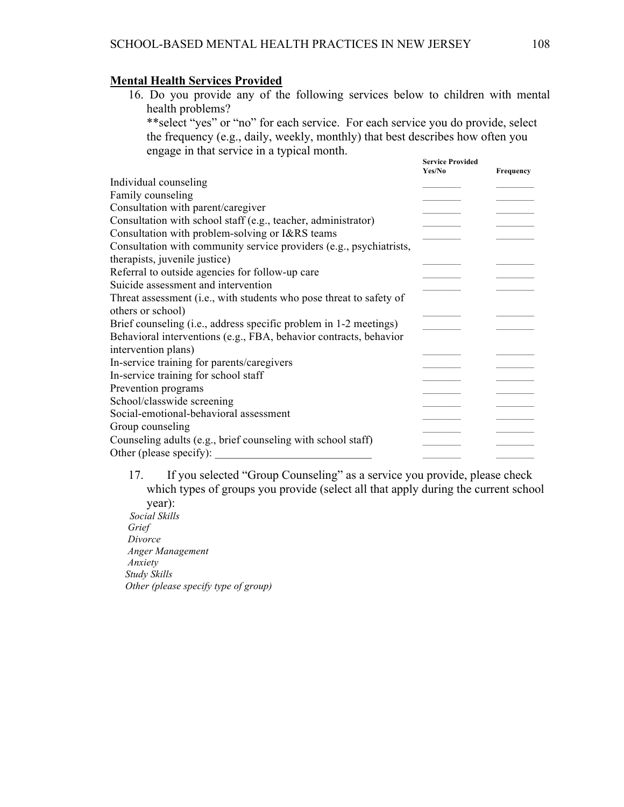## **Mental Health Services Provided**

16. Do you provide any of the following services below to children with mental health problems?

\*\*select "yes" or "no" for each service. For each service you do provide, select the frequency (e.g., daily, weekly, monthly) that best describes how often you engage in that service in a typical month. **Service Provided**

| Service Provided<br>Yes/No | Frequency |
|----------------------------|-----------|
|                            |           |
|                            |           |
|                            |           |
|                            |           |
|                            |           |
|                            |           |
|                            |           |
|                            |           |
|                            |           |
|                            |           |
|                            |           |
|                            |           |
|                            |           |
|                            |           |
|                            |           |
|                            |           |
|                            |           |
|                            |           |
|                            |           |
|                            |           |
|                            |           |
|                            |           |
|                            |           |

17. If you selected "Group Counseling" as a service you provide, please check which types of groups you provide (select all that apply during the current school year): *Social Skills Grief Divorce Anger Management*

 *Anxiety Study Skills Other (please specify type of group)*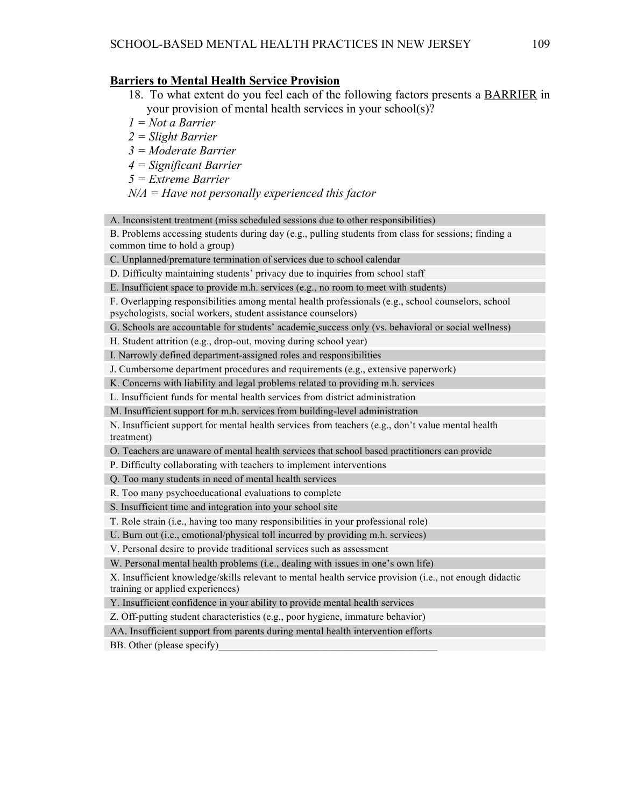#### **Barriers to Mental Health Service Provision**

- 18. To what extent do you feel each of the following factors presents a BARRIER in your provision of mental health services in your school(s)?
- *1 = Not a Barrier*
- *2 = Slight Barrier*
- *3 = Moderate Barrier*
- *4 = Significant Barrier*
- *5 = Extreme Barrier*

*N/A = Have not personally experienced this factor*

A. Inconsistent treatment (miss scheduled sessions due to other responsibilities)

B. Problems accessing students during day (e.g., pulling students from class for sessions; finding a common time to hold a group)

C. Unplanned/premature termination of services due to school calendar

D. Difficulty maintaining students' privacy due to inquiries from school staff

E. Insufficient space to provide m.h. services (e.g., no room to meet with students)

F. Overlapping responsibilities among mental health professionals (e.g., school counselors, school psychologists, social workers, student assistance counselors)

G. Schools are accountable for students' academic success only (vs. behavioral or social wellness)

H. Student attrition (e.g., drop-out, moving during school year)

I. Narrowly defined department-assigned roles and responsibilities

J. Cumbersome department procedures and requirements (e.g., extensive paperwork)

K. Concerns with liability and legal problems related to providing m.h. services

L. Insufficient funds for mental health services from district administration

M. Insufficient support for m.h. services from building-level administration

N. Insufficient support for mental health services from teachers (e.g., don't value mental health treatment)

O. Teachers are unaware of mental health services that school based practitioners can provide

P. Difficulty collaborating with teachers to implement interventions

Q. Too many students in need of mental health services

R. Too many psychoeducational evaluations to complete

S. Insufficient time and integration into your school site

T. Role strain (i.e., having too many responsibilities in your professional role)

U. Burn out (i.e., emotional/physical toll incurred by providing m.h. services)

V. Personal desire to provide traditional services such as assessment

W. Personal mental health problems (i.e., dealing with issues in one's own life)

X. Insufficient knowledge/skills relevant to mental health service provision (i.e., not enough didactic training or applied experiences)

Y. Insufficient confidence in your ability to provide mental health services

Z. Off-putting student characteristics (e.g., poor hygiene, immature behavior)

AA. Insufficient support from parents during mental health intervention efforts

BB. Other (please specify)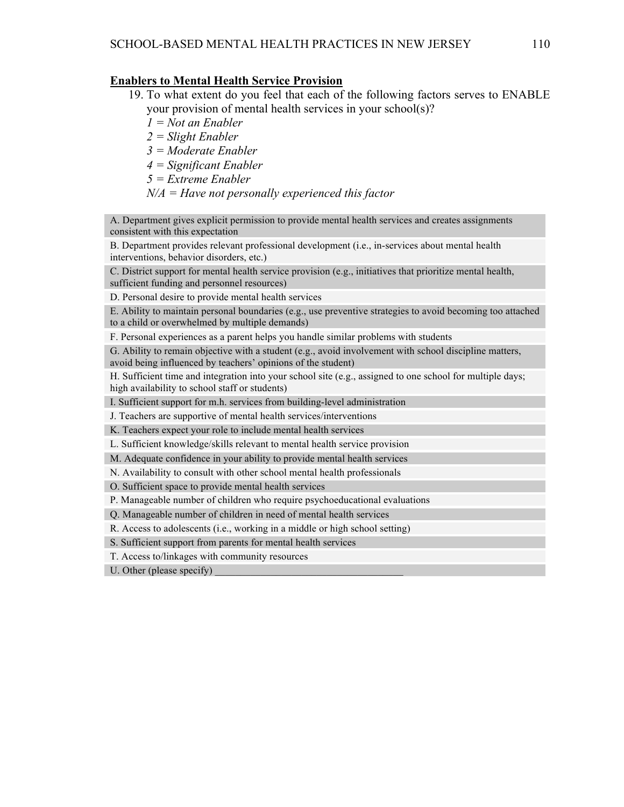#### **Enablers to Mental Health Service Provision**

- 19. To what extent do you feel that each of the following factors serves to ENABLE your provision of mental health services in your school(s)?
	- *1 = Not an Enabler*
	- *2 = Slight Enabler*
	- *3 = Moderate Enabler*
	- *4 = Significant Enabler*
	- *5 = Extreme Enabler*
	- *N/A = Have not personally experienced this factor*

A. Department gives explicit permission to provide mental health services and creates assignments consistent with this expectation

B. Department provides relevant professional development (i.e., in-services about mental health interventions, behavior disorders, etc.)

C. District support for mental health service provision (e.g., initiatives that prioritize mental health,

sufficient funding and personnel resources)

D. Personal desire to provide mental health services

E. Ability to maintain personal boundaries (e.g., use preventive strategies to avoid becoming too attached to a child or overwhelmed by multiple demands)

F. Personal experiences as a parent helps you handle similar problems with students

G. Ability to remain objective with a student (e.g., avoid involvement with school discipline matters, avoid being influenced by teachers' opinions of the student)

H. Sufficient time and integration into your school site (e.g., assigned to one school for multiple days; high availability to school staff or students)

I. Sufficient support for m.h. services from building-level administration

J. Teachers are supportive of mental health services/interventions

K. Teachers expect your role to include mental health services

L. Sufficient knowledge/skills relevant to mental health service provision

M. Adequate confidence in your ability to provide mental health services

N. Availability to consult with other school mental health professionals

O. Sufficient space to provide mental health services

P. Manageable number of children who require psychoeducational evaluations

Q. Manageable number of children in need of mental health services

R. Access to adolescents (i.e., working in a middle or high school setting)

S. Sufficient support from parents for mental health services

T. Access to/linkages with community resources

U. Other (please specify)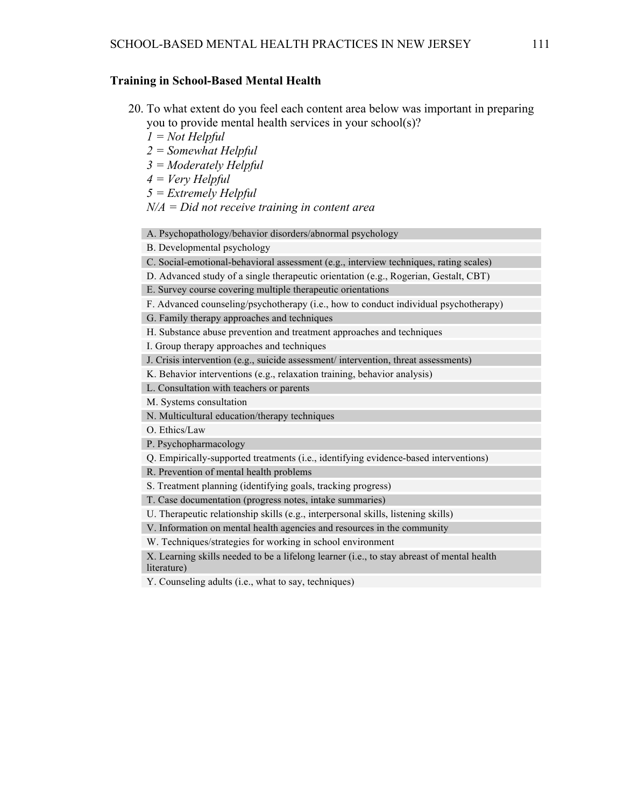#### **Training in School-Based Mental Health**

- 20. To what extent do you feel each content area below was important in preparing you to provide mental health services in your school(s)?
	- *1 = Not Helpful*
	- *2 = Somewhat Helpful*
	- *3 = Moderately Helpful*
	- *4 = Very Helpful*
	- *5 = Extremely Helpful*
	- *N/A = Did not receive training in content area*

A. Psychopathology/behavior disorders/abnormal psychology

B. Developmental psychology

C. Social-emotional-behavioral assessment (e.g., interview techniques, rating scales)

D. Advanced study of a single therapeutic orientation (e.g., Rogerian, Gestalt, CBT)

E. Survey course covering multiple therapeutic orientations

F. Advanced counseling/psychotherapy (i.e., how to conduct individual psychotherapy)

G. Family therapy approaches and techniques

H. Substance abuse prevention and treatment approaches and techniques

I. Group therapy approaches and techniques

J. Crisis intervention (e.g., suicide assessment/ intervention, threat assessments)

K. Behavior interventions (e.g., relaxation training, behavior analysis)

L. Consultation with teachers or parents

M. Systems consultation

N. Multicultural education/therapy techniques

O. Ethics/Law

P. Psychopharmacology

Q. Empirically-supported treatments (i.e., identifying evidence-based interventions)

R. Prevention of mental health problems

S. Treatment planning (identifying goals, tracking progress)

T. Case documentation (progress notes, intake summaries)

U. Therapeutic relationship skills (e.g., interpersonal skills, listening skills)

V. Information on mental health agencies and resources in the community

W. Techniques/strategies for working in school environment

X. Learning skills needed to be a lifelong learner (i.e., to stay abreast of mental health literature)

Y. Counseling adults (i.e., what to say, techniques)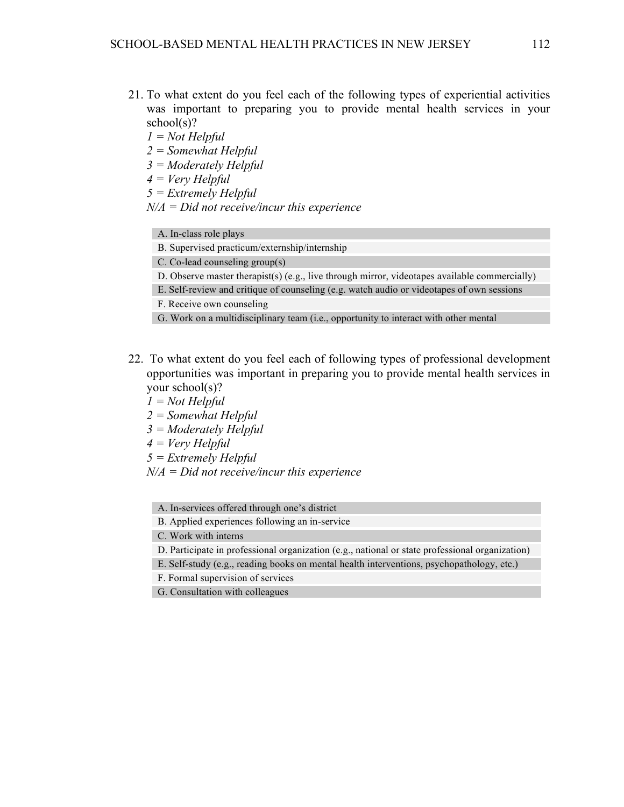- 21. To what extent do you feel each of the following types of experiential activities was important to preparing you to provide mental health services in your school(s)?
	- *1 = Not Helpful*
	- *2 = Somewhat Helpful*
	- *3 = Moderately Helpful*
	- *4 = Very Helpful*
	- *5 = Extremely Helpful*
	- *N/A = Did not receive/incur this experience*
		- A. In-class role plays
		- B. Supervised practicum/externship/internship
		- C. Co-lead counseling group(s)
		- D. Observe master therapist(s) (e.g., live through mirror, videotapes available commercially)
		- E. Self-review and critique of counseling (e.g. watch audio or videotapes of own sessions
		- F. Receive own counseling
		- G. Work on a multidisciplinary team (i.e., opportunity to interact with other mental
- 22. To what extent do you feel each of following types of professional development opportunities was important in preparing you to provide mental health services in your school(s)?
	- *1 = Not Helpful*
	- *2 = Somewhat Helpful*
	- *3 = Moderately Helpful*
	- *4 = Very Helpful*
	- *5 = Extremely Helpful*
	- *N/A = Did not receive/incur this experience*
		- A. In-services offered through one's district
		- B. Applied experiences following an in-service
		- C. Work with interns
		- D. Participate in professional organization (e.g., national or state professional organization)
		- E. Self-study (e.g., reading books on mental health interventions, psychopathology, etc.)
		- F. Formal supervision of services
		- G. Consultation with colleagues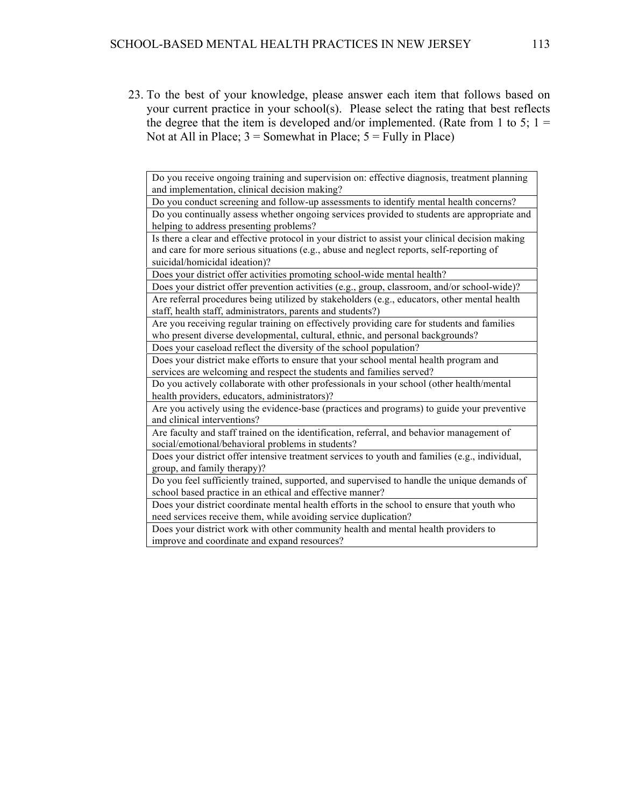23. To the best of your knowledge, please answer each item that follows based on your current practice in your school(s). Please select the rating that best reflects the degree that the item is developed and/or implemented. (Rate from 1 to 5;  $1 =$ Not at All in Place;  $3 =$  Somewhat in Place;  $5 =$  Fully in Place)

Do you receive ongoing training and supervision on: effective diagnosis, treatment planning and implementation, clinical decision making?

Do you conduct screening and follow-up assessments to identify mental health concerns?

Do you continually assess whether ongoing services provided to students are appropriate and helping to address presenting problems?

Is there a clear and effective protocol in your district to assist your clinical decision making and care for more serious situations (e.g., abuse and neglect reports, self-reporting of suicidal/homicidal ideation)?

Does your district offer activities promoting school-wide mental health?

Does your district offer prevention activities (e.g., group, classroom, and/or school-wide)? Are referral procedures being utilized by stakeholders (e.g., educators, other mental health staff, health staff, administrators, parents and students?)

Are you receiving regular training on effectively providing care for students and families who present diverse developmental, cultural, ethnic, and personal backgrounds? Does your caseload reflect the diversity of the school population?

Does your district make efforts to ensure that your school mental health program and

services are welcoming and respect the students and families served?

Do you actively collaborate with other professionals in your school (other health/mental health providers, educators, administrators)?

Are you actively using the evidence-base (practices and programs) to guide your preventive and clinical interventions?

Are faculty and staff trained on the identification, referral, and behavior management of social/emotional/behavioral problems in students?

Does your district offer intensive treatment services to youth and families (e.g., individual, group, and family therapy)?

Do you feel sufficiently trained, supported, and supervised to handle the unique demands of school based practice in an ethical and effective manner?

Does your district coordinate mental health efforts in the school to ensure that youth who need services receive them, while avoiding service duplication?

Does your district work with other community health and mental health providers to improve and coordinate and expand resources?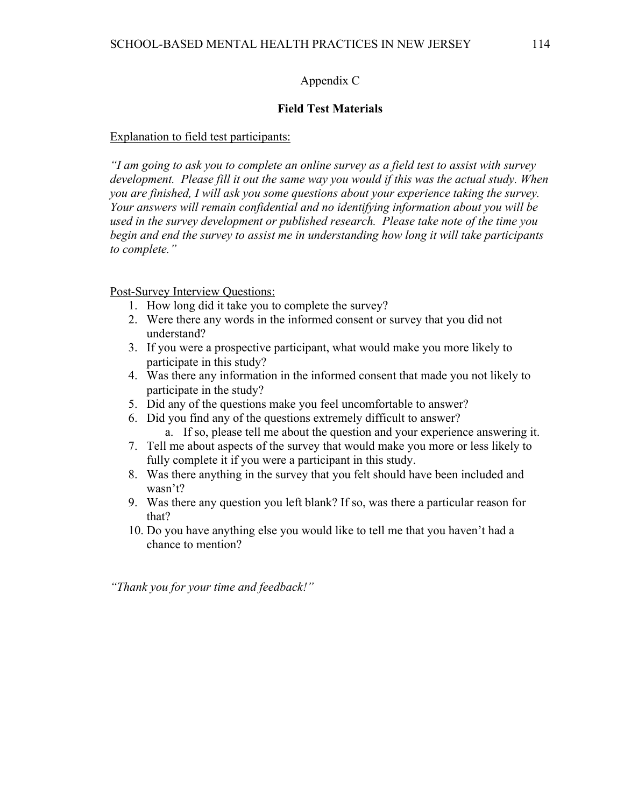## Appendix C

## **Field Test Materials**

### Explanation to field test participants:

*"I am going to ask you to complete an online survey as a field test to assist with survey development. Please fill it out the same way you would if this was the actual study. When you are finished, I will ask you some questions about your experience taking the survey. Your answers will remain confidential and no identifying information about you will be used in the survey development or published research. Please take note of the time you begin and end the survey to assist me in understanding how long it will take participants to complete."*

Post-Survey Interview Questions:

- 1. How long did it take you to complete the survey?
- 2. Were there any words in the informed consent or survey that you did not understand?
- 3. If you were a prospective participant, what would make you more likely to participate in this study?
- 4. Was there any information in the informed consent that made you not likely to participate in the study?
- 5. Did any of the questions make you feel uncomfortable to answer?
- 6. Did you find any of the questions extremely difficult to answer?
	- a. If so, please tell me about the question and your experience answering it.
- 7. Tell me about aspects of the survey that would make you more or less likely to fully complete it if you were a participant in this study.
- 8. Was there anything in the survey that you felt should have been included and wasn't?
- 9. Was there any question you left blank? If so, was there a particular reason for that?
- 10. Do you have anything else you would like to tell me that you haven't had a chance to mention?

*"Thank you for your time and feedback!"*